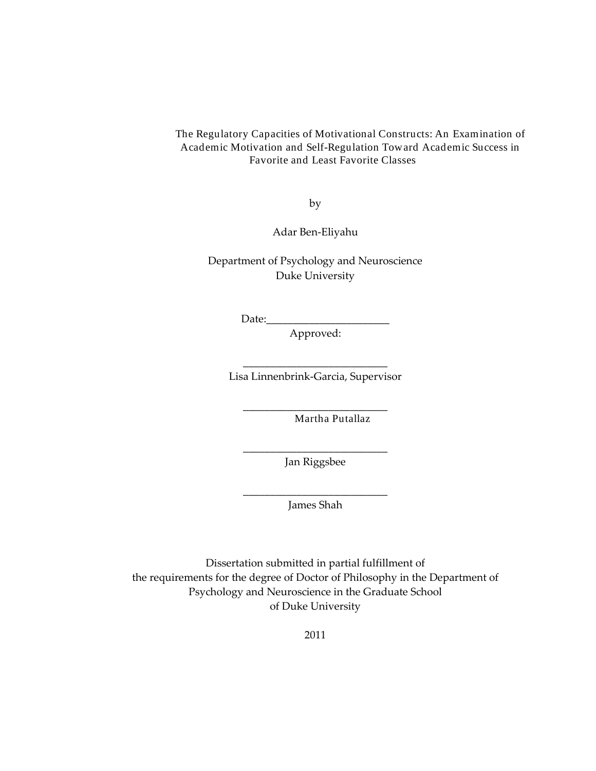#### The Regulatory Capacities of Motivational Constructs: An Examination of Academic Motivation and Self-Regulation Toward Academic Success in Favorite and Least Favorite Classes

by

Adar Ben-Eliyahu

Department of Psychology and Neuroscience Duke University

 $Date:$ 

Approved:

\_\_\_\_\_\_\_\_\_\_\_\_\_\_\_\_\_\_\_\_\_\_\_\_\_\_\_ Lisa Linnenbrink-Garcia, Supervisor

\_\_\_\_\_\_\_\_\_\_\_\_\_\_\_\_\_\_\_\_\_\_\_\_\_\_\_

Martha Putallaz

\_\_\_\_\_\_\_\_\_\_\_\_\_\_\_\_\_\_\_\_\_\_\_\_\_\_\_ Jan Riggsbee

\_\_\_\_\_\_\_\_\_\_\_\_\_\_\_\_\_\_\_\_\_\_\_\_\_\_\_ James Shah

Dissertation submitted in partial fulfillment of the requirements for the degree of Doctor of Philosophy in the Department of Psychology and Neuroscience in the Graduate School of Duke University

2011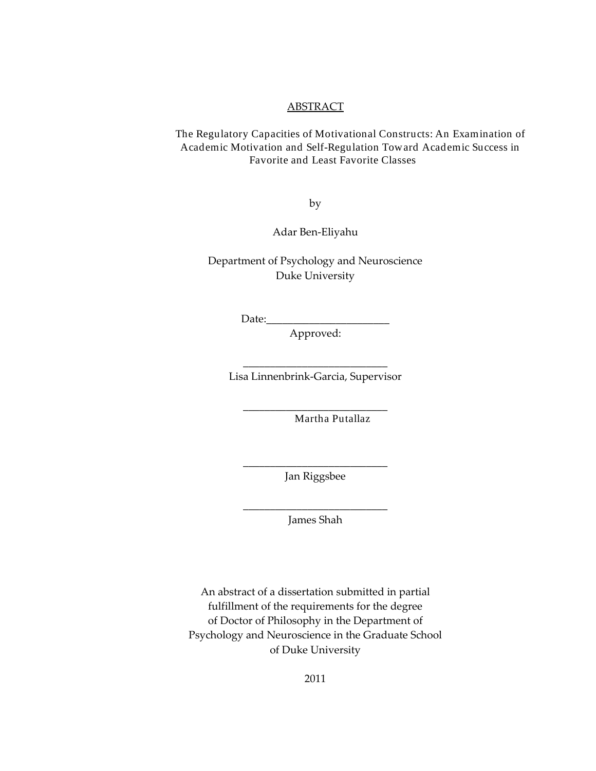#### **ABSTRACT**

The Regulatory Capacities of Motivational Constructs: An Examination of Academic Motivation and Self-Regulation Toward Academic Success in Favorite and Least Favorite Classes

by

Adar Ben-Eliyahu

Department of Psychology and Neuroscience Duke University

 $Date:$ 

Approved:

\_\_\_\_\_\_\_\_\_\_\_\_\_\_\_\_\_\_\_\_\_\_\_\_\_\_\_ Lisa Linnenbrink-Garcia, Supervisor

\_\_\_\_\_\_\_\_\_\_\_\_\_\_\_\_\_\_\_\_\_\_\_\_\_\_\_

Martha Putallaz

\_\_\_\_\_\_\_\_\_\_\_\_\_\_\_\_\_\_\_\_\_\_\_\_\_\_\_ Jan Riggsbee

\_\_\_\_\_\_\_\_\_\_\_\_\_\_\_\_\_\_\_\_\_\_\_\_\_\_\_ James Shah

An abstract of a dissertation submitted in partial fulfillment of the requirements for the degree of Doctor of Philosophy in the Department of Psychology and Neuroscience in the Graduate School of Duke University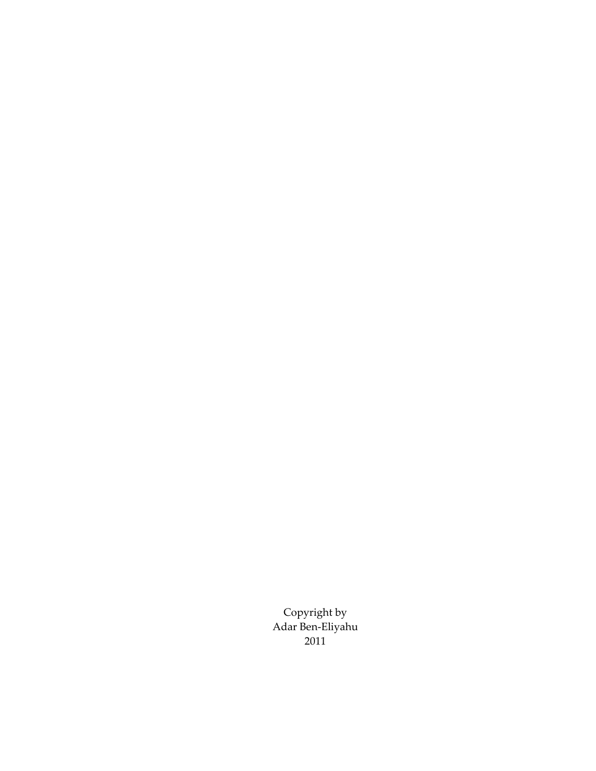Copyright by Adar Ben-Eliyahu 2011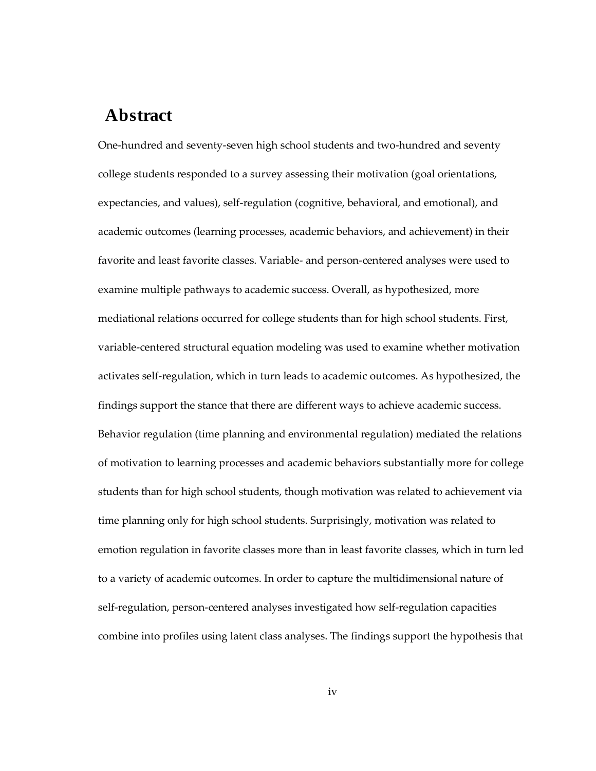### **Abstract**

One-hundred and seventy-seven high school students and two-hundred and seventy college students responded to a survey assessing their motivation (goal orientations, expectancies, and values), self-regulation (cognitive, behavioral, and emotional), and academic outcomes (learning processes, academic behaviors, and achievement) in their favorite and least favorite classes. Variable- and person-centered analyses were used to examine multiple pathways to academic success. Overall, as hypothesized, more mediational relations occurred for college students than for high school students. First, variable-centered structural equation modeling was used to examine whether motivation activates self-regulation, which in turn leads to academic outcomes. As hypothesized, the findings support the stance that there are different ways to achieve academic success. Behavior regulation (time planning and environmental regulation) mediated the relations of motivation to learning processes and academic behaviors substantially more for college students than for high school students, though motivation was related to achievement via time planning only for high school students. Surprisingly, motivation was related to emotion regulation in favorite classes more than in least favorite classes, which in turn led to a variety of academic outcomes. In order to capture the multidimensional nature of self-regulation, person-centered analyses investigated how self-regulation capacities combine into profiles using latent class analyses. The findings support the hypothesis that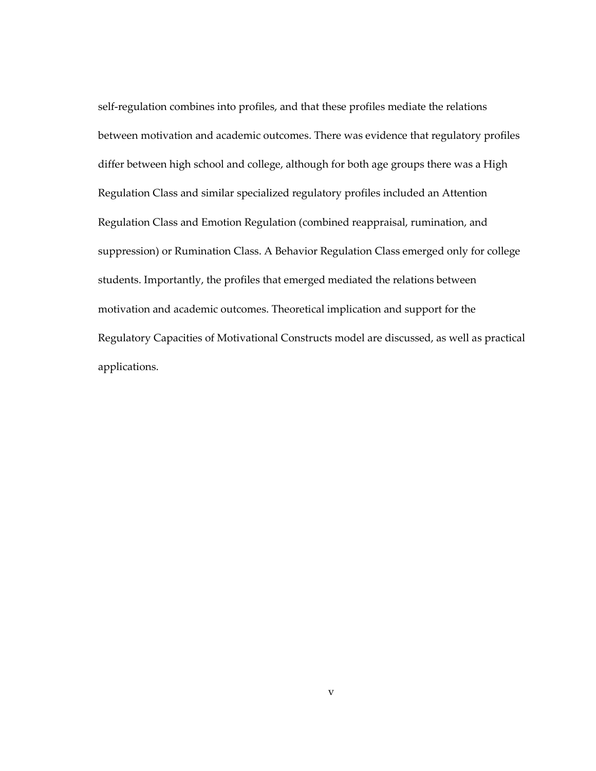self-regulation combines into profiles, and that these profiles mediate the relations between motivation and academic outcomes. There was evidence that regulatory profiles differ between high school and college, although for both age groups there was a High Regulation Class and similar specialized regulatory profiles included an Attention Regulation Class and Emotion Regulation (combined reappraisal, rumination, and suppression) or Rumination Class. A Behavior Regulation Class emerged only for college students. Importantly, the profiles that emerged mediated the relations between motivation and academic outcomes. Theoretical implication and support for the Regulatory Capacities of Motivational Constructs model are discussed, as well as practical applications.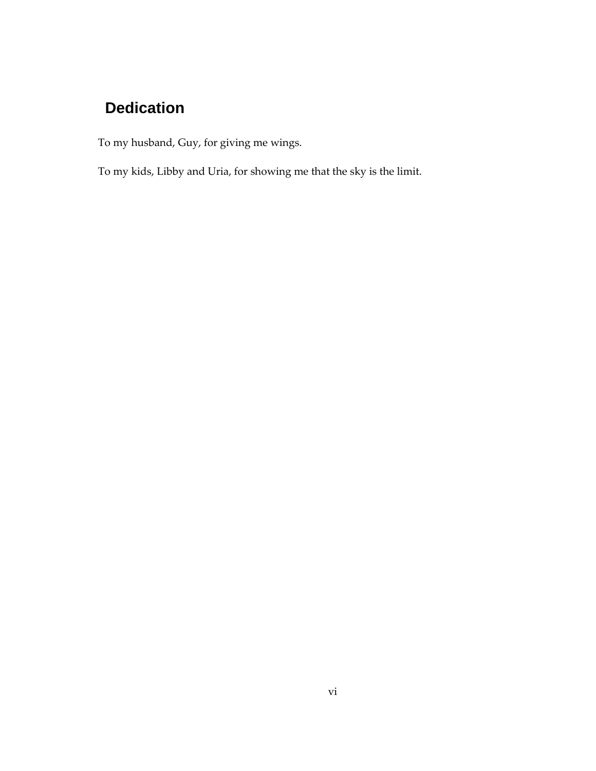## **Dedication**

To my husband, Guy, for giving me wings.

To my kids, Libby and Uria, for showing me that the sky is the limit.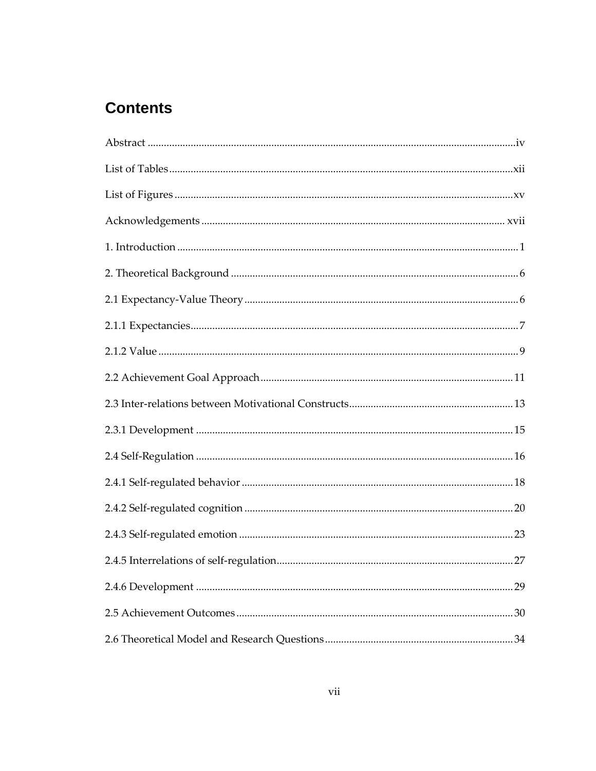## **Contents**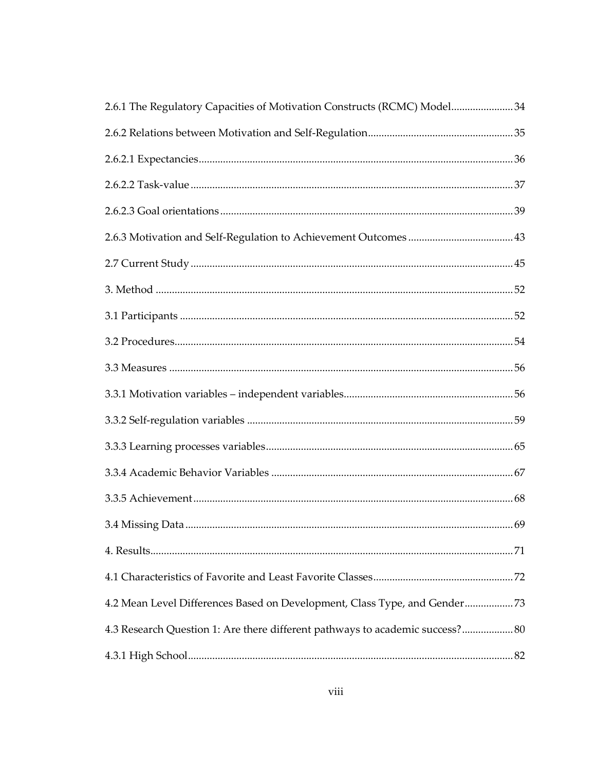| 2.6.1 The Regulatory Capacities of Motivation Constructs (RCMC) Model34       |  |
|-------------------------------------------------------------------------------|--|
|                                                                               |  |
|                                                                               |  |
|                                                                               |  |
|                                                                               |  |
|                                                                               |  |
|                                                                               |  |
|                                                                               |  |
|                                                                               |  |
|                                                                               |  |
|                                                                               |  |
|                                                                               |  |
|                                                                               |  |
|                                                                               |  |
|                                                                               |  |
|                                                                               |  |
|                                                                               |  |
|                                                                               |  |
|                                                                               |  |
| 4.2 Mean Level Differences Based on Development, Class Type, and Gender73     |  |
| 4.3 Research Question 1: Are there different pathways to academic success? 80 |  |
|                                                                               |  |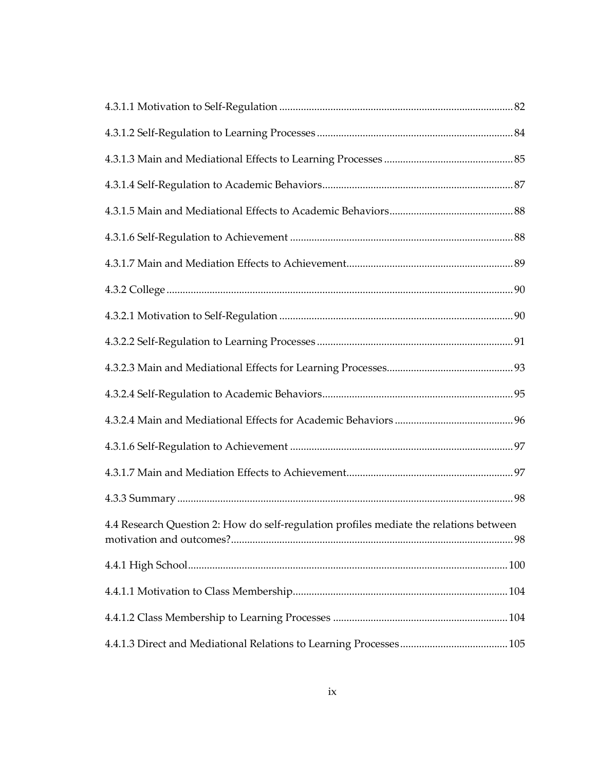| 4.4 Research Question 2: How do self-regulation profiles mediate the relations between |  |
|----------------------------------------------------------------------------------------|--|
|                                                                                        |  |
|                                                                                        |  |
|                                                                                        |  |
|                                                                                        |  |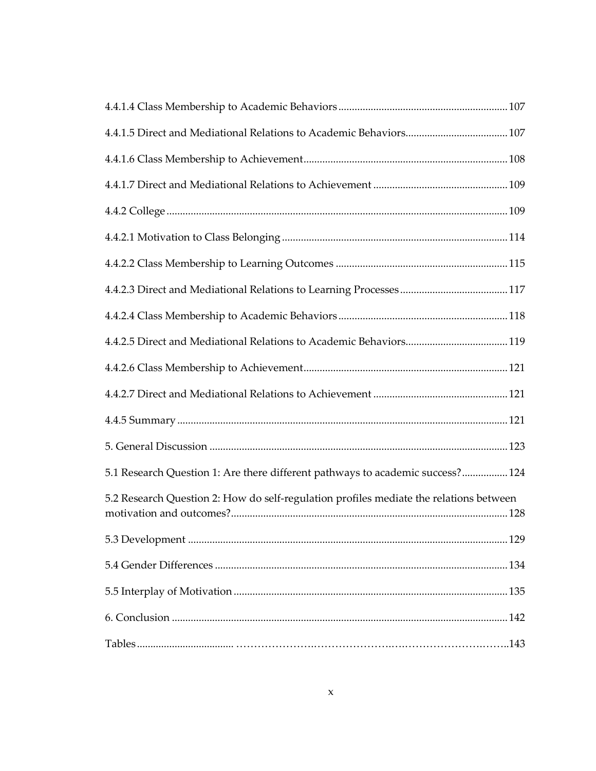| 5.1 Research Question 1: Are there different pathways to academic success? 124         |  |
|----------------------------------------------------------------------------------------|--|
| 5.2 Research Question 2: How do self-regulation profiles mediate the relations between |  |
|                                                                                        |  |
|                                                                                        |  |
|                                                                                        |  |
|                                                                                        |  |
|                                                                                        |  |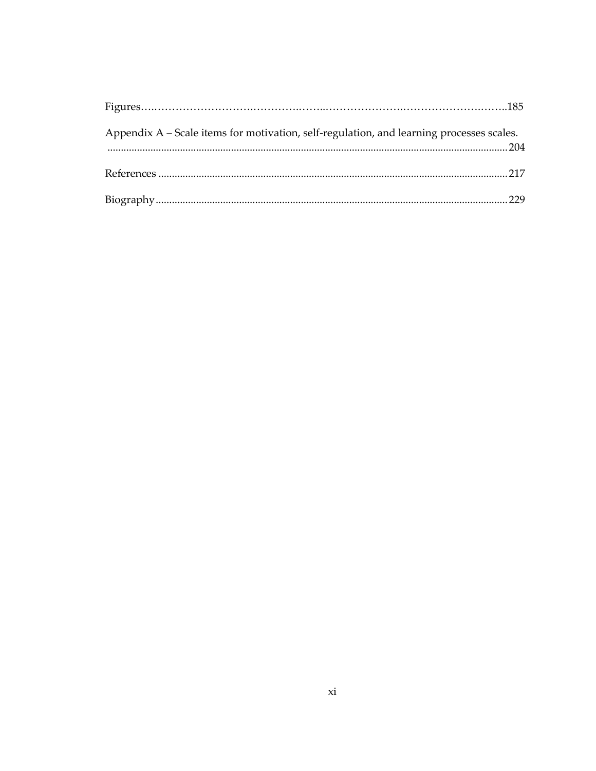| Appendix A – Scale items for motivation, self-regulation, and learning processes scales. |  |
|------------------------------------------------------------------------------------------|--|
|                                                                                          |  |
|                                                                                          |  |
|                                                                                          |  |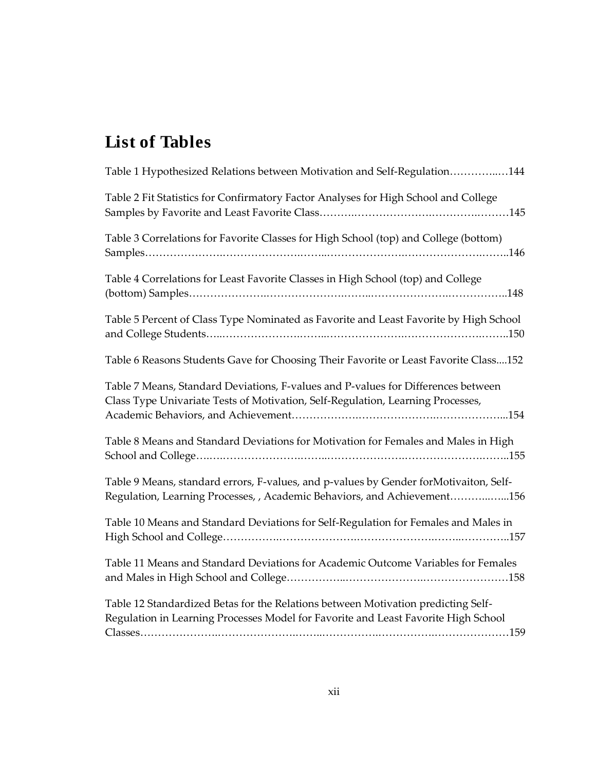# **List of Tables**

| Table 1 Hypothesized Relations between Motivation and Self-Regulation144                                                                                                |
|-------------------------------------------------------------------------------------------------------------------------------------------------------------------------|
| Table 2 Fit Statistics for Confirmatory Factor Analyses for High School and College                                                                                     |
| Table 3 Correlations for Favorite Classes for High School (top) and College (bottom)                                                                                    |
| Table 4 Correlations for Least Favorite Classes in High School (top) and College<br>(bottom) Samples. 148                                                               |
| Table 5 Percent of Class Type Nominated as Favorite and Least Favorite by High School                                                                                   |
| Table 6 Reasons Students Gave for Choosing Their Favorite or Least Favorite Class152                                                                                    |
| Table 7 Means, Standard Deviations, F-values and P-values for Differences between<br>Class Type Univariate Tests of Motivation, Self-Regulation, Learning Processes,    |
| Table 8 Means and Standard Deviations for Motivation for Females and Males in High                                                                                      |
| Table 9 Means, standard errors, F-values, and p-values by Gender forMotivaiton, Self-<br>Regulation, Learning Processes, , Academic Behaviors, and Achievement156       |
| Table 10 Means and Standard Deviations for Self-Regulation for Females and Males in                                                                                     |
| Table 11 Means and Standard Deviations for Academic Outcome Variables for Females                                                                                       |
| Table 12 Standardized Betas for the Relations between Motivation predicting Self-<br>Regulation in Learning Processes Model for Favorite and Least Favorite High School |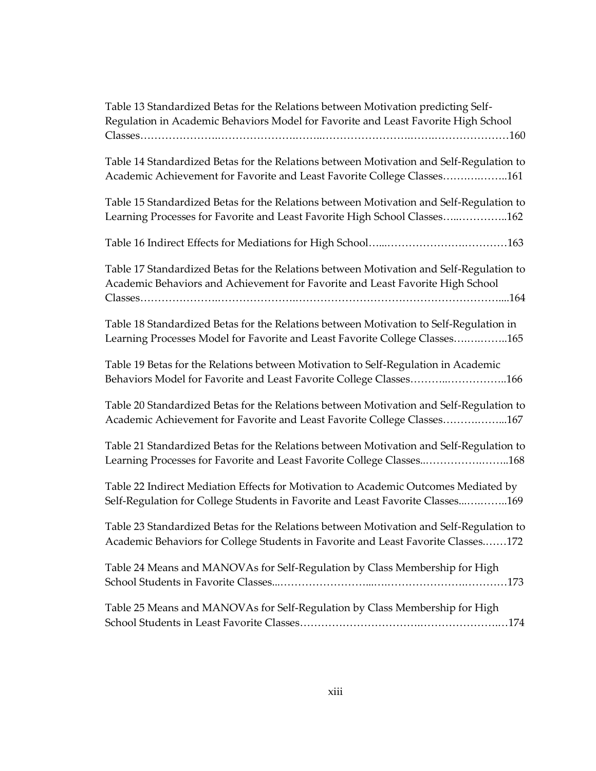| Table 13 Standardized Betas for the Relations between Motivation predicting Self-<br>Regulation in Academic Behaviors Model for Favorite and Least Favorite High School      |
|------------------------------------------------------------------------------------------------------------------------------------------------------------------------------|
| Table 14 Standardized Betas for the Relations between Motivation and Self-Regulation to<br>Academic Achievement for Favorite and Least Favorite College Classes161           |
| Table 15 Standardized Betas for the Relations between Motivation and Self-Regulation to<br>Learning Processes for Favorite and Least Favorite High School Classes162         |
|                                                                                                                                                                              |
| Table 17 Standardized Betas for the Relations between Motivation and Self-Regulation to<br>Academic Behaviors and Achievement for Favorite and Least Favorite High School    |
| Table 18 Standardized Betas for the Relations between Motivation to Self-Regulation in<br>Learning Processes Model for Favorite and Least Favorite College Classes165        |
| Table 19 Betas for the Relations between Motivation to Self-Regulation in Academic<br>Behaviors Model for Favorite and Least Favorite College Classes166                     |
| Table 20 Standardized Betas for the Relations between Motivation and Self-Regulation to<br>Academic Achievement for Favorite and Least Favorite College Classes167           |
| Table 21 Standardized Betas for the Relations between Motivation and Self-Regulation to<br>Learning Processes for Favorite and Least Favorite College Classes168             |
| Table 22 Indirect Mediation Effects for Motivation to Academic Outcomes Mediated by<br>Self-Regulation for College Students in Favorite and Least Favorite Classes169        |
| Table 23 Standardized Betas for the Relations between Motivation and Self-Regulation to<br>Academic Behaviors for College Students in Favorite and Least Favorite Classes172 |
| Table 24 Means and MANOVAs for Self-Regulation by Class Membership for High                                                                                                  |
| Table 25 Means and MANOVAs for Self-Regulation by Class Membership for High                                                                                                  |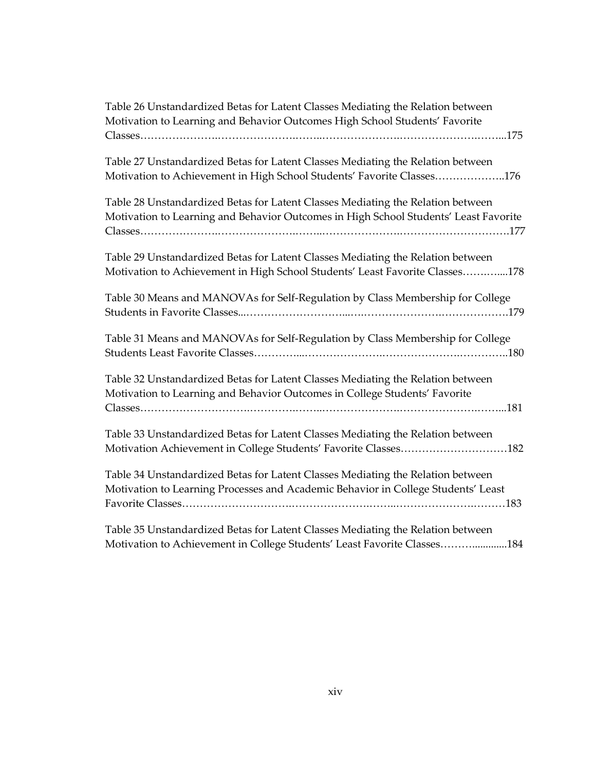| Table 26 Unstandardized Betas for Latent Classes Mediating the Relation between      |
|--------------------------------------------------------------------------------------|
| Motivation to Learning and Behavior Outcomes High School Students' Favorite          |
|                                                                                      |
| Table 27 Unstandardized Betas for Latent Classes Mediating the Relation between      |
| Motivation to Achievement in High School Students' Favorite Classes176               |
| Table 28 Unstandardized Betas for Latent Classes Mediating the Relation between      |
| Motivation to Learning and Behavior Outcomes in High School Students' Least Favorite |
| Table 29 Unstandardized Betas for Latent Classes Mediating the Relation between      |
| Motivation to Achievement in High School Students' Least Favorite Classes178         |
| Table 30 Means and MANOVAs for Self-Regulation by Class Membership for College       |
|                                                                                      |
| Table 31 Means and MANOVAs for Self-Regulation by Class Membership for College       |
|                                                                                      |
| Table 32 Unstandardized Betas for Latent Classes Mediating the Relation between      |
| Motivation to Learning and Behavior Outcomes in College Students' Favorite           |
|                                                                                      |
| Table 33 Unstandardized Betas for Latent Classes Mediating the Relation between      |
| Motivation Achievement in College Students' Favorite Classes182                      |
| Table 34 Unstandardized Betas for Latent Classes Mediating the Relation between      |
| Motivation to Learning Processes and Academic Behavior in College Students' Least    |
|                                                                                      |
| Table 35 Unstandardized Betas for Latent Classes Mediating the Relation between      |
| Motivation to Achievement in College Students' Least Favorite Classes184             |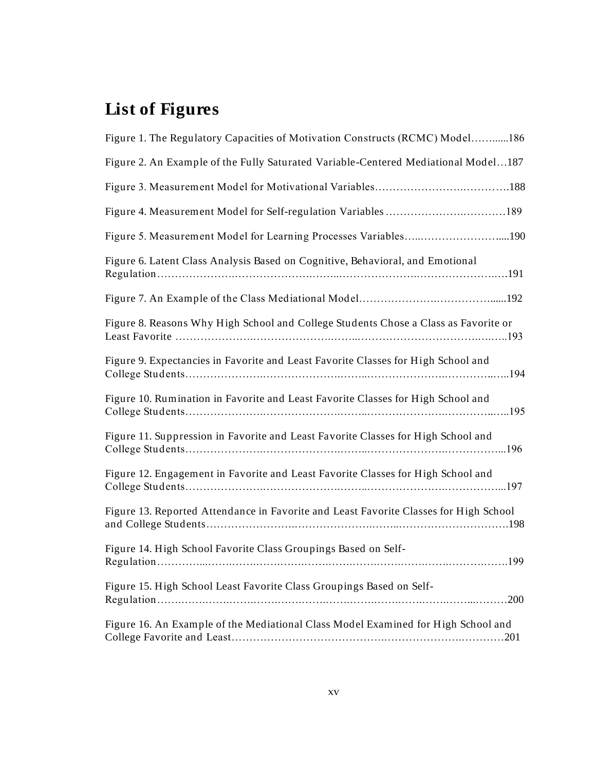# **List of Figures**

| Figure 1. The Regulatory Capacities of Motivation Constructs (RCMC) Model186          |      |
|---------------------------------------------------------------------------------------|------|
| Figure 2. An Example of the Fully Saturated Variable-Centered Mediational Model187    |      |
|                                                                                       |      |
|                                                                                       |      |
| Figure 5. Measurement Model for Learning Processes Variables190                       |      |
| Figure 6. Latent Class Analysis Based on Cognitive, Behavioral, and Emotional         |      |
|                                                                                       |      |
| Figure 8. Reasons Why High School and College Students Chose a Class as Favorite or   |      |
| Figure 9. Expectancies in Favorite and Least Favorite Classes for High School and     |      |
| Figure 10. Rumination in Favorite and Least Favorite Classes for High School and      |      |
| Figure 11. Suppression in Favorite and Least Favorite Classes for High School and     |      |
| Figure 12. Engagement in Favorite and Least Favorite Classes for High School and      |      |
| Figure 13. Reported Attendance in Favorite and Least Favorite Classes for High School |      |
| Figure 14. High School Favorite Class Groupings Based on Self-                        |      |
| Figure 15. High School Least Favorite Class Groupings Based on Self-                  | .200 |
| Figure 16. An Example of the Mediational Class Model Examined for High School and     |      |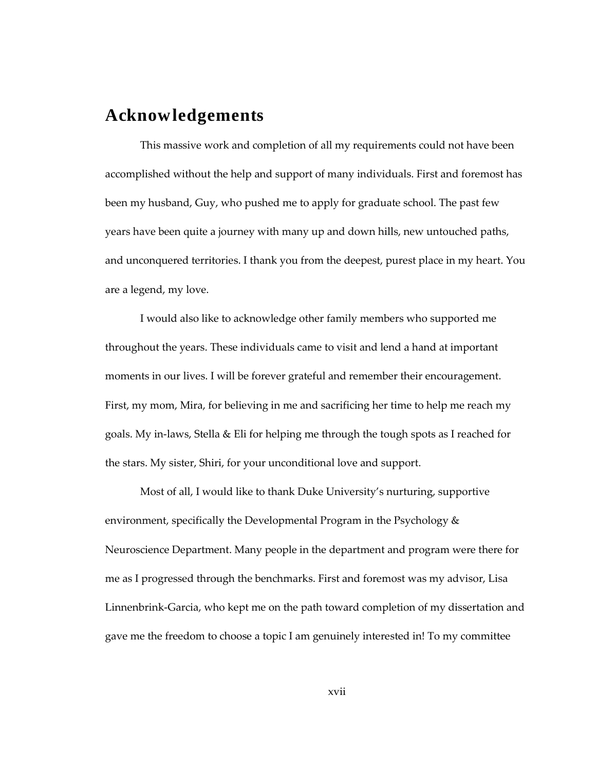### **Acknowledgements**

This massive work and completion of all my requirements could not have been accomplished without the help and support of many individuals. First and foremost has been my husband, Guy, who pushed me to apply for graduate school. The past few years have been quite a journey with many up and down hills, new untouched paths, and unconquered territories. I thank you from the deepest, purest place in my heart. You are a legend, my love.

I would also like to acknowledge other family members who supported me throughout the years. These individuals came to visit and lend a hand at important moments in our lives. I will be forever grateful and remember their encouragement. First, my mom, Mira, for believing in me and sacrificing her time to help me reach my goals. My in-laws, Stella & Eli for helping me through the tough spots as I reached for the stars. My sister, Shiri, for your unconditional love and support.

Most of all, I would like to thank Duke University's nurturing, supportive environment, specifically the Developmental Program in the Psychology & Neuroscience Department. Many people in the department and program were there for me as I progressed through the benchmarks. First and foremost was my advisor, Lisa Linnenbrink-Garcia, who kept me on the path toward completion of my dissertation and gave me the freedom to choose a topic I am genuinely interested in! To my committee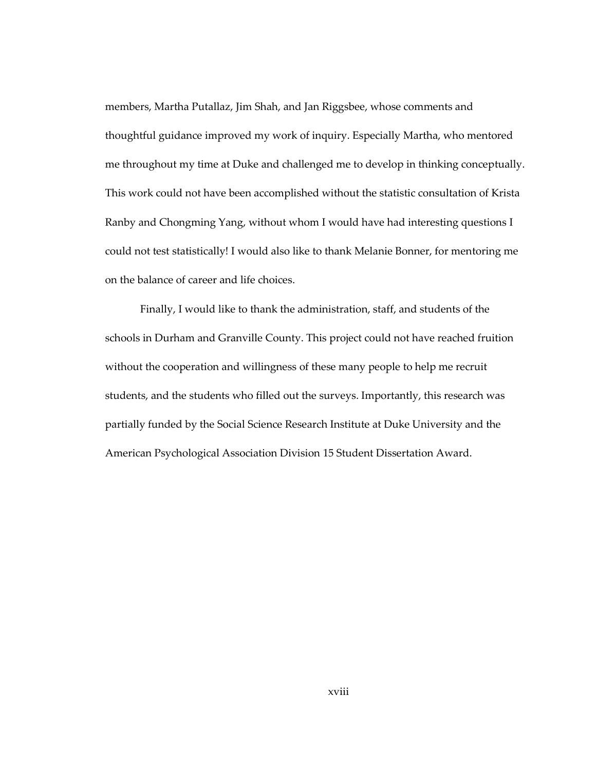members, Martha Putallaz, Jim Shah, and Jan Riggsbee, whose comments and thoughtful guidance improved my work of inquiry. Especially Martha, who mentored me throughout my time at Duke and challenged me to develop in thinking conceptually. This work could not have been accomplished without the statistic consultation of Krista Ranby and Chongming Yang, without whom I would have had interesting questions I could not test statistically! I would also like to thank Melanie Bonner, for mentoring me on the balance of career and life choices.

Finally, I would like to thank the administration, staff, and students of the schools in Durham and Granville County. This project could not have reached fruition without the cooperation and willingness of these many people to help me recruit students, and the students who filled out the surveys. Importantly, this research was partially funded by the Social Science Research Institute at Duke University and the American Psychological Association Division 15 Student Dissertation Award.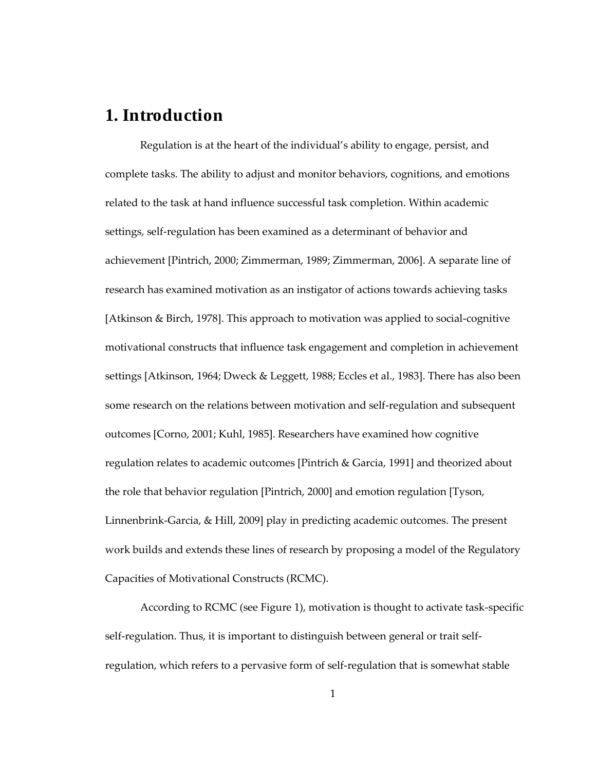### **1. Introduction**

Regulation is at the heart of the individual's ability to engage, persist, and complete tasks. The ability to adjust and monitor behaviors, cognitions, and emotions related to the task at hand influence successful task completion. Within academic settings, self-regulation has been examined as a determinant of behavior and achievement [Pintrich, 2000; Zimmerman, 1989; Zimmerman, 2006]. A separate line of research has examined motivation as an instigator of actions towards achieving tasks [Atkinson & Birch, 1978]. This approach to motivation was applied to social-cognitive motivational constructs that influence task engagement and completion in achievement settings [Atkinson, 1964; Dweck & Leggett, 1988; Eccles et al., 1983]. There has also been some research on the relations between motivation and self-regulation and subsequent outcomes [Corno, 2001; Kuhl, 1985]. Researchers have examined how cognitive regulation relates to academic outcomes [Pintrich & Garcia, 1991] and theorized about the role that behavior regulation [Pintrich, 2000] and emotion regulation [Tyson, Linnenbrink-Garcia, & Hill, 2009] play in predicting academic outcomes. The present work builds and extends these lines of research by proposing a model of the Regulatory Capacities of Motivational Constructs (RCMC).

According to RCMC (see Figure 1), motivation is thought to activate task-specific self-regulation. Thus, it is important to distinguish between general or trait selfregulation, which refers to a pervasive form of self-regulation that is somewhat stable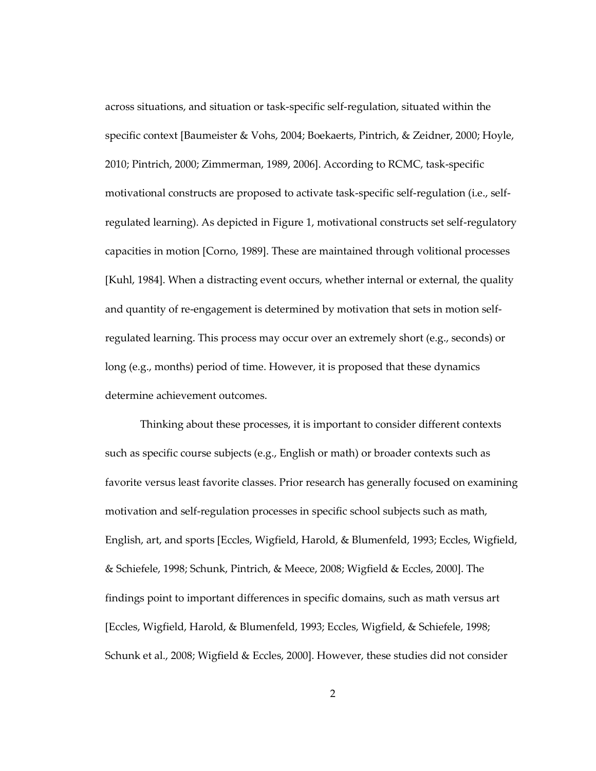across situations, and situation or task-specific self-regulation, situated within the specific context [Baumeister & Vohs, 2004; Boekaerts, Pintrich, & Zeidner, 2000; Hoyle, 2010; Pintrich, 2000; Zimmerman, 1989, 2006]. According to RCMC, task-specific motivational constructs are proposed to activate task-specific self-regulation (i.e., selfregulated learning). As depicted in Figure 1, motivational constructs set self-regulatory capacities in motion [Corno, 1989]. These are maintained through volitional processes [Kuhl, 1984]. When a distracting event occurs, whether internal or external, the quality and quantity of re-engagement is determined by motivation that sets in motion selfregulated learning. This process may occur over an extremely short (e.g., seconds) or long (e.g., months) period of time. However, it is proposed that these dynamics determine achievement outcomes.

Thinking about these processes, it is important to consider different contexts such as specific course subjects (e.g., English or math) or broader contexts such as favorite versus least favorite classes. Prior research has generally focused on examining motivation and self-regulation processes in specific school subjects such as math, English, art, and sports [Eccles, Wigfield, Harold, & Blumenfeld, 1993; Eccles, Wigfield, & Schiefele, 1998; Schunk, Pintrich, & Meece, 2008; Wigfield & Eccles, 2000]. The findings point to important differences in specific domains, such as math versus art [Eccles, Wigfield, Harold, & Blumenfeld, 1993; Eccles, Wigfield, & Schiefele, 1998; Schunk et al., 2008; Wigfield & Eccles, 2000]. However, these studies did not consider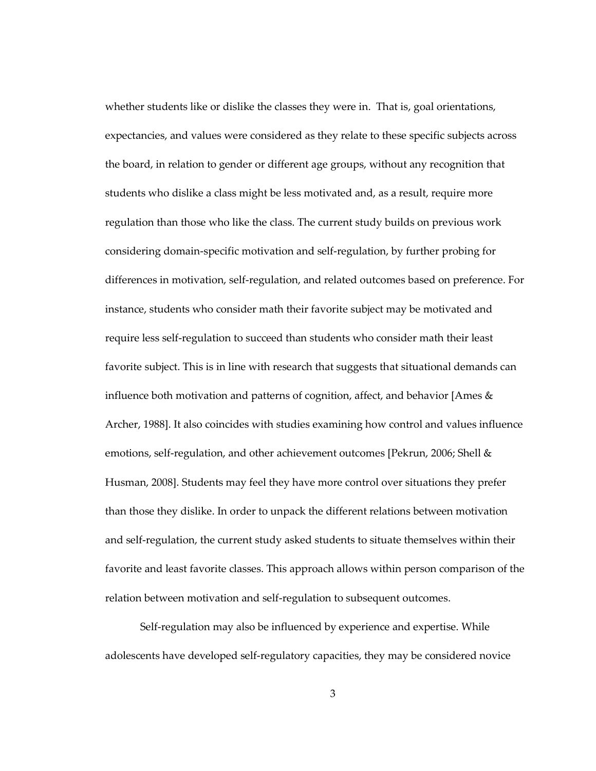whether students like or dislike the classes they were in. That is, goal orientations, expectancies, and values were considered as they relate to these specific subjects across the board, in relation to gender or different age groups, without any recognition that students who dislike a class might be less motivated and, as a result, require more regulation than those who like the class. The current study builds on previous work considering domain-specific motivation and self-regulation, by further probing for differences in motivation, self-regulation, and related outcomes based on preference. For instance, students who consider math their favorite subject may be motivated and require less self-regulation to succeed than students who consider math their least favorite subject. This is in line with research that suggests that situational demands can influence both motivation and patterns of cognition, affect, and behavior [Ames & Archer, 1988]. It also coincides with studies examining how control and values influence emotions, self-regulation, and other achievement outcomes [Pekrun, 2006; Shell & Husman, 2008]. Students may feel they have more control over situations they prefer than those they dislike. In order to unpack the different relations between motivation and self-regulation, the current study asked students to situate themselves within their favorite and least favorite classes. This approach allows within person comparison of the relation between motivation and self-regulation to subsequent outcomes.

Self-regulation may also be influenced by experience and expertise. While adolescents have developed self-regulatory capacities, they may be considered novice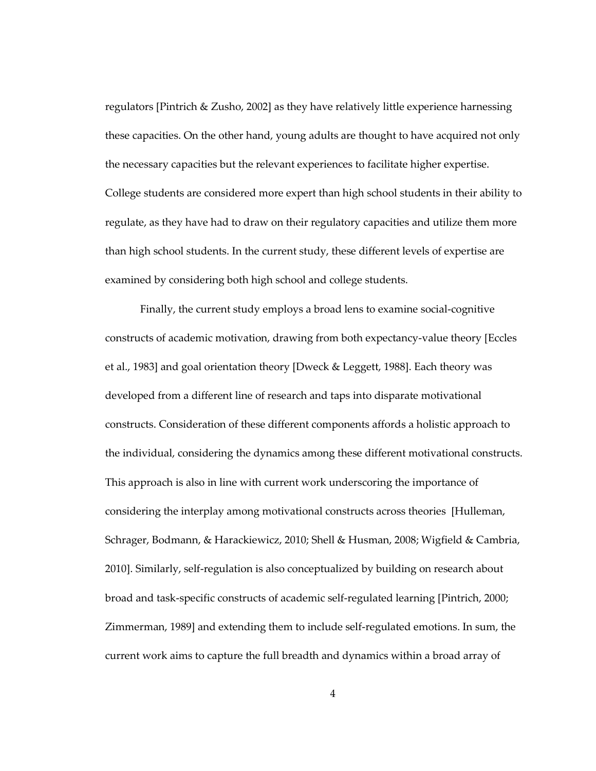regulators [Pintrich & Zusho, 2002] as they have relatively little experience harnessing these capacities. On the other hand, young adults are thought to have acquired not only the necessary capacities but the relevant experiences to facilitate higher expertise. College students are considered more expert than high school students in their ability to regulate, as they have had to draw on their regulatory capacities and utilize them more than high school students. In the current study, these different levels of expertise are examined by considering both high school and college students.

Finally, the current study employs a broad lens to examine social-cognitive constructs of academic motivation, drawing from both expectancy-value theory [Eccles et al., 1983] and goal orientation theory [Dweck & Leggett, 1988]. Each theory was developed from a different line of research and taps into disparate motivational constructs. Consideration of these different components affords a holistic approach to the individual, considering the dynamics among these different motivational constructs. This approach is also in line with current work underscoring the importance of considering the interplay among motivational constructs across theories [Hulleman, Schrager, Bodmann, & Harackiewicz, 2010; Shell & Husman, 2008; Wigfield & Cambria, 2010]. Similarly, self-regulation is also conceptualized by building on research about broad and task-specific constructs of academic self-regulated learning [Pintrich, 2000; Zimmerman, 1989] and extending them to include self-regulated emotions. In sum, the current work aims to capture the full breadth and dynamics within a broad array of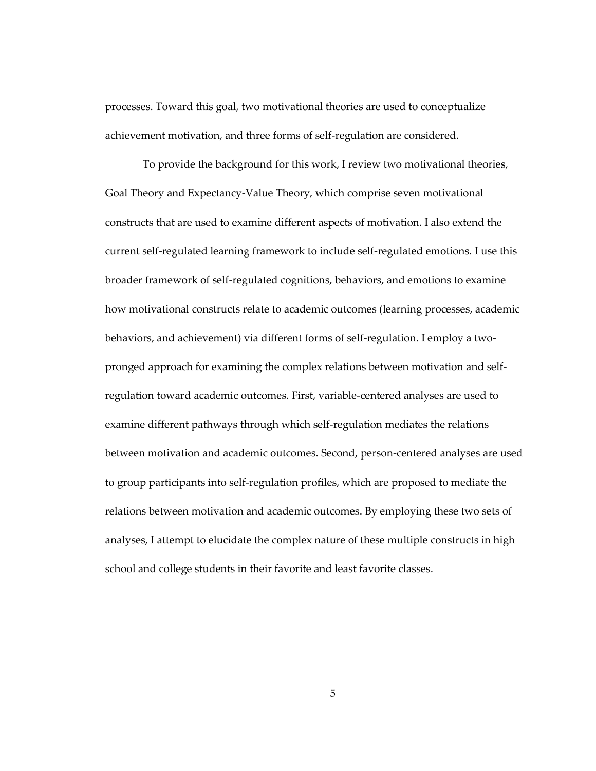processes. Toward this goal, two motivational theories are used to conceptualize achievement motivation, and three forms of self-regulation are considered.

To provide the background for this work, I review two motivational theories, Goal Theory and Expectancy-Value Theory, which comprise seven motivational constructs that are used to examine different aspects of motivation. I also extend the current self-regulated learning framework to include self-regulated emotions. I use this broader framework of self-regulated cognitions, behaviors, and emotions to examine how motivational constructs relate to academic outcomes (learning processes, academic behaviors, and achievement) via different forms of self-regulation. I employ a twopronged approach for examining the complex relations between motivation and selfregulation toward academic outcomes. First, variable-centered analyses are used to examine different pathways through which self-regulation mediates the relations between motivation and academic outcomes. Second, person-centered analyses are used to group participants into self-regulation profiles, which are proposed to mediate the relations between motivation and academic outcomes. By employing these two sets of analyses, I attempt to elucidate the complex nature of these multiple constructs in high school and college students in their favorite and least favorite classes.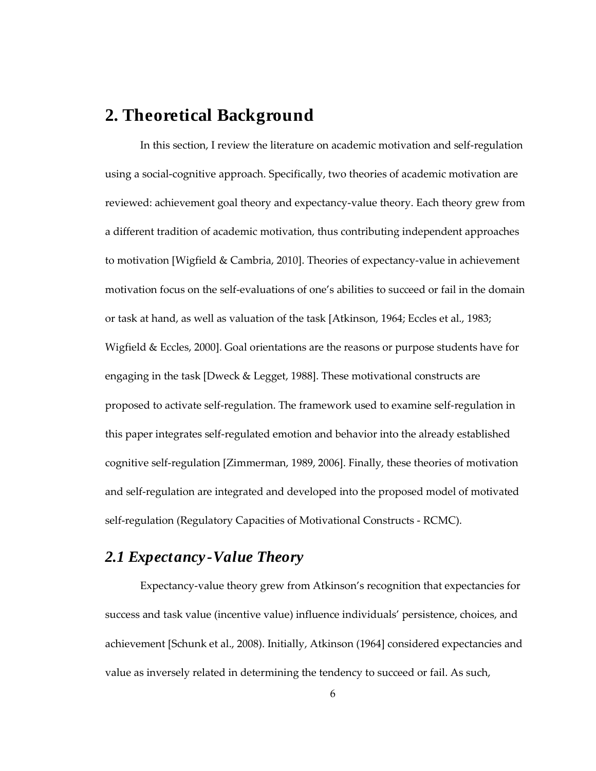### **2. Theoretical Background**

In this section, I review the literature on academic motivation and self-regulation using a social-cognitive approach. Specifically, two theories of academic motivation are reviewed: achievement goal theory and expectancy-value theory. Each theory grew from a different tradition of academic motivation, thus contributing independent approaches to motivation [Wigfield & Cambria, 2010]. Theories of expectancy-value in achievement motivation focus on the self-evaluations of one's abilities to succeed or fail in the domain or task at hand, as well as valuation of the task [Atkinson, 1964; Eccles et al., 1983; Wigfield & Eccles, 2000]. Goal orientations are the reasons or purpose students have for engaging in the task [Dweck & Legget, 1988]. These motivational constructs are proposed to activate self-regulation. The framework used to examine self-regulation in this paper integrates self-regulated emotion and behavior into the already established cognitive self-regulation [Zimmerman, 1989, 2006]. Finally, these theories of motivation and self-regulation are integrated and developed into the proposed model of motivated self-regulation (Regulatory Capacities of Motivational Constructs - RCMC).

### *2.1 Expectancy -Value Theory*

Expectancy-value theory grew from Atkinson's recognition that expectancies for success and task value (incentive value) influence individuals' persistence, choices, and achievement [Schunk et al., 2008). Initially, Atkinson (1964] considered expectancies and value as inversely related in determining the tendency to succeed or fail. As such,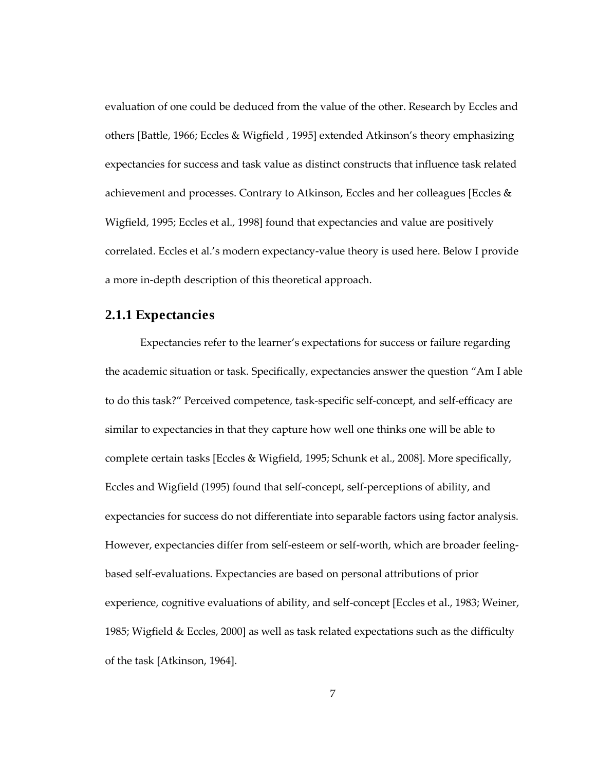evaluation of one could be deduced from the value of the other. Research by Eccles and others [Battle, 1966; Eccles & Wigfield , 1995] extended Atkinson's theory emphasizing expectancies for success and task value as distinct constructs that influence task related achievement and processes. Contrary to Atkinson, Eccles and her colleagues [Eccles & Wigfield, 1995; Eccles et al., 1998] found that expectancies and value are positively correlated. Eccles et al.'s modern expectancy-value theory is used here. Below I provide a more in-depth description of this theoretical approach.

#### **2.1.1 Expectancies**

Expectancies refer to the learner's expectations for success or failure regarding the academic situation or task. Specifically, expectancies answer the question "Am I able to do this task?" Perceived competence, task-specific self-concept, and self-efficacy are similar to expectancies in that they capture how well one thinks one will be able to complete certain tasks [Eccles & Wigfield, 1995; Schunk et al., 2008]. More specifically, Eccles and Wigfield (1995) found that self-concept, self-perceptions of ability, and expectancies for success do not differentiate into separable factors using factor analysis. However, expectancies differ from self-esteem or self-worth, which are broader feelingbased self-evaluations. Expectancies are based on personal attributions of prior experience, cognitive evaluations of ability, and self-concept [Eccles et al., 1983; Weiner, 1985; Wigfield & Eccles, 2000] as well as task related expectations such as the difficulty of the task [Atkinson, 1964].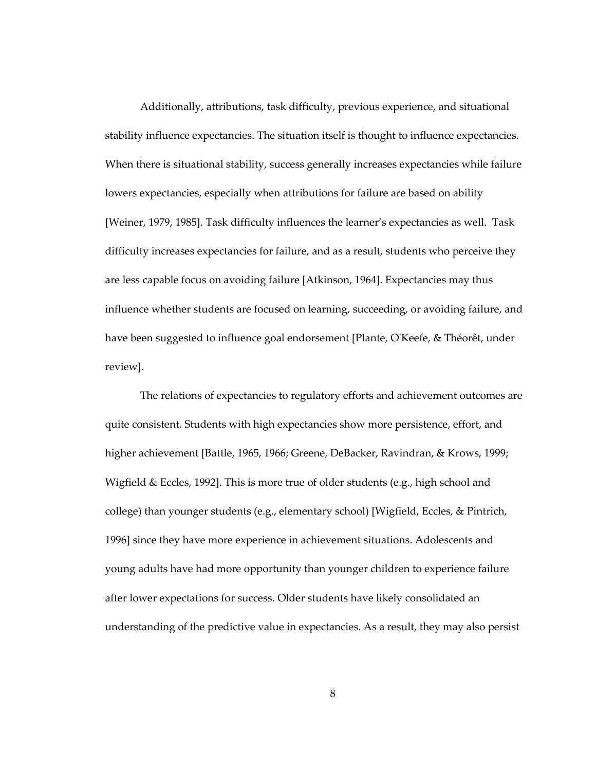Additionally, attributions, task difficulty, previous experience, and situational stability influence expectancies. The situation itself is thought to influence expectancies. When there is situational stability, success generally increases expectancies while failure lowers expectancies, especially when attributions for failure are based on ability [Weiner, 1979, 1985]. Task difficulty influences the learner's expectancies as well. Task difficulty increases expectancies for failure, and as a result, students who perceive they are less capable focus on avoiding failure [Atkinson, 1964]. Expectancies may thus influence whether students are focused on learning, succeeding, or avoiding failure, and have been suggested to influence goal endorsement [Plante, O'Keefe, & Théorêt, under review].

The relations of expectancies to regulatory efforts and achievement outcomes are quite consistent. Students with high expectancies show more persistence, effort, and higher achievement [Battle, 1965, 1966; Greene, DeBacker, Ravindran, & Krows, 1999; Wigfield  $\&$  Eccles, 1992]. This is more true of older students (e.g., high school and college) than younger students (e.g., elementary school) [Wigfield, Eccles, & Pintrich, 1996] since they have more experience in achievement situations. Adolescents and young adults have had more opportunity than younger children to experience failure after lower expectations for success. Older students have likely consolidated an understanding of the predictive value in expectancies. As a result, they may also persist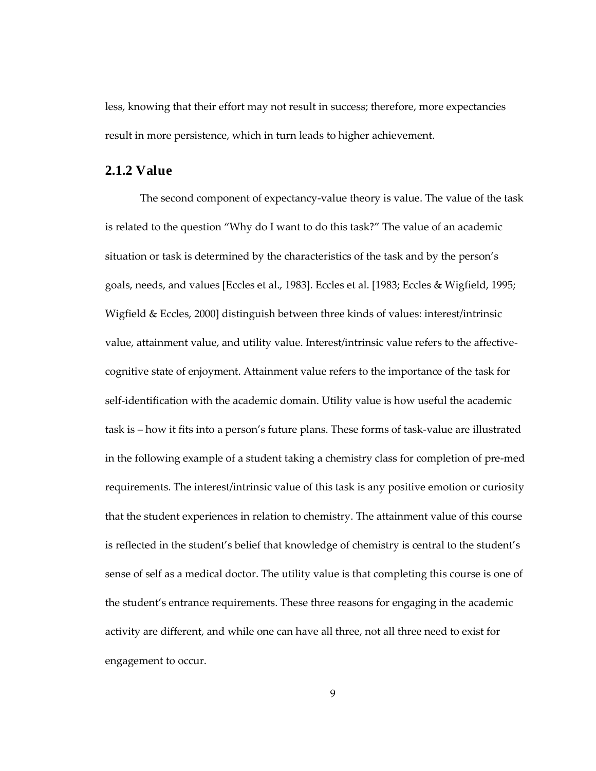less, knowing that their effort may not result in success; therefore, more expectancies result in more persistence, which in turn leads to higher achievement.

#### **2.1.2 Value**

The second component of expectancy-value theory is value. The value of the task is related to the question "Why do I want to do this task?" The value of an academic situation or task is determined by the characteristics of the task and by the person's goals, needs, and values [Eccles et al., 1983]. Eccles et al. [1983; Eccles & Wigfield, 1995; Wigfield & Eccles, 2000] distinguish between three kinds of values: interest/intrinsic value, attainment value, and utility value. Interest/intrinsic value refers to the affectivecognitive state of enjoyment. Attainment value refers to the importance of the task for self-identification with the academic domain. Utility value is how useful the academic task is – how it fits into a person's future plans. These forms of task-value are illustrated in the following example of a student taking a chemistry class for completion of pre-med requirements. The interest/intrinsic value of this task is any positive emotion or curiosity that the student experiences in relation to chemistry. The attainment value of this course is reflected in the student's belief that knowledge of chemistry is central to the student's sense of self as a medical doctor. The utility value is that completing this course is one of the student's entrance requirements. These three reasons for engaging in the academic activity are different, and while one can have all three, not all three need to exist for engagement to occur.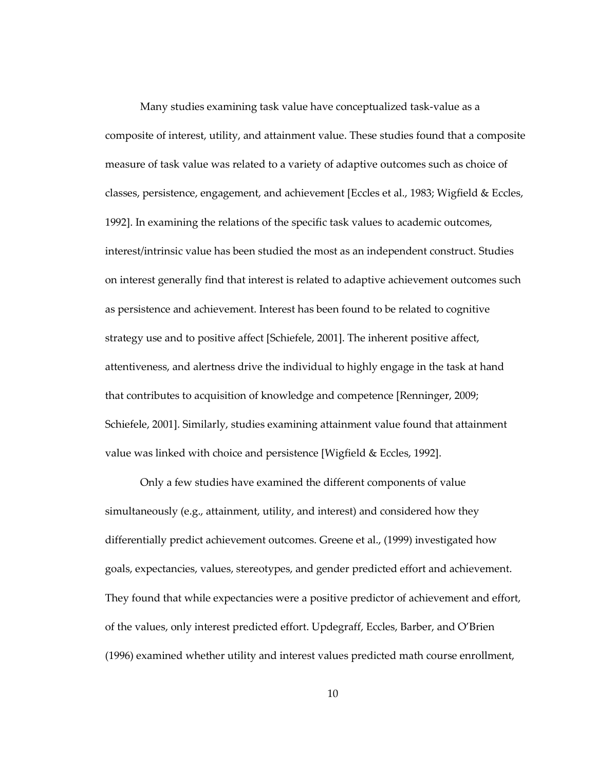Many studies examining task value have conceptualized task-value as a composite of interest, utility, and attainment value. These studies found that a composite measure of task value was related to a variety of adaptive outcomes such as choice of classes, persistence, engagement, and achievement [Eccles et al., 1983; Wigfield & Eccles, 1992]. In examining the relations of the specific task values to academic outcomes, interest/intrinsic value has been studied the most as an independent construct. Studies on interest generally find that interest is related to adaptive achievement outcomes such as persistence and achievement. Interest has been found to be related to cognitive strategy use and to positive affect [Schiefele, 2001]. The inherent positive affect, attentiveness, and alertness drive the individual to highly engage in the task at hand that contributes to acquisition of knowledge and competence [Renninger, 2009; Schiefele, 2001]. Similarly, studies examining attainment value found that attainment value was linked with choice and persistence [Wigfield & Eccles, 1992].

Only a few studies have examined the different components of value simultaneously (e.g., attainment, utility, and interest) and considered how they differentially predict achievement outcomes. Greene et al., (1999) investigated how goals, expectancies, values, stereotypes, and gender predicted effort and achievement. They found that while expectancies were a positive predictor of achievement and effort, of the values, only interest predicted effort. Updegraff, Eccles, Barber, and O'Brien (1996) examined whether utility and interest values predicted math course enrollment,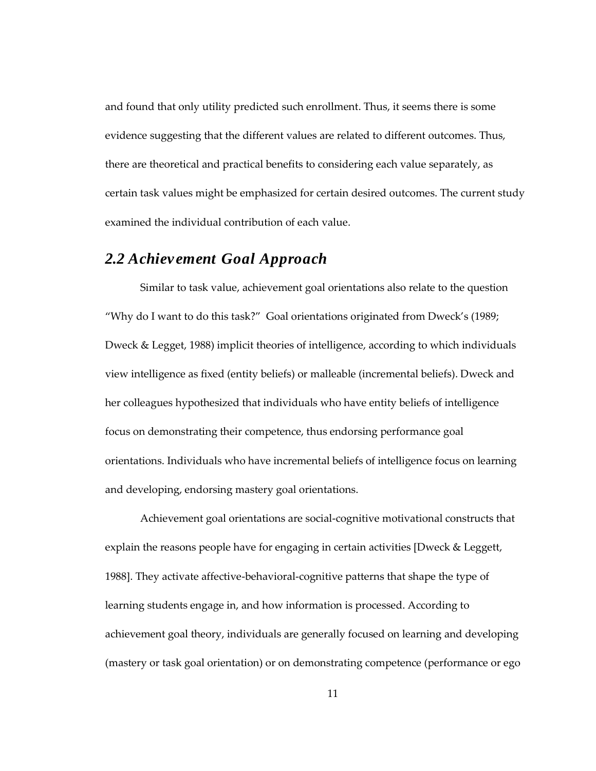and found that only utility predicted such enrollment. Thus, it seems there is some evidence suggesting that the different values are related to different outcomes. Thus, there are theoretical and practical benefits to considering each value separately, as certain task values might be emphasized for certain desired outcomes. The current study examined the individual contribution of each value.

### *2.2 Achievement Goal Approach*

Similar to task value, achievement goal orientations also relate to the question "Why do I want to do this task?" Goal orientations originated from Dweck's (1989; Dweck & Legget, 1988) implicit theories of intelligence, according to which individuals view intelligence as fixed (entity beliefs) or malleable (incremental beliefs). Dweck and her colleagues hypothesized that individuals who have entity beliefs of intelligence focus on demonstrating their competence, thus endorsing performance goal orientations. Individuals who have incremental beliefs of intelligence focus on learning and developing, endorsing mastery goal orientations.

Achievement goal orientations are social-cognitive motivational constructs that explain the reasons people have for engaging in certain activities [Dweck & Leggett, 1988]. They activate affective-behavioral-cognitive patterns that shape the type of learning students engage in, and how information is processed. According to achievement goal theory, individuals are generally focused on learning and developing (mastery or task goal orientation) or on demonstrating competence (performance or ego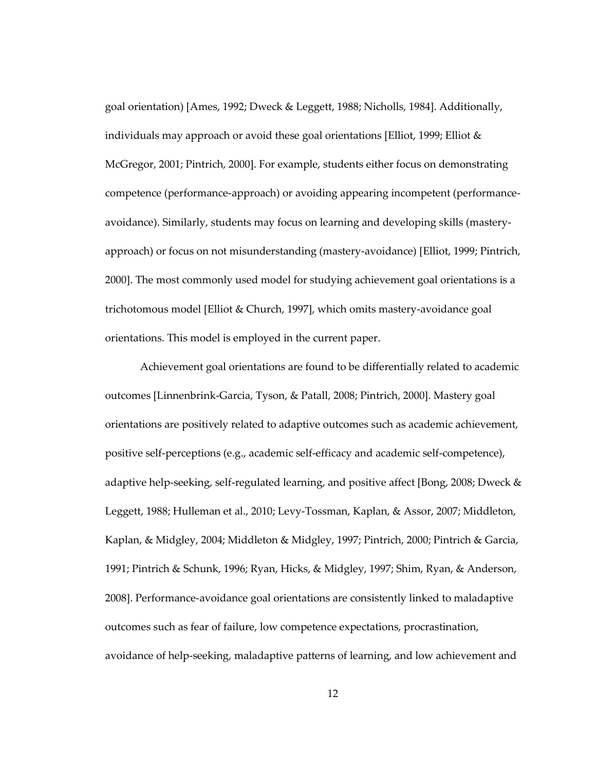goal orientation) [Ames, 1992; Dweck & Leggett, 1988; Nicholls, 1984]. Additionally, individuals may approach or avoid these goal orientations [Elliot, 1999; Elliot & McGregor, 2001; Pintrich, 2000]. For example, students either focus on demonstrating competence (performance-approach) or avoiding appearing incompetent (performanceavoidance). Similarly, students may focus on learning and developing skills (masteryapproach) or focus on not misunderstanding (mastery-avoidance) [Elliot, 1999; Pintrich, 2000]. The most commonly used model for studying achievement goal orientations is a trichotomous model [Elliot & Church, 1997], which omits mastery-avoidance goal orientations. This model is employed in the current paper.

Achievement goal orientations are found to be differentially related to academic outcomes [Linnenbrink-Garcia, Tyson, & Patall, 2008; Pintrich, 2000]. Mastery goal orientations are positively related to adaptive outcomes such as academic achievement, positive self-perceptions (e.g., academic self-efficacy and academic self-competence), adaptive help-seeking, self-regulated learning, and positive affect [Bong, 2008; Dweck & Leggett, 1988; Hulleman et al., 2010; Levy-Tossman, Kaplan, & Assor, 2007; Middleton, Kaplan, & Midgley, 2004; Middleton & Midgley, 1997; Pintrich, 2000; Pintrich & Garcia, 1991; Pintrich & Schunk, 1996; Ryan, Hicks, & Midgley, 1997; Shim, Ryan, & Anderson, 2008]. Performance-avoidance goal orientations are consistently linked to maladaptive outcomes such as fear of failure, low competence expectations, procrastination, avoidance of help-seeking, maladaptive patterns of learning, and low achievement and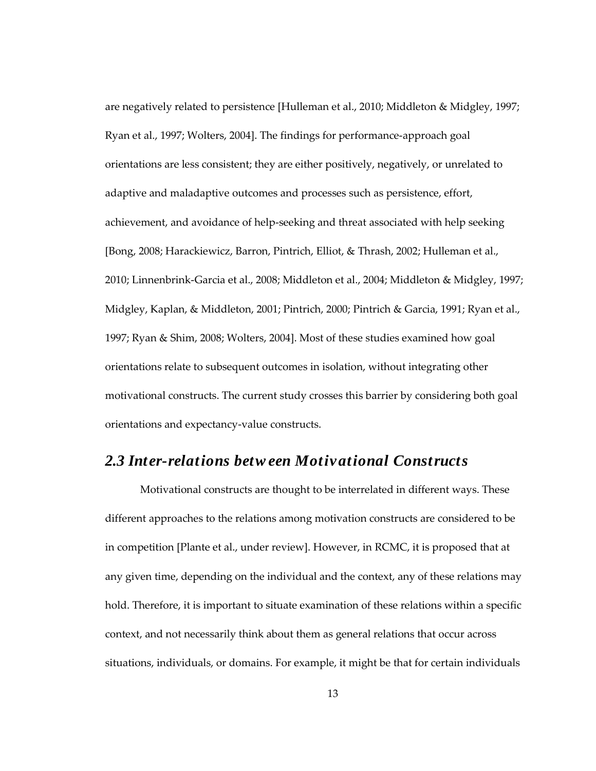are negatively related to persistence [Hulleman et al., 2010; Middleton & Midgley, 1997; Ryan et al., 1997; Wolters, 2004]. The findings for performance-approach goal orientations are less consistent; they are either positively, negatively, or unrelated to adaptive and maladaptive outcomes and processes such as persistence, effort, achievement, and avoidance of help-seeking and threat associated with help seeking [Bong, 2008; Harackiewicz, Barron, Pintrich, Elliot, & Thrash, 2002; Hulleman et al., 2010; Linnenbrink-Garcia et al., 2008; Middleton et al., 2004; Middleton & Midgley, 1997; Midgley, Kaplan, & Middleton, 2001; Pintrich, 2000; Pintrich & Garcia, 1991; Ryan et al., 1997; Ryan & Shim, 2008; Wolters, 2004]. Most of these studies examined how goal orientations relate to subsequent outcomes in isolation, without integrating other motivational constructs. The current study crosses this barrier by considering both goal orientations and expectancy-value constructs.

#### *2.3 Inter-relations betw een Motivational Constructs*

Motivational constructs are thought to be interrelated in different ways. These different approaches to the relations among motivation constructs are considered to be in competition [Plante et al., under review]. However, in RCMC, it is proposed that at any given time, depending on the individual and the context, any of these relations may hold. Therefore, it is important to situate examination of these relations within a specific context, and not necessarily think about them as general relations that occur across situations, individuals, or domains. For example, it might be that for certain individuals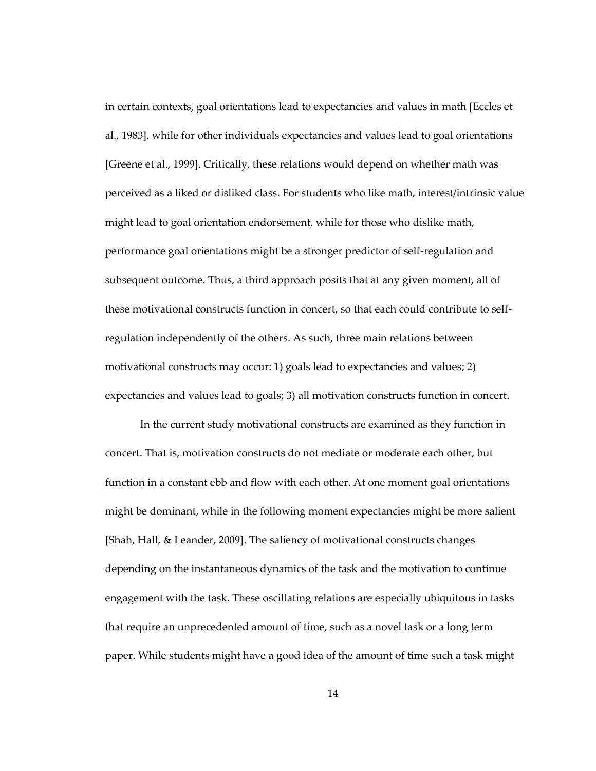in certain contexts, goal orientations lead to expectancies and values in math [Eccles et al., 1983], while for other individuals expectancies and values lead to goal orientations [Greene et al., 1999]. Critically, these relations would depend on whether math was perceived as a liked or disliked class. For students who like math, interest/intrinsic value might lead to goal orientation endorsement, while for those who dislike math, performance goal orientations might be a stronger predictor of self-regulation and subsequent outcome. Thus, a third approach posits that at any given moment, all of these motivational constructs function in concert, so that each could contribute to selfregulation independently of the others. As such, three main relations between motivational constructs may occur: 1) goals lead to expectancies and values; 2) expectancies and values lead to goals; 3) all motivation constructs function in concert.

In the current study motivational constructs are examined as they function in concert. That is, motivation constructs do not mediate or moderate each other, but function in a constant ebb and flow with each other. At one moment goal orientations might be dominant, while in the following moment expectancies might be more salient [Shah, Hall, & Leander, 2009]. The saliency of motivational constructs changes depending on the instantaneous dynamics of the task and the motivation to continue engagement with the task. These oscillating relations are especially ubiquitous in tasks that require an unprecedented amount of time, such as a novel task or a long term paper. While students might have a good idea of the amount of time such a task might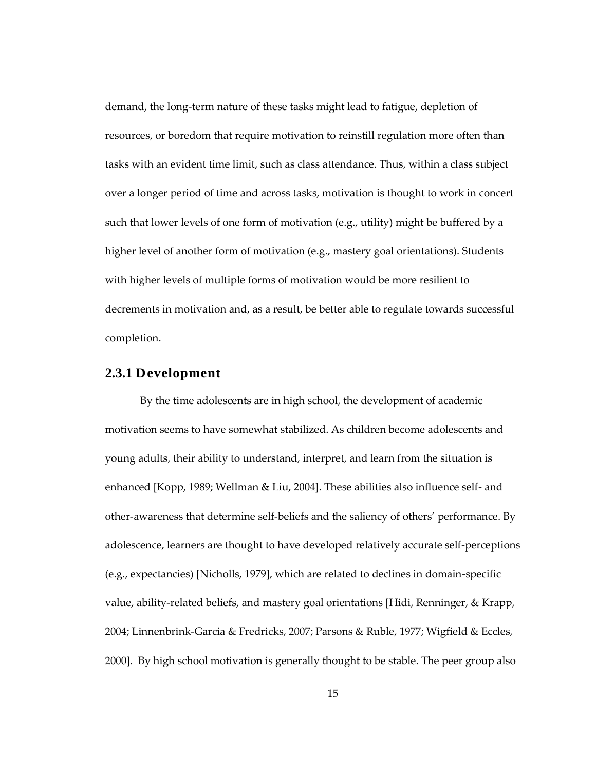demand, the long-term nature of these tasks might lead to fatigue, depletion of resources, or boredom that require motivation to reinstill regulation more often than tasks with an evident time limit, such as class attendance. Thus, within a class subject over a longer period of time and across tasks, motivation is thought to work in concert such that lower levels of one form of motivation (e.g., utility) might be buffered by a higher level of another form of motivation (e.g., mastery goal orientations). Students with higher levels of multiple forms of motivation would be more resilient to decrements in motivation and, as a result, be better able to regulate towards successful completion.

#### **2.3.1 Development**

By the time adolescents are in high school, the development of academic motivation seems to have somewhat stabilized. As children become adolescents and young adults, their ability to understand, interpret, and learn from the situation is enhanced [Kopp, 1989; Wellman & Liu, 2004]. These abilities also influence self- and other-awareness that determine self-beliefs and the saliency of others' performance. By adolescence, learners are thought to have developed relatively accurate self-perceptions (e.g., expectancies) [Nicholls, 1979], which are related to declines in domain-specific value, ability-related beliefs, and mastery goal orientations [Hidi, Renninger, & Krapp, 2004; Linnenbrink-Garcia & Fredricks, 2007; Parsons & Ruble, 1977; Wigfield & Eccles, 2000]. By high school motivation is generally thought to be stable. The peer group also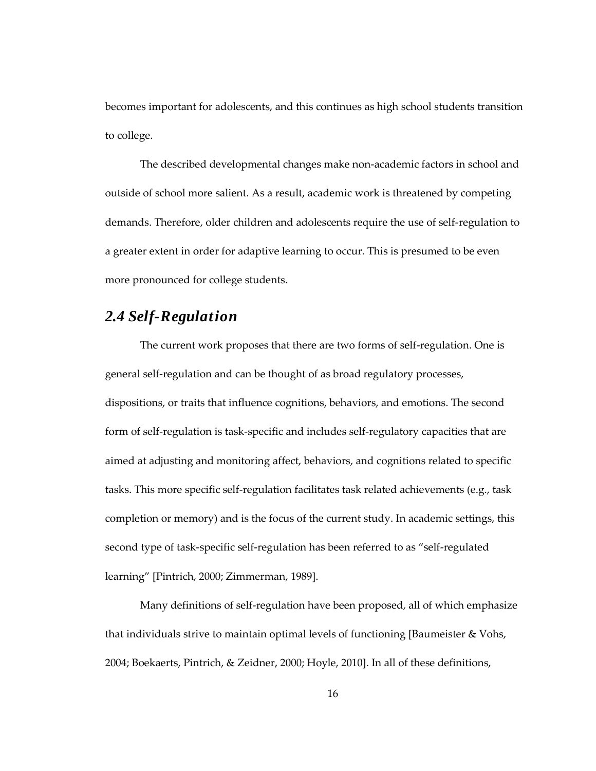becomes important for adolescents, and this continues as high school students transition to college.

The described developmental changes make non-academic factors in school and outside of school more salient. As a result, academic work is threatened by competing demands. Therefore, older children and adolescents require the use of self-regulation to a greater extent in order for adaptive learning to occur. This is presumed to be even more pronounced for college students.

### *2.4 Self-Regulation*

The current work proposes that there are two forms of self-regulation. One is general self-regulation and can be thought of as broad regulatory processes, dispositions, or traits that influence cognitions, behaviors, and emotions. The second form of self-regulation is task-specific and includes self-regulatory capacities that are aimed at adjusting and monitoring affect, behaviors, and cognitions related to specific tasks. This more specific self-regulation facilitates task related achievements (e.g., task completion or memory) and is the focus of the current study. In academic settings, this second type of task-specific self-regulation has been referred to as "self-regulated learning" [Pintrich, 2000; Zimmerman, 1989].

Many definitions of self-regulation have been proposed, all of which emphasize that individuals strive to maintain optimal levels of functioning [Baumeister & Vohs, 2004; Boekaerts, Pintrich, & Zeidner, 2000; Hoyle, 2010]. In all of these definitions,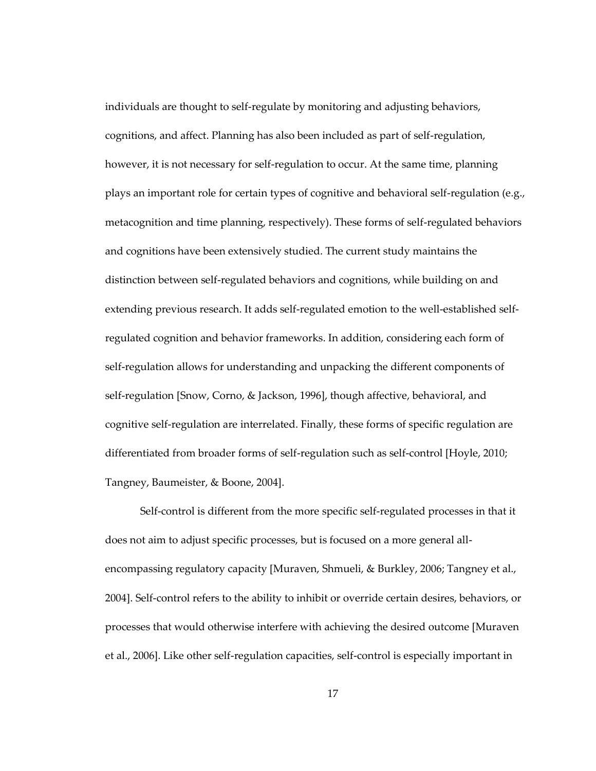individuals are thought to self-regulate by monitoring and adjusting behaviors, cognitions, and affect. Planning has also been included as part of self-regulation, however, it is not necessary for self-regulation to occur. At the same time, planning plays an important role for certain types of cognitive and behavioral self-regulation (e.g., metacognition and time planning, respectively). These forms of self-regulated behaviors and cognitions have been extensively studied. The current study maintains the distinction between self-regulated behaviors and cognitions, while building on and extending previous research. It adds self-regulated emotion to the well-established selfregulated cognition and behavior frameworks. In addition, considering each form of self-regulation allows for understanding and unpacking the different components of self-regulation [Snow, Corno, & Jackson, 1996], though affective, behavioral, and cognitive self-regulation are interrelated. Finally, these forms of specific regulation are differentiated from broader forms of self-regulation such as self-control [Hoyle, 2010; Tangney, Baumeister, & Boone, 2004].

Self-control is different from the more specific self-regulated processes in that it does not aim to adjust specific processes, but is focused on a more general allencompassing regulatory capacity [Muraven, Shmueli, & Burkley, 2006; Tangney et al., 2004]. Self-control refers to the ability to inhibit or override certain desires, behaviors, or processes that would otherwise interfere with achieving the desired outcome [Muraven et al., 2006]. Like other self-regulation capacities, self-control is especially important in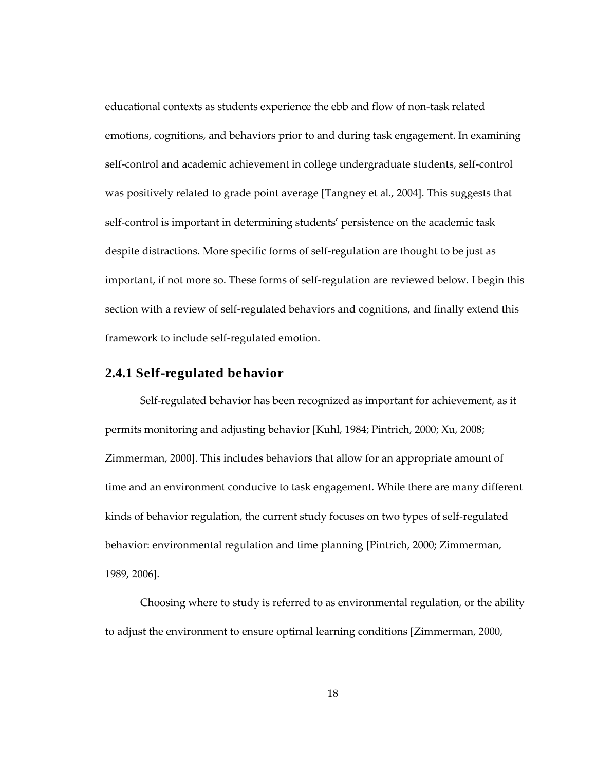educational contexts as students experience the ebb and flow of non-task related emotions, cognitions, and behaviors prior to and during task engagement. In examining self-control and academic achievement in college undergraduate students, self-control was positively related to grade point average [Tangney et al., 2004]. This suggests that self-control is important in determining students' persistence on the academic task despite distractions. More specific forms of self-regulation are thought to be just as important, if not more so. These forms of self-regulation are reviewed below. I begin this section with a review of self-regulated behaviors and cognitions, and finally extend this framework to include self-regulated emotion.

#### **2.4.1 Self-regulated behavior**

Self-regulated behavior has been recognized as important for achievement, as it permits monitoring and adjusting behavior [Kuhl, 1984; Pintrich, 2000; Xu, 2008; Zimmerman, 2000]. This includes behaviors that allow for an appropriate amount of time and an environment conducive to task engagement. While there are many different kinds of behavior regulation, the current study focuses on two types of self-regulated behavior: environmental regulation and time planning [Pintrich, 2000; Zimmerman, 1989, 2006].

Choosing where to study is referred to as environmental regulation, or the ability to adjust the environment to ensure optimal learning conditions [Zimmerman, 2000,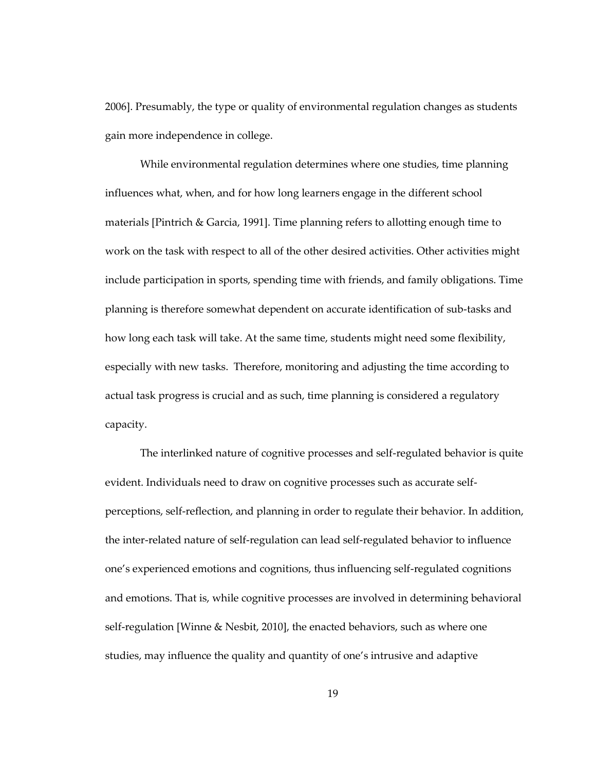2006]. Presumably, the type or quality of environmental regulation changes as students gain more independence in college.

While environmental regulation determines where one studies, time planning influences what, when, and for how long learners engage in the different school materials [Pintrich & Garcia, 1991]. Time planning refers to allotting enough time to work on the task with respect to all of the other desired activities. Other activities might include participation in sports, spending time with friends, and family obligations. Time planning is therefore somewhat dependent on accurate identification of sub-tasks and how long each task will take. At the same time, students might need some flexibility, especially with new tasks. Therefore, monitoring and adjusting the time according to actual task progress is crucial and as such, time planning is considered a regulatory capacity.

The interlinked nature of cognitive processes and self-regulated behavior is quite evident. Individuals need to draw on cognitive processes such as accurate selfperceptions, self-reflection, and planning in order to regulate their behavior. In addition, the inter-related nature of self-regulation can lead self-regulated behavior to influence one's experienced emotions and cognitions, thus influencing self-regulated cognitions and emotions. That is, while cognitive processes are involved in determining behavioral self-regulation [Winne & Nesbit, 2010], the enacted behaviors, such as where one studies, may influence the quality and quantity of one's intrusive and adaptive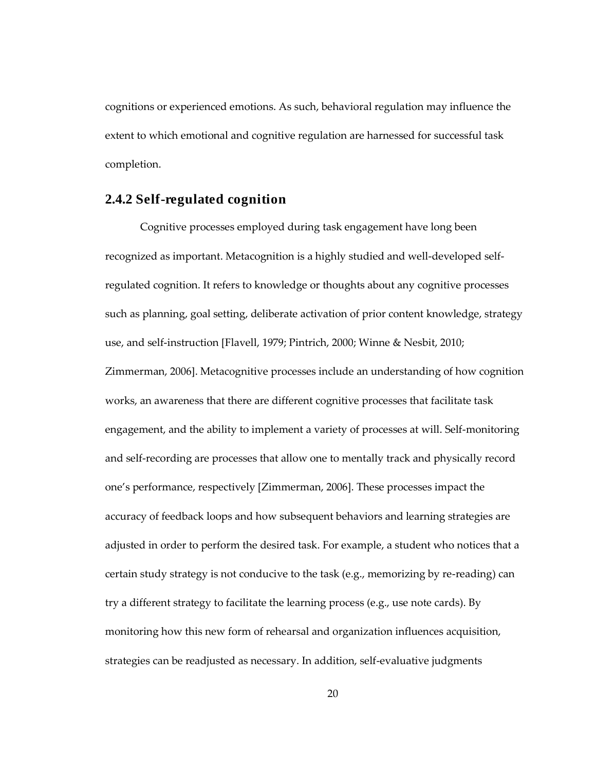cognitions or experienced emotions. As such, behavioral regulation may influence the extent to which emotional and cognitive regulation are harnessed for successful task completion.

### **2.4.2 Self-regulated cognition**

Cognitive processes employed during task engagement have long been recognized as important. Metacognition is a highly studied and well-developed selfregulated cognition. It refers to knowledge or thoughts about any cognitive processes such as planning, goal setting, deliberate activation of prior content knowledge, strategy use, and self-instruction [Flavell, 1979; Pintrich, 2000; Winne & Nesbit, 2010; Zimmerman, 2006]. Metacognitive processes include an understanding of how cognition works, an awareness that there are different cognitive processes that facilitate task engagement, and the ability to implement a variety of processes at will. Self-monitoring and self-recording are processes that allow one to mentally track and physically record one's performance, respectively [Zimmerman, 2006]. These processes impact the accuracy of feedback loops and how subsequent behaviors and learning strategies are adjusted in order to perform the desired task. For example, a student who notices that a certain study strategy is not conducive to the task (e.g., memorizing by re-reading) can try a different strategy to facilitate the learning process (e.g., use note cards). By monitoring how this new form of rehearsal and organization influences acquisition, strategies can be readjusted as necessary. In addition, self-evaluative judgments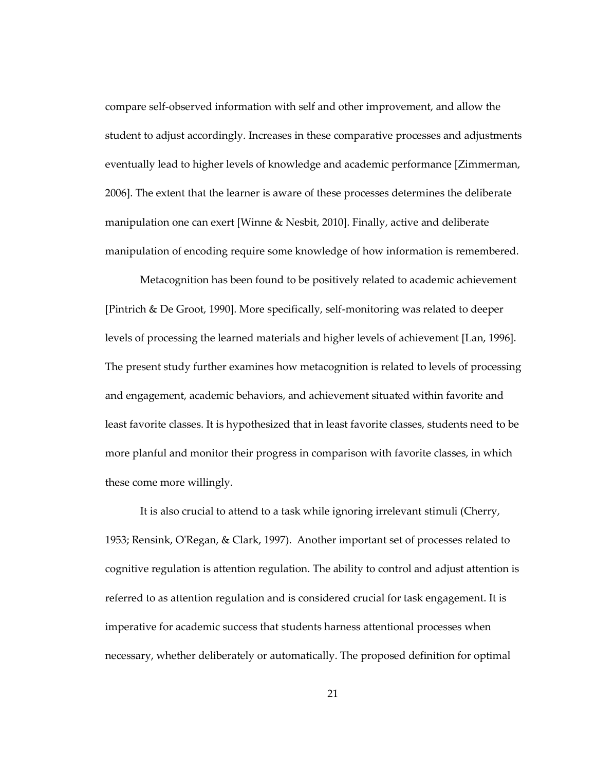compare self-observed information with self and other improvement, and allow the student to adjust accordingly. Increases in these comparative processes and adjustments eventually lead to higher levels of knowledge and academic performance [Zimmerman, 2006]. The extent that the learner is aware of these processes determines the deliberate manipulation one can exert [Winne & Nesbit, 2010]. Finally, active and deliberate manipulation of encoding require some knowledge of how information is remembered.

Metacognition has been found to be positively related to academic achievement [Pintrich & De Groot, 1990]. More specifically, self-monitoring was related to deeper levels of processing the learned materials and higher levels of achievement [Lan, 1996]. The present study further examines how metacognition is related to levels of processing and engagement, academic behaviors, and achievement situated within favorite and least favorite classes. It is hypothesized that in least favorite classes, students need to be more planful and monitor their progress in comparison with favorite classes, in which these come more willingly.

It is also crucial to attend to a task while ignoring irrelevant stimuli (Cherry, 1953; Rensink, O'Regan, & Clark, 1997). Another important set of processes related to cognitive regulation is attention regulation. The ability to control and adjust attention is referred to as attention regulation and is considered crucial for task engagement. It is imperative for academic success that students harness attentional processes when necessary, whether deliberately or automatically. The proposed definition for optimal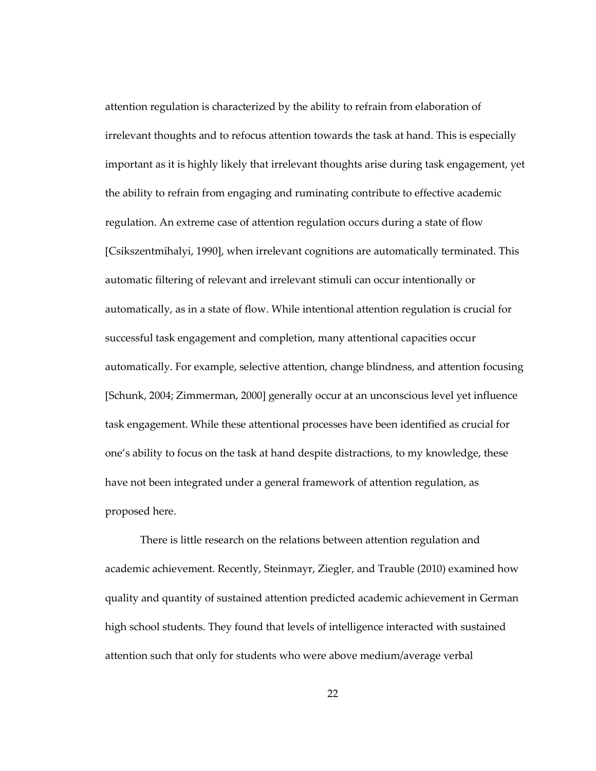attention regulation is characterized by the ability to refrain from elaboration of irrelevant thoughts and to refocus attention towards the task at hand. This is especially important as it is highly likely that irrelevant thoughts arise during task engagement, yet the ability to refrain from engaging and ruminating contribute to effective academic regulation. An extreme case of attention regulation occurs during a state of flow [Csikszentmihalyi, 1990], when irrelevant cognitions are automatically terminated. This automatic filtering of relevant and irrelevant stimuli can occur intentionally or automatically, as in a state of flow. While intentional attention regulation is crucial for successful task engagement and completion, many attentional capacities occur automatically. For example, selective attention, change blindness, and attention focusing [Schunk, 2004; Zimmerman, 2000] generally occur at an unconscious level yet influence task engagement. While these attentional processes have been identified as crucial for one's ability to focus on the task at hand despite distractions, to my knowledge, these have not been integrated under a general framework of attention regulation, as proposed here.

There is little research on the relations between attention regulation and academic achievement. Recently, Steinmayr, Ziegler, and Trauble (2010) examined how quality and quantity of sustained attention predicted academic achievement in German high school students. They found that levels of intelligence interacted with sustained attention such that only for students who were above medium/average verbal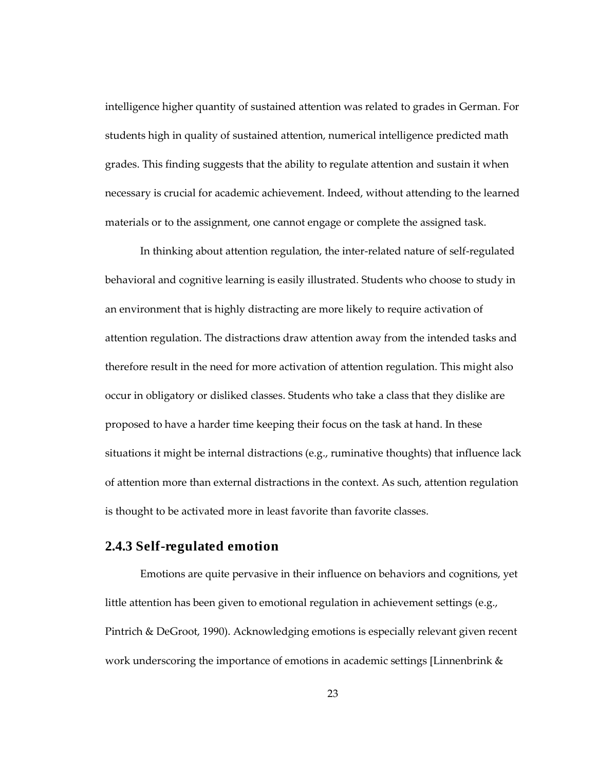intelligence higher quantity of sustained attention was related to grades in German. For students high in quality of sustained attention, numerical intelligence predicted math grades. This finding suggests that the ability to regulate attention and sustain it when necessary is crucial for academic achievement. Indeed, without attending to the learned materials or to the assignment, one cannot engage or complete the assigned task.

In thinking about attention regulation, the inter-related nature of self-regulated behavioral and cognitive learning is easily illustrated. Students who choose to study in an environment that is highly distracting are more likely to require activation of attention regulation. The distractions draw attention away from the intended tasks and therefore result in the need for more activation of attention regulation. This might also occur in obligatory or disliked classes. Students who take a class that they dislike are proposed to have a harder time keeping their focus on the task at hand. In these situations it might be internal distractions (e.g., ruminative thoughts) that influence lack of attention more than external distractions in the context. As such, attention regulation is thought to be activated more in least favorite than favorite classes.

### **2.4.3 Self-regulated emotion**

Emotions are quite pervasive in their influence on behaviors and cognitions, yet little attention has been given to emotional regulation in achievement settings (e.g., Pintrich & DeGroot, 1990). Acknowledging emotions is especially relevant given recent work underscoring the importance of emotions in academic settings [Linnenbrink &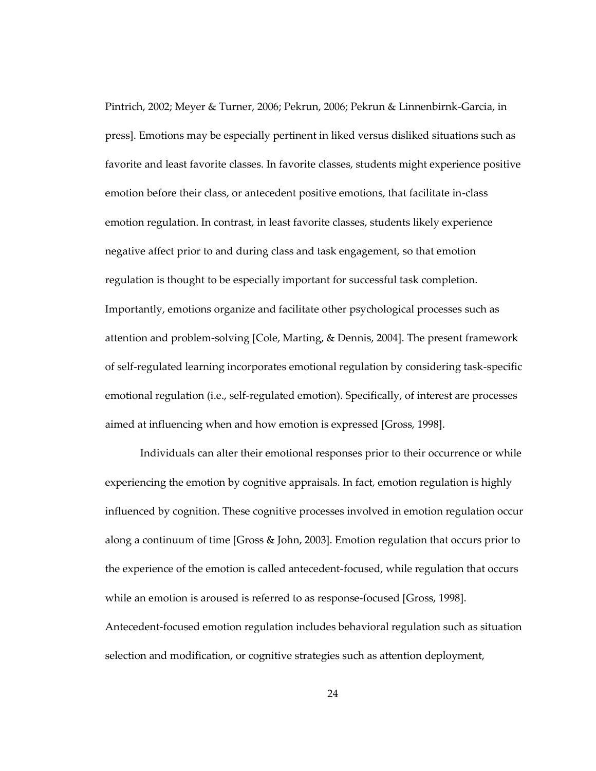Pintrich, 2002; Meyer & Turner, 2006; Pekrun, 2006; Pekrun & Linnenbirnk-Garcia, in press]. Emotions may be especially pertinent in liked versus disliked situations such as favorite and least favorite classes. In favorite classes, students might experience positive emotion before their class, or antecedent positive emotions, that facilitate in-class emotion regulation. In contrast, in least favorite classes, students likely experience negative affect prior to and during class and task engagement, so that emotion regulation is thought to be especially important for successful task completion. Importantly, emotions organize and facilitate other psychological processes such as attention and problem-solving [Cole, Marting, & Dennis, 2004]. The present framework of self-regulated learning incorporates emotional regulation by considering task-specific emotional regulation (i.e., self-regulated emotion). Specifically, of interest are processes aimed at influencing when and how emotion is expressed [Gross, 1998].

Individuals can alter their emotional responses prior to their occurrence or while experiencing the emotion by cognitive appraisals. In fact, emotion regulation is highly influenced by cognition. These cognitive processes involved in emotion regulation occur along a continuum of time [Gross & John, 2003]. Emotion regulation that occurs prior to the experience of the emotion is called antecedent-focused, while regulation that occurs while an emotion is aroused is referred to as response-focused [Gross, 1998]. Antecedent-focused emotion regulation includes behavioral regulation such as situation selection and modification, or cognitive strategies such as attention deployment,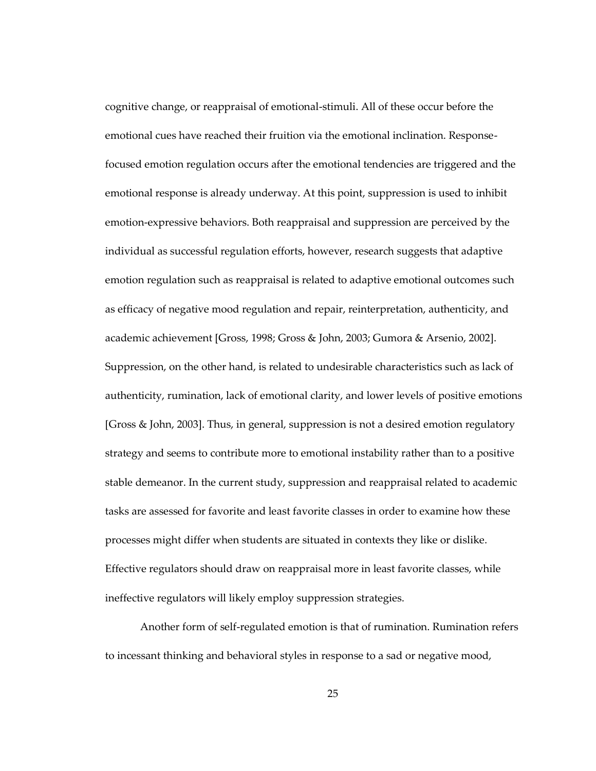cognitive change, or reappraisal of emotional-stimuli. All of these occur before the emotional cues have reached their fruition via the emotional inclination. Responsefocused emotion regulation occurs after the emotional tendencies are triggered and the emotional response is already underway. At this point, suppression is used to inhibit emotion-expressive behaviors. Both reappraisal and suppression are perceived by the individual as successful regulation efforts, however, research suggests that adaptive emotion regulation such as reappraisal is related to adaptive emotional outcomes such as efficacy of negative mood regulation and repair, reinterpretation, authenticity, and academic achievement [Gross, 1998; Gross & John, 2003; Gumora & Arsenio, 2002]. Suppression, on the other hand, is related to undesirable characteristics such as lack of authenticity, rumination, lack of emotional clarity, and lower levels of positive emotions [Gross & John, 2003]. Thus, in general, suppression is not a desired emotion regulatory strategy and seems to contribute more to emotional instability rather than to a positive stable demeanor. In the current study, suppression and reappraisal related to academic tasks are assessed for favorite and least favorite classes in order to examine how these processes might differ when students are situated in contexts they like or dislike. Effective regulators should draw on reappraisal more in least favorite classes, while ineffective regulators will likely employ suppression strategies.

Another form of self-regulated emotion is that of rumination. Rumination refers to incessant thinking and behavioral styles in response to a sad or negative mood,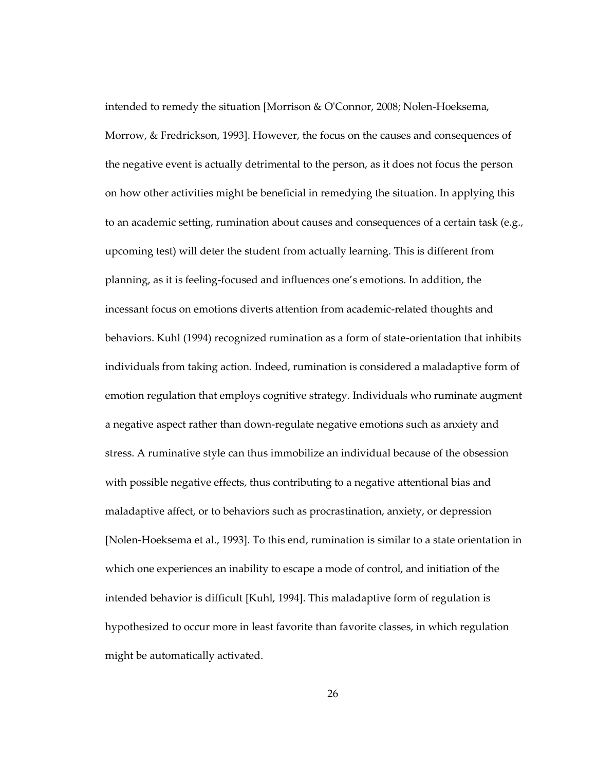intended to remedy the situation [Morrison & O'Connor, 2008; Nolen-Hoeksema, Morrow, & Fredrickson, 1993]. However, the focus on the causes and consequences of the negative event is actually detrimental to the person, as it does not focus the person on how other activities might be beneficial in remedying the situation. In applying this to an academic setting, rumination about causes and consequences of a certain task (e.g., upcoming test) will deter the student from actually learning. This is different from planning, as it is feeling-focused and influences one's emotions. In addition, the incessant focus on emotions diverts attention from academic-related thoughts and behaviors. Kuhl (1994) recognized rumination as a form of state-orientation that inhibits individuals from taking action. Indeed, rumination is considered a maladaptive form of emotion regulation that employs cognitive strategy. Individuals who ruminate augment a negative aspect rather than down-regulate negative emotions such as anxiety and stress. A ruminative style can thus immobilize an individual because of the obsession with possible negative effects, thus contributing to a negative attentional bias and maladaptive affect, or to behaviors such as procrastination, anxiety, or depression [Nolen-Hoeksema et al., 1993]. To this end, rumination is similar to a state orientation in which one experiences an inability to escape a mode of control, and initiation of the intended behavior is difficult [Kuhl, 1994]. This maladaptive form of regulation is hypothesized to occur more in least favorite than favorite classes, in which regulation might be automatically activated.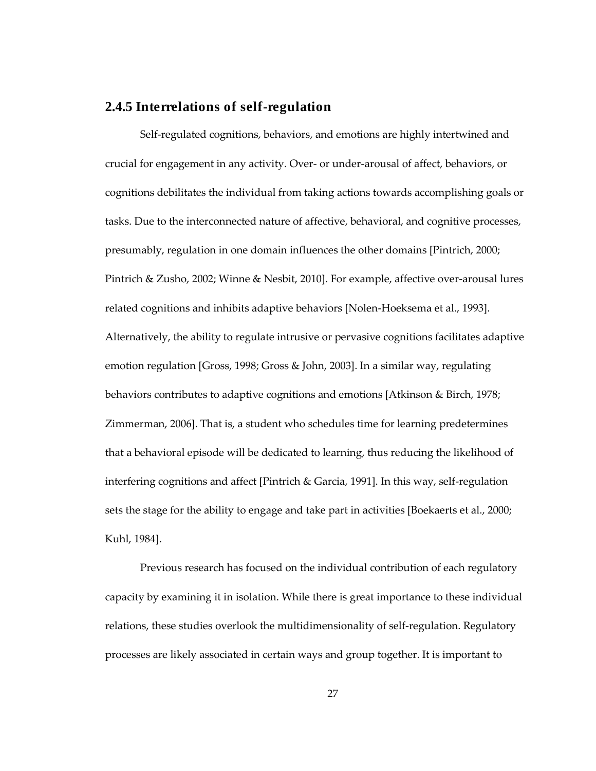### **2.4.5 Interrelations of self-regulation**

Self-regulated cognitions, behaviors, and emotions are highly intertwined and crucial for engagement in any activity. Over- or under-arousal of affect, behaviors, or cognitions debilitates the individual from taking actions towards accomplishing goals or tasks. Due to the interconnected nature of affective, behavioral, and cognitive processes, presumably, regulation in one domain influences the other domains [Pintrich, 2000; Pintrich & Zusho, 2002; Winne & Nesbit, 2010]. For example, affective over-arousal lures related cognitions and inhibits adaptive behaviors [Nolen-Hoeksema et al., 1993]. Alternatively, the ability to regulate intrusive or pervasive cognitions facilitates adaptive emotion regulation [Gross, 1998; Gross & John, 2003]. In a similar way, regulating behaviors contributes to adaptive cognitions and emotions [Atkinson & Birch, 1978; Zimmerman, 2006]. That is, a student who schedules time for learning predetermines that a behavioral episode will be dedicated to learning, thus reducing the likelihood of interfering cognitions and affect [Pintrich & Garcia, 1991]. In this way, self-regulation sets the stage for the ability to engage and take part in activities [Boekaerts et al., 2000; Kuhl, 1984].

Previous research has focused on the individual contribution of each regulatory capacity by examining it in isolation. While there is great importance to these individual relations, these studies overlook the multidimensionality of self-regulation. Regulatory processes are likely associated in certain ways and group together. It is important to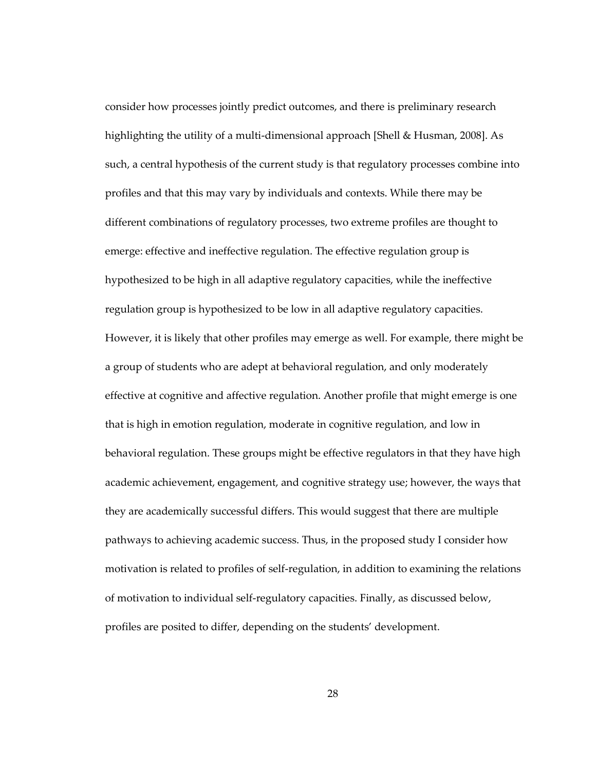consider how processes jointly predict outcomes, and there is preliminary research highlighting the utility of a multi-dimensional approach [Shell & Husman, 2008]. As such, a central hypothesis of the current study is that regulatory processes combine into profiles and that this may vary by individuals and contexts. While there may be different combinations of regulatory processes, two extreme profiles are thought to emerge: effective and ineffective regulation. The effective regulation group is hypothesized to be high in all adaptive regulatory capacities, while the ineffective regulation group is hypothesized to be low in all adaptive regulatory capacities. However, it is likely that other profiles may emerge as well. For example, there might be a group of students who are adept at behavioral regulation, and only moderately effective at cognitive and affective regulation. Another profile that might emerge is one that is high in emotion regulation, moderate in cognitive regulation, and low in behavioral regulation. These groups might be effective regulators in that they have high academic achievement, engagement, and cognitive strategy use; however, the ways that they are academically successful differs. This would suggest that there are multiple pathways to achieving academic success. Thus, in the proposed study I consider how motivation is related to profiles of self-regulation, in addition to examining the relations of motivation to individual self-regulatory capacities. Finally, as discussed below, profiles are posited to differ, depending on the students' development.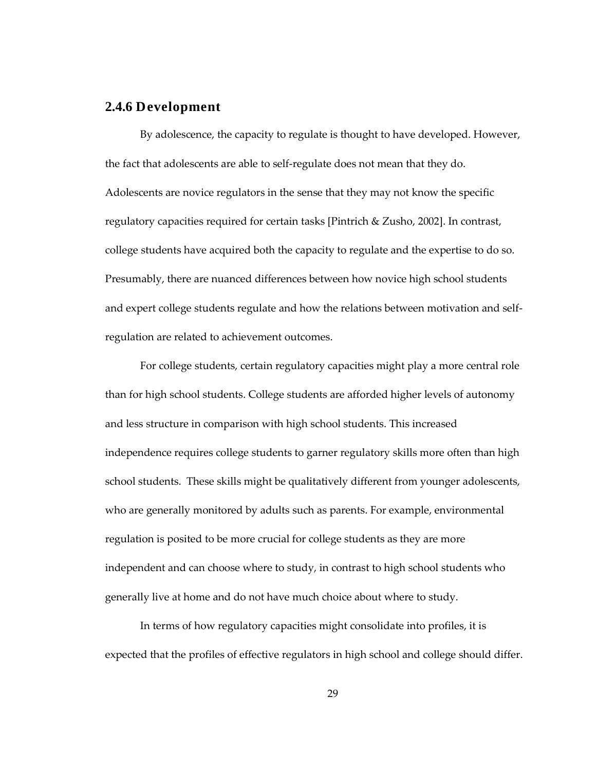### **2.4.6 Development**

By adolescence, the capacity to regulate is thought to have developed. However, the fact that adolescents are able to self-regulate does not mean that they do. Adolescents are novice regulators in the sense that they may not know the specific regulatory capacities required for certain tasks [Pintrich & Zusho, 2002]. In contrast, college students have acquired both the capacity to regulate and the expertise to do so. Presumably, there are nuanced differences between how novice high school students and expert college students regulate and how the relations between motivation and selfregulation are related to achievement outcomes.

For college students, certain regulatory capacities might play a more central role than for high school students. College students are afforded higher levels of autonomy and less structure in comparison with high school students. This increased independence requires college students to garner regulatory skills more often than high school students. These skills might be qualitatively different from younger adolescents, who are generally monitored by adults such as parents. For example, environmental regulation is posited to be more crucial for college students as they are more independent and can choose where to study, in contrast to high school students who generally live at home and do not have much choice about where to study.

In terms of how regulatory capacities might consolidate into profiles, it is expected that the profiles of effective regulators in high school and college should differ.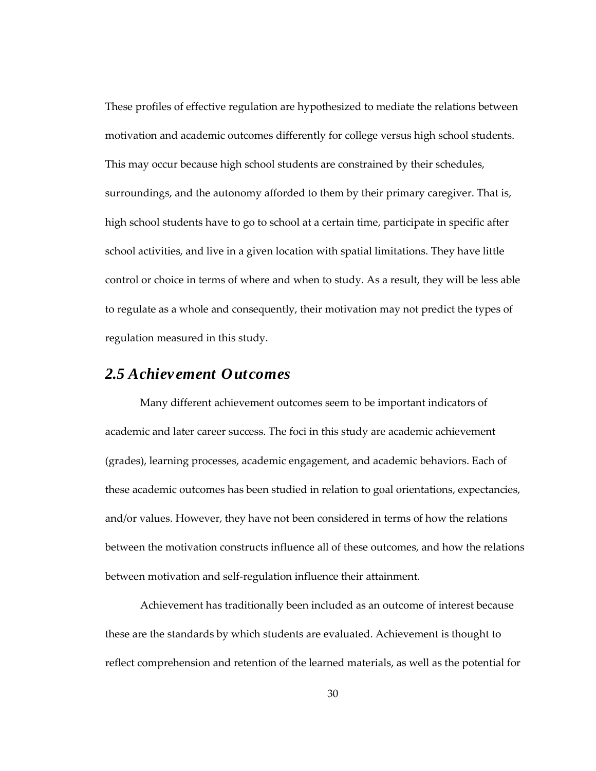These profiles of effective regulation are hypothesized to mediate the relations between motivation and academic outcomes differently for college versus high school students. This may occur because high school students are constrained by their schedules, surroundings, and the autonomy afforded to them by their primary caregiver. That is, high school students have to go to school at a certain time, participate in specific after school activities, and live in a given location with spatial limitations. They have little control or choice in terms of where and when to study. As a result, they will be less able to regulate as a whole and consequently, their motivation may not predict the types of regulation measured in this study.

## *2.5 Achievement Outcomes*

Many different achievement outcomes seem to be important indicators of academic and later career success. The foci in this study are academic achievement (grades), learning processes, academic engagement, and academic behaviors. Each of these academic outcomes has been studied in relation to goal orientations, expectancies, and/or values. However, they have not been considered in terms of how the relations between the motivation constructs influence all of these outcomes, and how the relations between motivation and self-regulation influence their attainment.

Achievement has traditionally been included as an outcome of interest because these are the standards by which students are evaluated. Achievement is thought to reflect comprehension and retention of the learned materials, as well as the potential for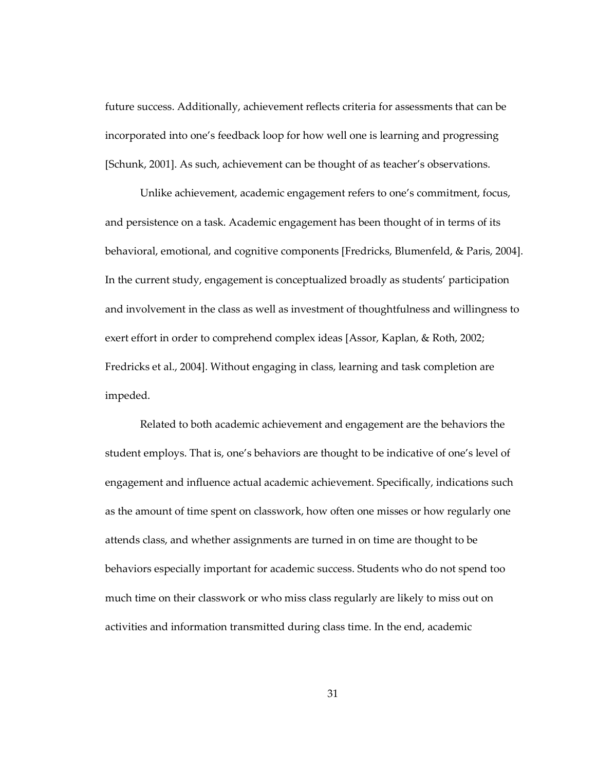future success. Additionally, achievement reflects criteria for assessments that can be incorporated into one's feedback loop for how well one is learning and progressing [Schunk, 2001]. As such, achievement can be thought of as teacher's observations.

Unlike achievement, academic engagement refers to one's commitment, focus, and persistence on a task. Academic engagement has been thought of in terms of its behavioral, emotional, and cognitive components [Fredricks, Blumenfeld, & Paris, 2004]. In the current study, engagement is conceptualized broadly as students' participation and involvement in the class as well as investment of thoughtfulness and willingness to exert effort in order to comprehend complex ideas [Assor, Kaplan, & Roth, 2002; Fredricks et al., 2004]. Without engaging in class, learning and task completion are impeded.

Related to both academic achievement and engagement are the behaviors the student employs. That is, one's behaviors are thought to be indicative of one's level of engagement and influence actual academic achievement. Specifically, indications such as the amount of time spent on classwork, how often one misses or how regularly one attends class, and whether assignments are turned in on time are thought to be behaviors especially important for academic success. Students who do not spend too much time on their classwork or who miss class regularly are likely to miss out on activities and information transmitted during class time. In the end, academic

31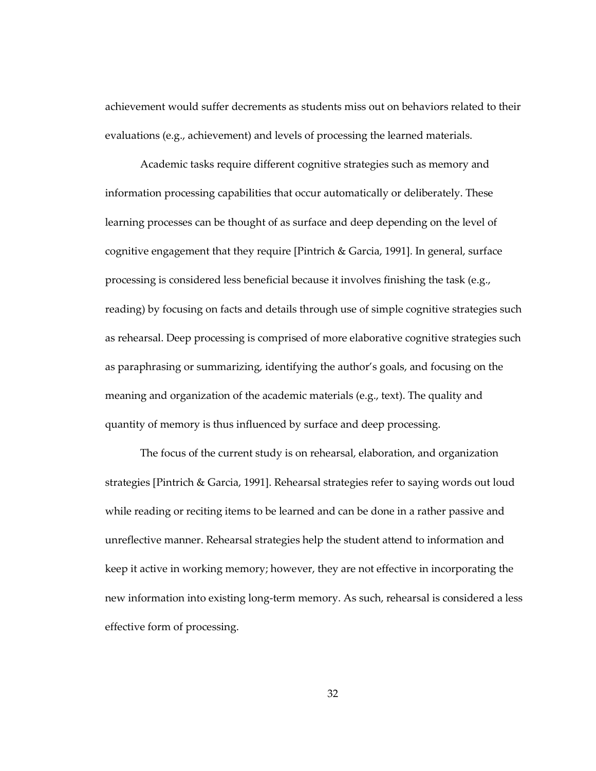achievement would suffer decrements as students miss out on behaviors related to their evaluations (e.g., achievement) and levels of processing the learned materials.

Academic tasks require different cognitive strategies such as memory and information processing capabilities that occur automatically or deliberately. These learning processes can be thought of as surface and deep depending on the level of cognitive engagement that they require [Pintrich & Garcia, 1991]. In general, surface processing is considered less beneficial because it involves finishing the task (e.g., reading) by focusing on facts and details through use of simple cognitive strategies such as rehearsal. Deep processing is comprised of more elaborative cognitive strategies such as paraphrasing or summarizing, identifying the author's goals, and focusing on the meaning and organization of the academic materials (e.g., text). The quality and quantity of memory is thus influenced by surface and deep processing.

The focus of the current study is on rehearsal, elaboration, and organization strategies [Pintrich & Garcia, 1991]. Rehearsal strategies refer to saying words out loud while reading or reciting items to be learned and can be done in a rather passive and unreflective manner. Rehearsal strategies help the student attend to information and keep it active in working memory; however, they are not effective in incorporating the new information into existing long-term memory. As such, rehearsal is considered a less effective form of processing.

32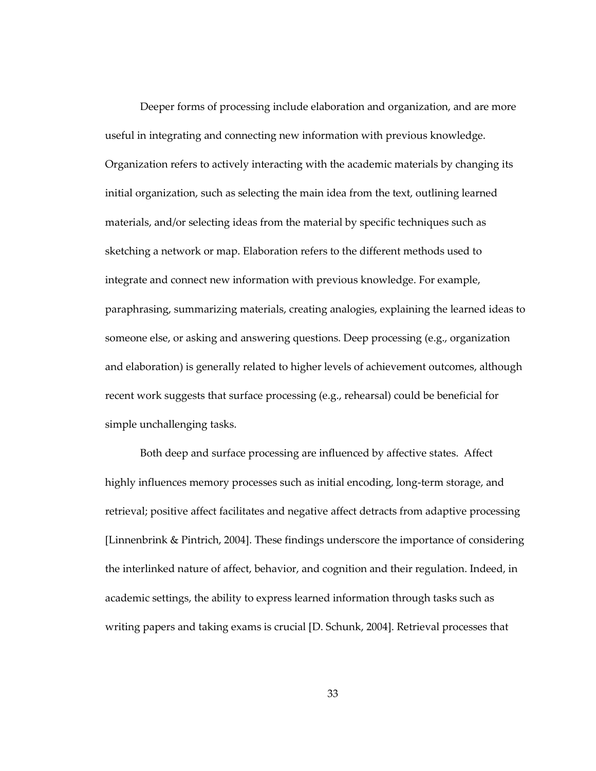Deeper forms of processing include elaboration and organization, and are more useful in integrating and connecting new information with previous knowledge. Organization refers to actively interacting with the academic materials by changing its initial organization, such as selecting the main idea from the text, outlining learned materials, and/or selecting ideas from the material by specific techniques such as sketching a network or map. Elaboration refers to the different methods used to integrate and connect new information with previous knowledge. For example, paraphrasing, summarizing materials, creating analogies, explaining the learned ideas to someone else, or asking and answering questions. Deep processing (e.g., organization and elaboration) is generally related to higher levels of achievement outcomes, although recent work suggests that surface processing (e.g., rehearsal) could be beneficial for simple unchallenging tasks.

Both deep and surface processing are influenced by affective states. Affect highly influences memory processes such as initial encoding, long-term storage, and retrieval; positive affect facilitates and negative affect detracts from adaptive processing [Linnenbrink & Pintrich, 2004]. These findings underscore the importance of considering the interlinked nature of affect, behavior, and cognition and their regulation. Indeed, in academic settings, the ability to express learned information through tasks such as writing papers and taking exams is crucial [D. Schunk, 2004]. Retrieval processes that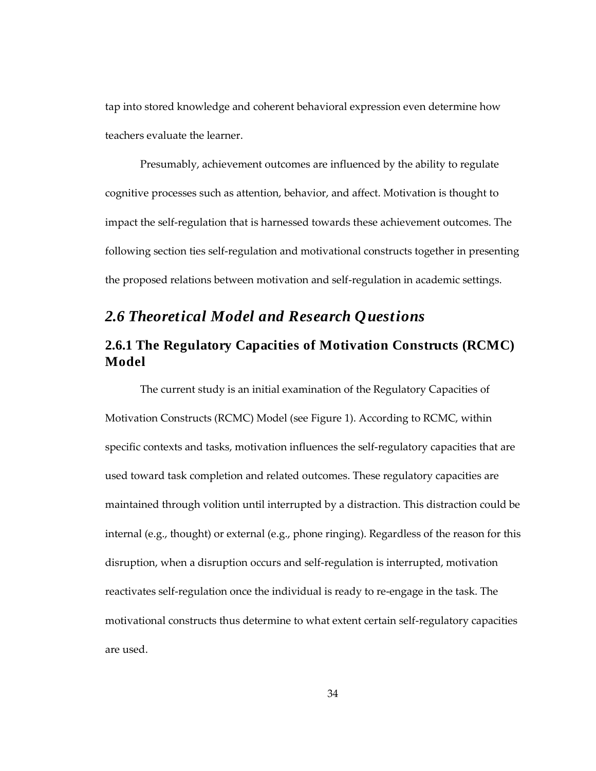tap into stored knowledge and coherent behavioral expression even determine how teachers evaluate the learner.

Presumably, achievement outcomes are influenced by the ability to regulate cognitive processes such as attention, behavior, and affect. Motivation is thought to impact the self-regulation that is harnessed towards these achievement outcomes. The following section ties self-regulation and motivational constructs together in presenting the proposed relations between motivation and self-regulation in academic settings.

# *2.6 Theoretical Model and Research Questions*

# **2.6.1 The Regulatory Capacities of Motivation Constructs (RCMC) Model**

The current study is an initial examination of the Regulatory Capacities of Motivation Constructs (RCMC) Model (see Figure 1). According to RCMC, within specific contexts and tasks, motivation influences the self-regulatory capacities that are used toward task completion and related outcomes. These regulatory capacities are maintained through volition until interrupted by a distraction. This distraction could be internal (e.g., thought) or external (e.g., phone ringing). Regardless of the reason for this disruption, when a disruption occurs and self-regulation is interrupted, motivation reactivates self-regulation once the individual is ready to re-engage in the task. The motivational constructs thus determine to what extent certain self-regulatory capacities are used.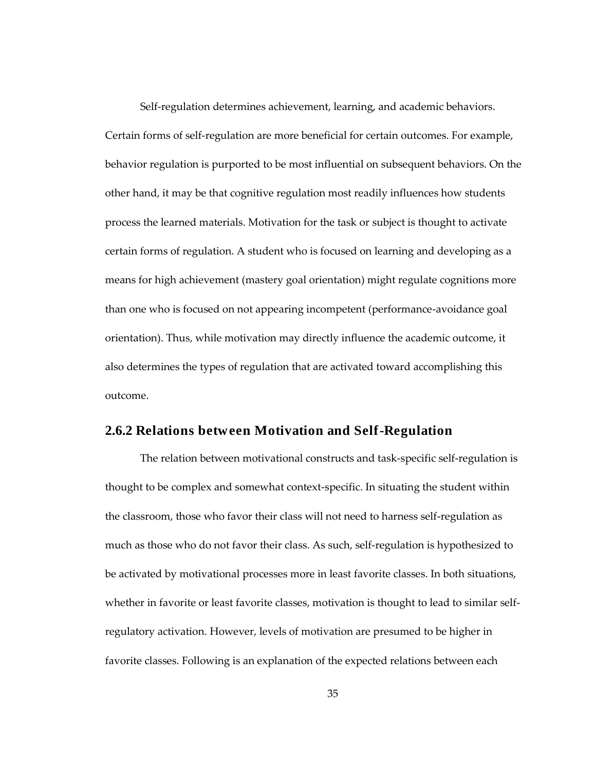Self-regulation determines achievement, learning, and academic behaviors. Certain forms of self-regulation are more beneficial for certain outcomes. For example, behavior regulation is purported to be most influential on subsequent behaviors. On the other hand, it may be that cognitive regulation most readily influences how students process the learned materials. Motivation for the task or subject is thought to activate certain forms of regulation. A student who is focused on learning and developing as a means for high achievement (mastery goal orientation) might regulate cognitions more than one who is focused on not appearing incompetent (performance-avoidance goal orientation). Thus, while motivation may directly influence the academic outcome, it also determines the types of regulation that are activated toward accomplishing this outcome.

## **2.6.2 Relations between Motivation and Self-Regulation**

The relation between motivational constructs and task-specific self-regulation is thought to be complex and somewhat context-specific. In situating the student within the classroom, those who favor their class will not need to harness self-regulation as much as those who do not favor their class. As such, self-regulation is hypothesized to be activated by motivational processes more in least favorite classes. In both situations, whether in favorite or least favorite classes, motivation is thought to lead to similar selfregulatory activation. However, levels of motivation are presumed to be higher in favorite classes. Following is an explanation of the expected relations between each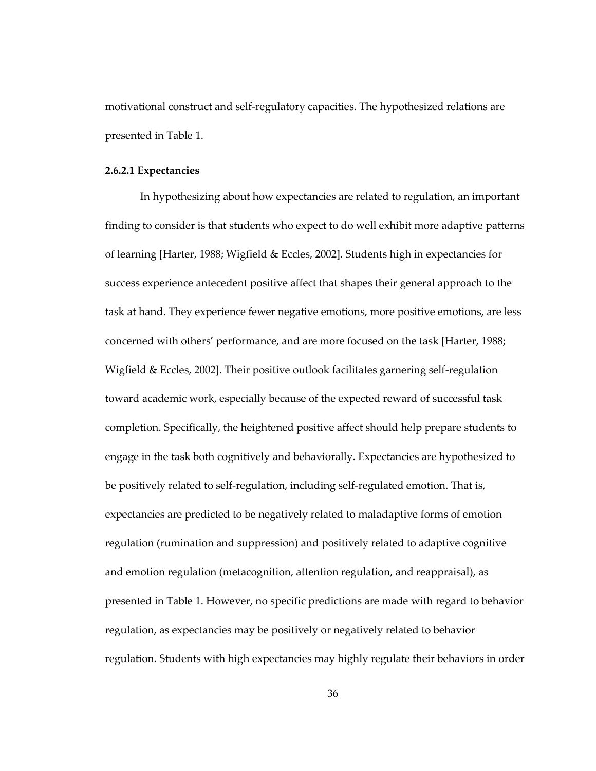motivational construct and self-regulatory capacities. The hypothesized relations are presented in Table 1.

#### **2.6.2.1 Expectancies**

In hypothesizing about how expectancies are related to regulation, an important finding to consider is that students who expect to do well exhibit more adaptive patterns of learning [Harter, 1988; Wigfield & Eccles, 2002]. Students high in expectancies for success experience antecedent positive affect that shapes their general approach to the task at hand. They experience fewer negative emotions, more positive emotions, are less concerned with others' performance, and are more focused on the task [Harter, 1988; Wigfield & Eccles, 2002]. Their positive outlook facilitates garnering self-regulation toward academic work, especially because of the expected reward of successful task completion. Specifically, the heightened positive affect should help prepare students to engage in the task both cognitively and behaviorally. Expectancies are hypothesized to be positively related to self-regulation, including self-regulated emotion. That is, expectancies are predicted to be negatively related to maladaptive forms of emotion regulation (rumination and suppression) and positively related to adaptive cognitive and emotion regulation (metacognition, attention regulation, and reappraisal), as presented in Table 1. However, no specific predictions are made with regard to behavior regulation, as expectancies may be positively or negatively related to behavior regulation. Students with high expectancies may highly regulate their behaviors in order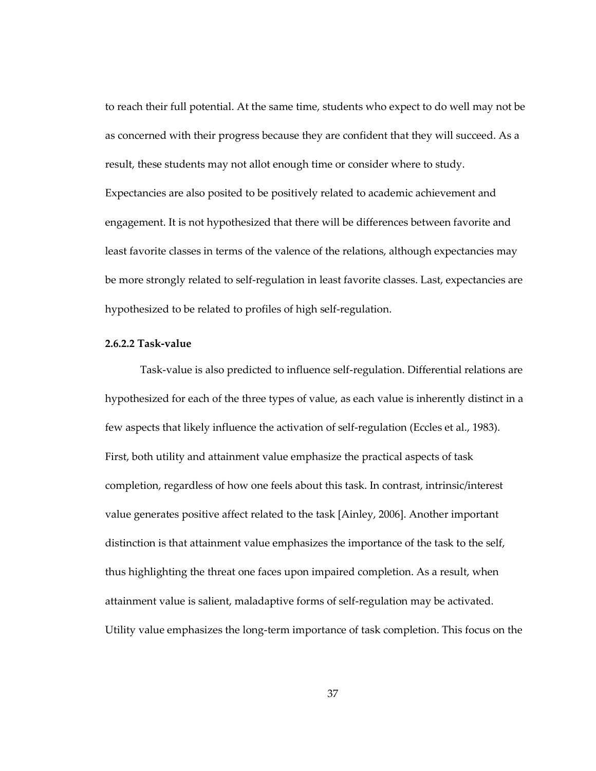to reach their full potential. At the same time, students who expect to do well may not be as concerned with their progress because they are confident that they will succeed. As a result, these students may not allot enough time or consider where to study. Expectancies are also posited to be positively related to academic achievement and engagement. It is not hypothesized that there will be differences between favorite and least favorite classes in terms of the valence of the relations, although expectancies may be more strongly related to self-regulation in least favorite classes. Last, expectancies are hypothesized to be related to profiles of high self-regulation.

#### **2.6.2.2 Task-value**

Task-value is also predicted to influence self-regulation. Differential relations are hypothesized for each of the three types of value, as each value is inherently distinct in a few aspects that likely influence the activation of self-regulation (Eccles et al., 1983). First, both utility and attainment value emphasize the practical aspects of task completion, regardless of how one feels about this task. In contrast, intrinsic/interest value generates positive affect related to the task [Ainley, 2006]. Another important distinction is that attainment value emphasizes the importance of the task to the self, thus highlighting the threat one faces upon impaired completion. As a result, when attainment value is salient, maladaptive forms of self-regulation may be activated. Utility value emphasizes the long-term importance of task completion. This focus on the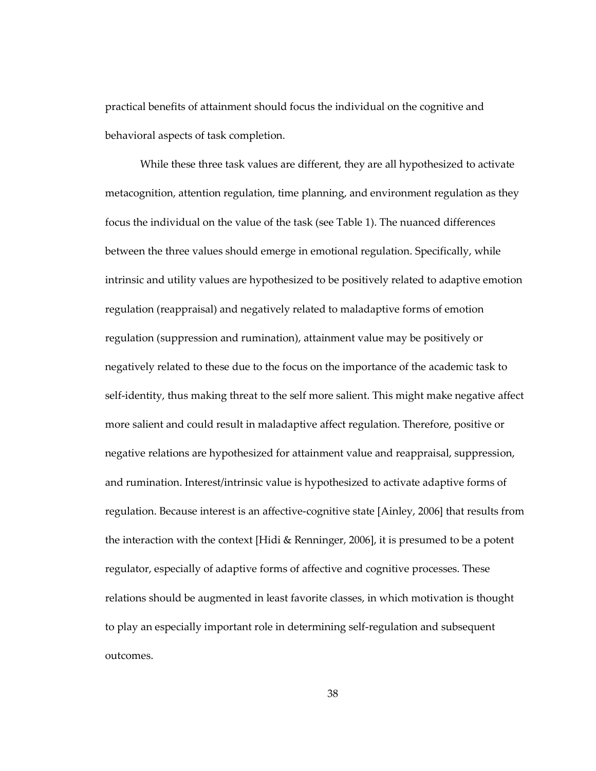practical benefits of attainment should focus the individual on the cognitive and behavioral aspects of task completion.

While these three task values are different, they are all hypothesized to activate metacognition, attention regulation, time planning, and environment regulation as they focus the individual on the value of the task (see Table 1). The nuanced differences between the three values should emerge in emotional regulation. Specifically, while intrinsic and utility values are hypothesized to be positively related to adaptive emotion regulation (reappraisal) and negatively related to maladaptive forms of emotion regulation (suppression and rumination), attainment value may be positively or negatively related to these due to the focus on the importance of the academic task to self-identity, thus making threat to the self more salient. This might make negative affect more salient and could result in maladaptive affect regulation. Therefore, positive or negative relations are hypothesized for attainment value and reappraisal, suppression, and rumination. Interest/intrinsic value is hypothesized to activate adaptive forms of regulation. Because interest is an affective-cognitive state [Ainley, 2006] that results from the interaction with the context [Hidi & Renninger, 2006], it is presumed to be a potent regulator, especially of adaptive forms of affective and cognitive processes. These relations should be augmented in least favorite classes, in which motivation is thought to play an especially important role in determining self-regulation and subsequent outcomes.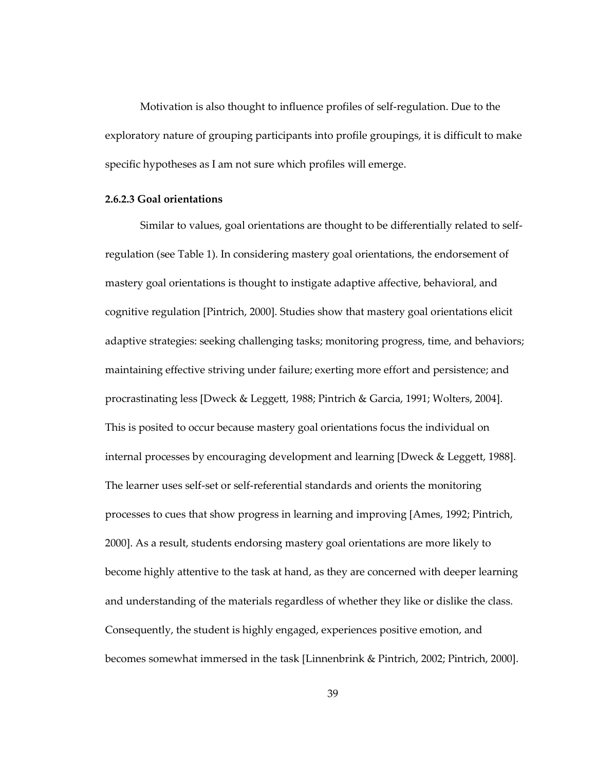Motivation is also thought to influence profiles of self-regulation. Due to the exploratory nature of grouping participants into profile groupings, it is difficult to make specific hypotheses as I am not sure which profiles will emerge.

#### **2.6.2.3 Goal orientations**

Similar to values, goal orientations are thought to be differentially related to selfregulation (see Table 1). In considering mastery goal orientations, the endorsement of mastery goal orientations is thought to instigate adaptive affective, behavioral, and cognitive regulation [Pintrich, 2000]. Studies show that mastery goal orientations elicit adaptive strategies: seeking challenging tasks; monitoring progress, time, and behaviors; maintaining effective striving under failure; exerting more effort and persistence; and procrastinating less [Dweck & Leggett, 1988; Pintrich & Garcia, 1991; Wolters, 2004]. This is posited to occur because mastery goal orientations focus the individual on internal processes by encouraging development and learning [Dweck & Leggett, 1988]. The learner uses self-set or self-referential standards and orients the monitoring processes to cues that show progress in learning and improving [Ames, 1992; Pintrich, 2000]. As a result, students endorsing mastery goal orientations are more likely to become highly attentive to the task at hand, as they are concerned with deeper learning and understanding of the materials regardless of whether they like or dislike the class. Consequently, the student is highly engaged, experiences positive emotion, and becomes somewhat immersed in the task [Linnenbrink & Pintrich, 2002; Pintrich, 2000].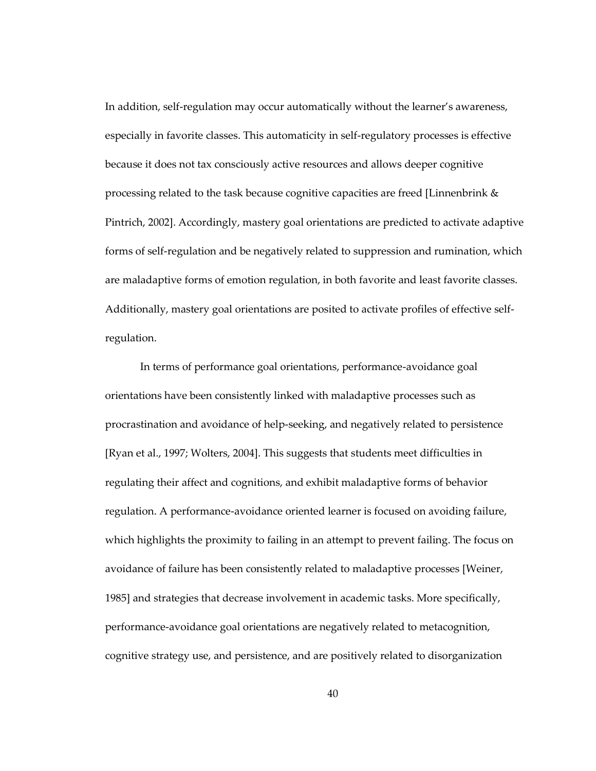In addition, self-regulation may occur automatically without the learner's awareness, especially in favorite classes. This automaticity in self-regulatory processes is effective because it does not tax consciously active resources and allows deeper cognitive processing related to the task because cognitive capacities are freed [Linnenbrink & Pintrich, 2002]. Accordingly, mastery goal orientations are predicted to activate adaptive forms of self-regulation and be negatively related to suppression and rumination, which are maladaptive forms of emotion regulation, in both favorite and least favorite classes. Additionally, mastery goal orientations are posited to activate profiles of effective selfregulation.

In terms of performance goal orientations, performance-avoidance goal orientations have been consistently linked with maladaptive processes such as procrastination and avoidance of help-seeking, and negatively related to persistence [Ryan et al., 1997; Wolters, 2004]. This suggests that students meet difficulties in regulating their affect and cognitions, and exhibit maladaptive forms of behavior regulation. A performance-avoidance oriented learner is focused on avoiding failure, which highlights the proximity to failing in an attempt to prevent failing. The focus on avoidance of failure has been consistently related to maladaptive processes [Weiner, 1985] and strategies that decrease involvement in academic tasks. More specifically, performance-avoidance goal orientations are negatively related to metacognition, cognitive strategy use, and persistence, and are positively related to disorganization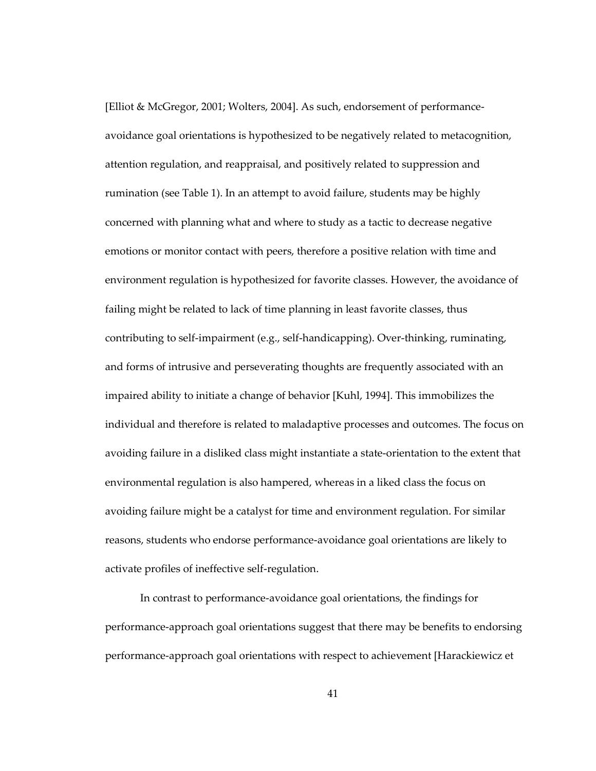[Elliot & McGregor, 2001; Wolters, 2004]. As such, endorsement of performanceavoidance goal orientations is hypothesized to be negatively related to metacognition, attention regulation, and reappraisal, and positively related to suppression and rumination (see Table 1). In an attempt to avoid failure, students may be highly concerned with planning what and where to study as a tactic to decrease negative emotions or monitor contact with peers, therefore a positive relation with time and environment regulation is hypothesized for favorite classes. However, the avoidance of failing might be related to lack of time planning in least favorite classes, thus contributing to self-impairment (e.g., self-handicapping). Over-thinking, ruminating, and forms of intrusive and perseverating thoughts are frequently associated with an impaired ability to initiate a change of behavior [Kuhl, 1994]. This immobilizes the individual and therefore is related to maladaptive processes and outcomes. The focus on avoiding failure in a disliked class might instantiate a state-orientation to the extent that environmental regulation is also hampered, whereas in a liked class the focus on avoiding failure might be a catalyst for time and environment regulation. For similar reasons, students who endorse performance-avoidance goal orientations are likely to activate profiles of ineffective self-regulation.

In contrast to performance-avoidance goal orientations, the findings for performance-approach goal orientations suggest that there may be benefits to endorsing performance-approach goal orientations with respect to achievement [Harackiewicz et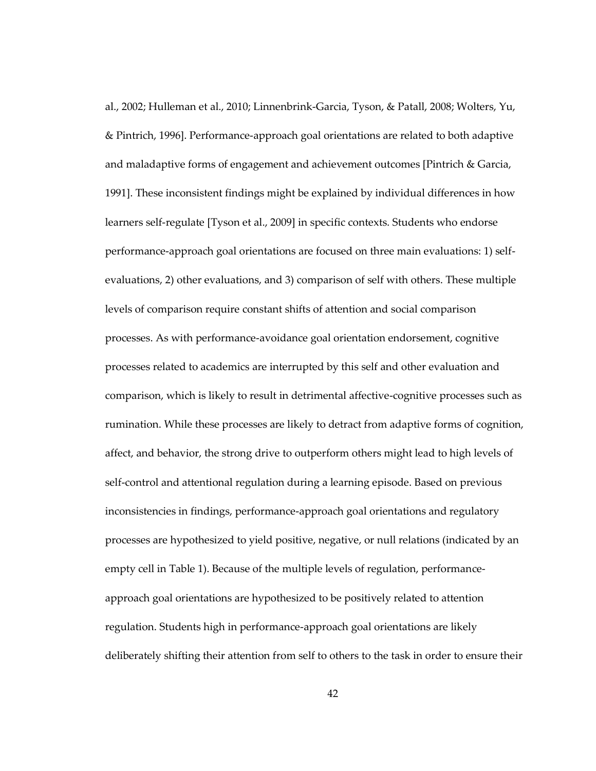al., 2002; Hulleman et al., 2010; Linnenbrink-Garcia, Tyson, & Patall, 2008; Wolters, Yu, & Pintrich, 1996]. Performance-approach goal orientations are related to both adaptive and maladaptive forms of engagement and achievement outcomes [Pintrich & Garcia, 1991]. These inconsistent findings might be explained by individual differences in how learners self-regulate [Tyson et al., 2009] in specific contexts. Students who endorse performance-approach goal orientations are focused on three main evaluations: 1) selfevaluations, 2) other evaluations, and 3) comparison of self with others. These multiple levels of comparison require constant shifts of attention and social comparison processes. As with performance-avoidance goal orientation endorsement, cognitive processes related to academics are interrupted by this self and other evaluation and comparison, which is likely to result in detrimental affective-cognitive processes such as rumination. While these processes are likely to detract from adaptive forms of cognition, affect, and behavior, the strong drive to outperform others might lead to high levels of self-control and attentional regulation during a learning episode. Based on previous inconsistencies in findings, performance-approach goal orientations and regulatory processes are hypothesized to yield positive, negative, or null relations (indicated by an empty cell in Table 1). Because of the multiple levels of regulation, performanceapproach goal orientations are hypothesized to be positively related to attention regulation. Students high in performance-approach goal orientations are likely deliberately shifting their attention from self to others to the task in order to ensure their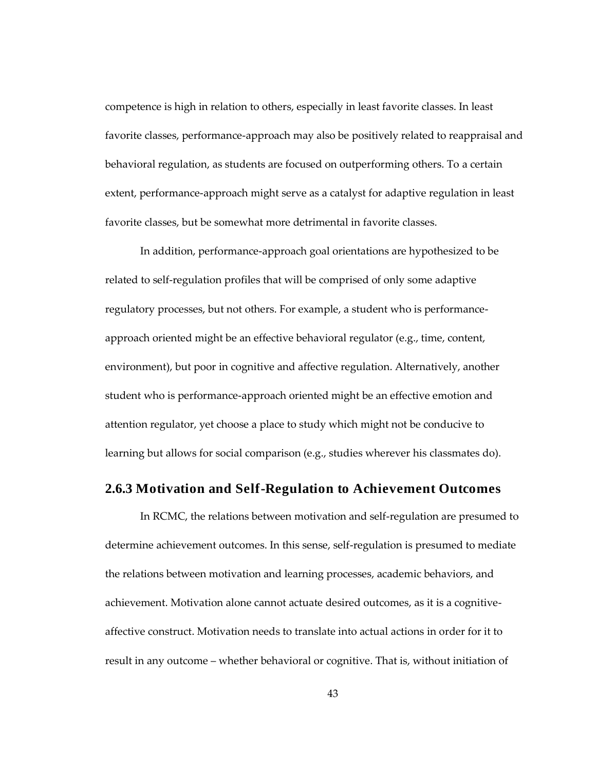competence is high in relation to others, especially in least favorite classes. In least favorite classes, performance-approach may also be positively related to reappraisal and behavioral regulation, as students are focused on outperforming others. To a certain extent, performance-approach might serve as a catalyst for adaptive regulation in least favorite classes, but be somewhat more detrimental in favorite classes.

In addition, performance-approach goal orientations are hypothesized to be related to self-regulation profiles that will be comprised of only some adaptive regulatory processes, but not others. For example, a student who is performanceapproach oriented might be an effective behavioral regulator (e.g., time, content, environment), but poor in cognitive and affective regulation. Alternatively, another student who is performance-approach oriented might be an effective emotion and attention regulator, yet choose a place to study which might not be conducive to learning but allows for social comparison (e.g., studies wherever his classmates do).

## **2.6.3 Motivation and Self-Regulation to Achievement Outcomes**

In RCMC, the relations between motivation and self-regulation are presumed to determine achievement outcomes. In this sense, self-regulation is presumed to mediate the relations between motivation and learning processes, academic behaviors, and achievement. Motivation alone cannot actuate desired outcomes, as it is a cognitiveaffective construct. Motivation needs to translate into actual actions in order for it to result in any outcome – whether behavioral or cognitive. That is, without initiation of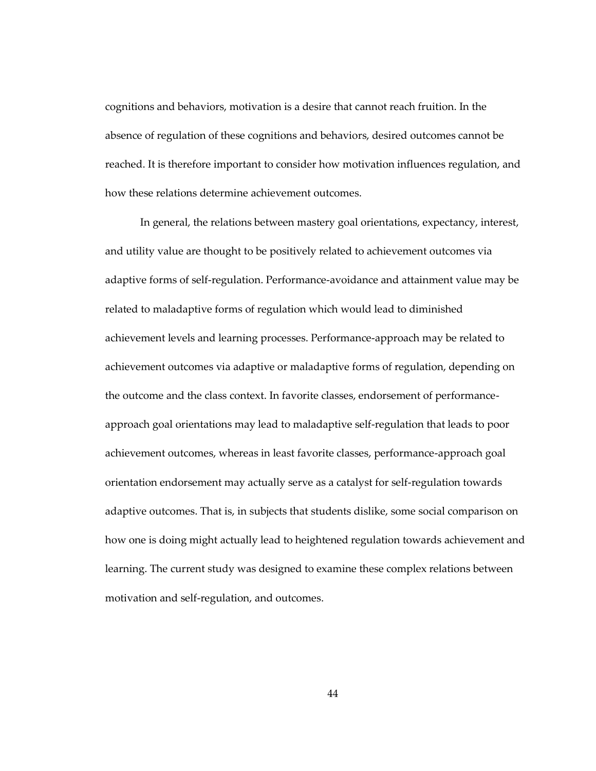cognitions and behaviors, motivation is a desire that cannot reach fruition. In the absence of regulation of these cognitions and behaviors, desired outcomes cannot be reached. It is therefore important to consider how motivation influences regulation, and how these relations determine achievement outcomes.

In general, the relations between mastery goal orientations, expectancy, interest, and utility value are thought to be positively related to achievement outcomes via adaptive forms of self-regulation. Performance-avoidance and attainment value may be related to maladaptive forms of regulation which would lead to diminished achievement levels and learning processes. Performance-approach may be related to achievement outcomes via adaptive or maladaptive forms of regulation, depending on the outcome and the class context. In favorite classes, endorsement of performanceapproach goal orientations may lead to maladaptive self-regulation that leads to poor achievement outcomes, whereas in least favorite classes, performance-approach goal orientation endorsement may actually serve as a catalyst for self-regulation towards adaptive outcomes. That is, in subjects that students dislike, some social comparison on how one is doing might actually lead to heightened regulation towards achievement and learning. The current study was designed to examine these complex relations between motivation and self-regulation, and outcomes.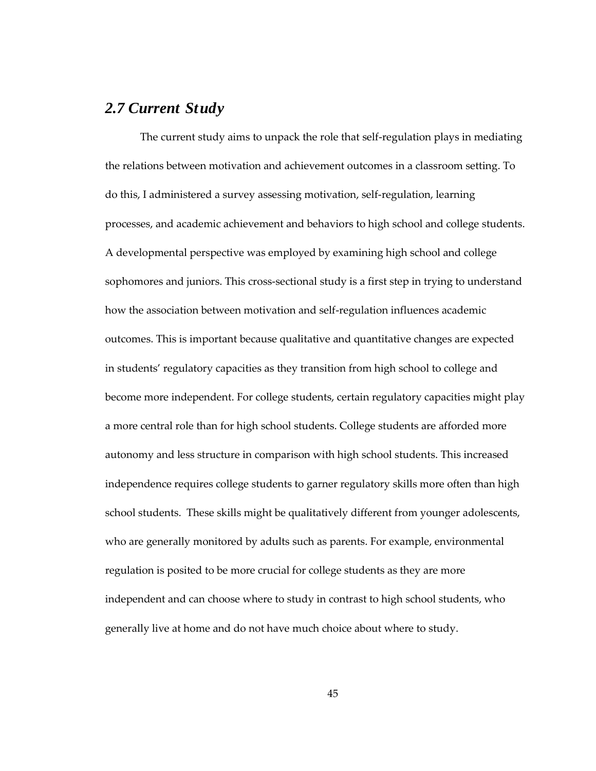# *2.7 Current Study*

The current study aims to unpack the role that self-regulation plays in mediating the relations between motivation and achievement outcomes in a classroom setting. To do this, I administered a survey assessing motivation, self-regulation, learning processes, and academic achievement and behaviors to high school and college students. A developmental perspective was employed by examining high school and college sophomores and juniors. This cross-sectional study is a first step in trying to understand how the association between motivation and self-regulation influences academic outcomes. This is important because qualitative and quantitative changes are expected in students' regulatory capacities as they transition from high school to college and become more independent. For college students, certain regulatory capacities might play a more central role than for high school students. College students are afforded more autonomy and less structure in comparison with high school students. This increased independence requires college students to garner regulatory skills more often than high school students. These skills might be qualitatively different from younger adolescents, who are generally monitored by adults such as parents. For example, environmental regulation is posited to be more crucial for college students as they are more independent and can choose where to study in contrast to high school students, who generally live at home and do not have much choice about where to study.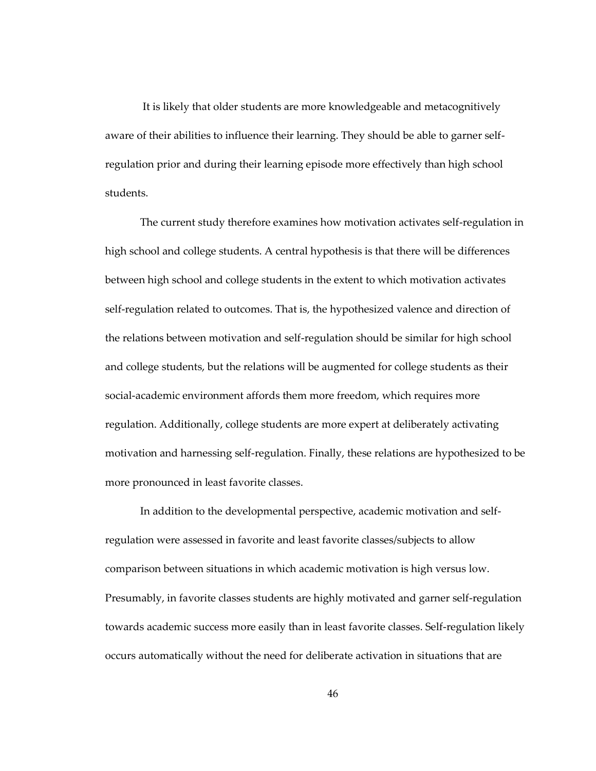It is likely that older students are more knowledgeable and metacognitively aware of their abilities to influence their learning. They should be able to garner selfregulation prior and during their learning episode more effectively than high school students.

The current study therefore examines how motivation activates self-regulation in high school and college students. A central hypothesis is that there will be differences between high school and college students in the extent to which motivation activates self-regulation related to outcomes. That is, the hypothesized valence and direction of the relations between motivation and self-regulation should be similar for high school and college students, but the relations will be augmented for college students as their social-academic environment affords them more freedom, which requires more regulation. Additionally, college students are more expert at deliberately activating motivation and harnessing self-regulation. Finally, these relations are hypothesized to be more pronounced in least favorite classes.

In addition to the developmental perspective, academic motivation and selfregulation were assessed in favorite and least favorite classes/subjects to allow comparison between situations in which academic motivation is high versus low. Presumably, in favorite classes students are highly motivated and garner self-regulation towards academic success more easily than in least favorite classes. Self-regulation likely occurs automatically without the need for deliberate activation in situations that are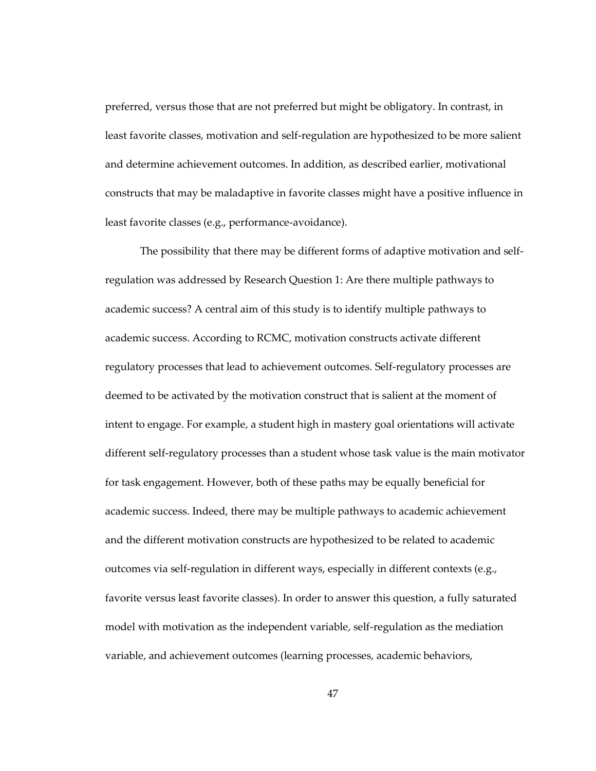preferred, versus those that are not preferred but might be obligatory. In contrast, in least favorite classes, motivation and self-regulation are hypothesized to be more salient and determine achievement outcomes. In addition, as described earlier, motivational constructs that may be maladaptive in favorite classes might have a positive influence in least favorite classes (e.g., performance-avoidance).

The possibility that there may be different forms of adaptive motivation and selfregulation was addressed by Research Question 1: Are there multiple pathways to academic success? A central aim of this study is to identify multiple pathways to academic success. According to RCMC, motivation constructs activate different regulatory processes that lead to achievement outcomes. Self-regulatory processes are deemed to be activated by the motivation construct that is salient at the moment of intent to engage. For example, a student high in mastery goal orientations will activate different self-regulatory processes than a student whose task value is the main motivator for task engagement. However, both of these paths may be equally beneficial for academic success. Indeed, there may be multiple pathways to academic achievement and the different motivation constructs are hypothesized to be related to academic outcomes via self-regulation in different ways, especially in different contexts (e.g., favorite versus least favorite classes). In order to answer this question, a fully saturated model with motivation as the independent variable, self-regulation as the mediation variable, and achievement outcomes (learning processes, academic behaviors,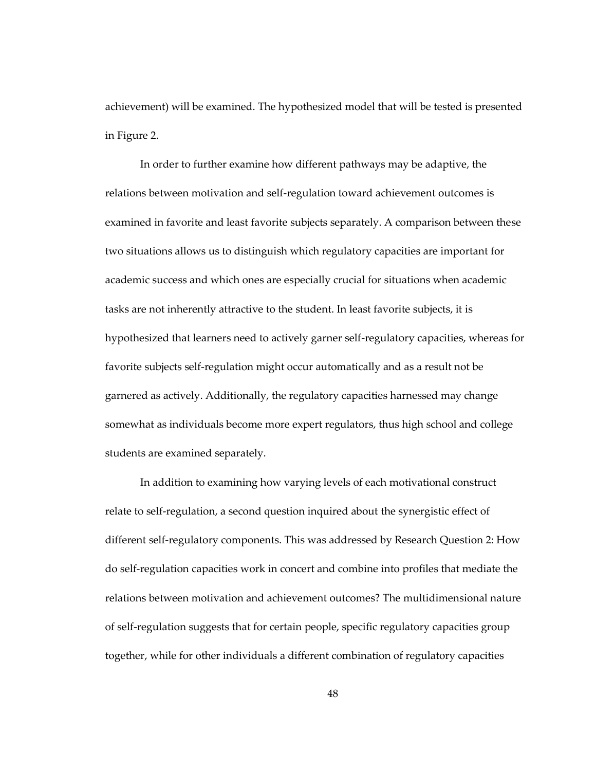achievement) will be examined. The hypothesized model that will be tested is presented in Figure 2.

In order to further examine how different pathways may be adaptive, the relations between motivation and self-regulation toward achievement outcomes is examined in favorite and least favorite subjects separately. A comparison between these two situations allows us to distinguish which regulatory capacities are important for academic success and which ones are especially crucial for situations when academic tasks are not inherently attractive to the student. In least favorite subjects, it is hypothesized that learners need to actively garner self-regulatory capacities, whereas for favorite subjects self-regulation might occur automatically and as a result not be garnered as actively. Additionally, the regulatory capacities harnessed may change somewhat as individuals become more expert regulators, thus high school and college students are examined separately.

In addition to examining how varying levels of each motivational construct relate to self-regulation, a second question inquired about the synergistic effect of different self-regulatory components. This was addressed by Research Question 2: How do self-regulation capacities work in concert and combine into profiles that mediate the relations between motivation and achievement outcomes? The multidimensional nature of self-regulation suggests that for certain people, specific regulatory capacities group together, while for other individuals a different combination of regulatory capacities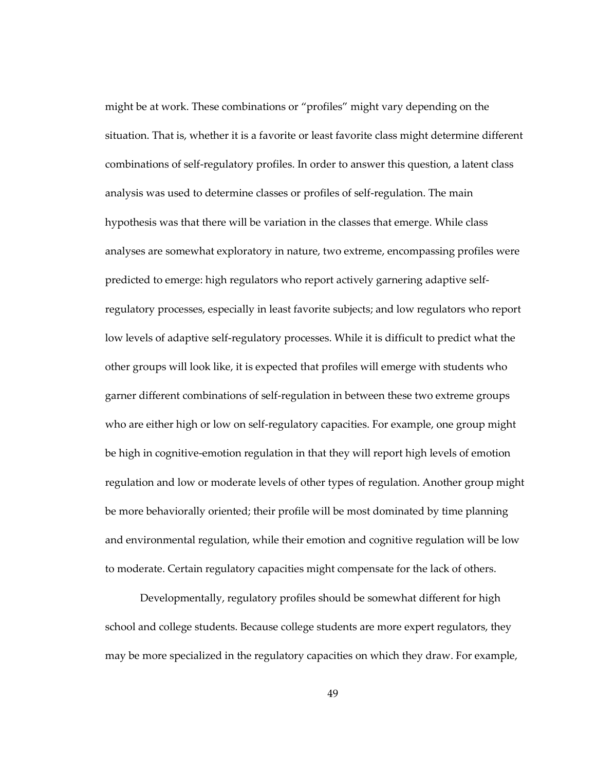might be at work. These combinations or "profiles" might vary depending on the situation. That is, whether it is a favorite or least favorite class might determine different combinations of self-regulatory profiles. In order to answer this question, a latent class analysis was used to determine classes or profiles of self-regulation. The main hypothesis was that there will be variation in the classes that emerge. While class analyses are somewhat exploratory in nature, two extreme, encompassing profiles were predicted to emerge: high regulators who report actively garnering adaptive selfregulatory processes, especially in least favorite subjects; and low regulators who report low levels of adaptive self-regulatory processes. While it is difficult to predict what the other groups will look like, it is expected that profiles will emerge with students who garner different combinations of self-regulation in between these two extreme groups who are either high or low on self-regulatory capacities. For example, one group might be high in cognitive-emotion regulation in that they will report high levels of emotion regulation and low or moderate levels of other types of regulation. Another group might be more behaviorally oriented; their profile will be most dominated by time planning and environmental regulation, while their emotion and cognitive regulation will be low to moderate. Certain regulatory capacities might compensate for the lack of others.

Developmentally, regulatory profiles should be somewhat different for high school and college students. Because college students are more expert regulators, they may be more specialized in the regulatory capacities on which they draw. For example,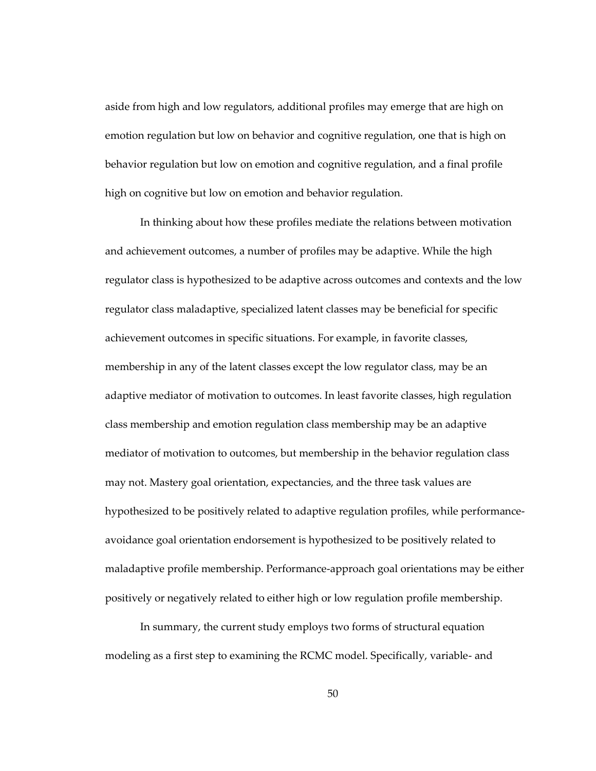aside from high and low regulators, additional profiles may emerge that are high on emotion regulation but low on behavior and cognitive regulation, one that is high on behavior regulation but low on emotion and cognitive regulation, and a final profile high on cognitive but low on emotion and behavior regulation.

In thinking about how these profiles mediate the relations between motivation and achievement outcomes, a number of profiles may be adaptive. While the high regulator class is hypothesized to be adaptive across outcomes and contexts and the low regulator class maladaptive, specialized latent classes may be beneficial for specific achievement outcomes in specific situations. For example, in favorite classes, membership in any of the latent classes except the low regulator class, may be an adaptive mediator of motivation to outcomes. In least favorite classes, high regulation class membership and emotion regulation class membership may be an adaptive mediator of motivation to outcomes, but membership in the behavior regulation class may not. Mastery goal orientation, expectancies, and the three task values are hypothesized to be positively related to adaptive regulation profiles, while performanceavoidance goal orientation endorsement is hypothesized to be positively related to maladaptive profile membership. Performance-approach goal orientations may be either positively or negatively related to either high or low regulation profile membership.

In summary, the current study employs two forms of structural equation modeling as a first step to examining the RCMC model. Specifically, variable- and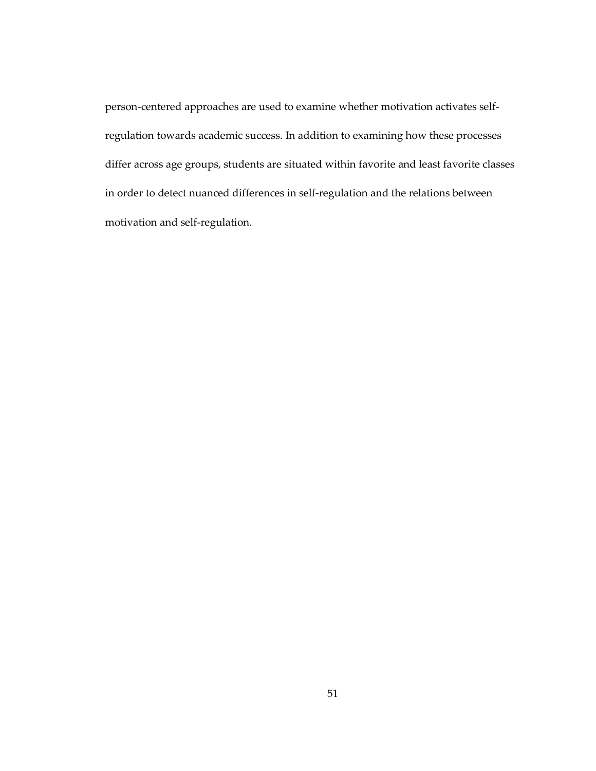person-centered approaches are used to examine whether motivation activates selfregulation towards academic success. In addition to examining how these processes differ across age groups, students are situated within favorite and least favorite classes in order to detect nuanced differences in self-regulation and the relations between motivation and self-regulation.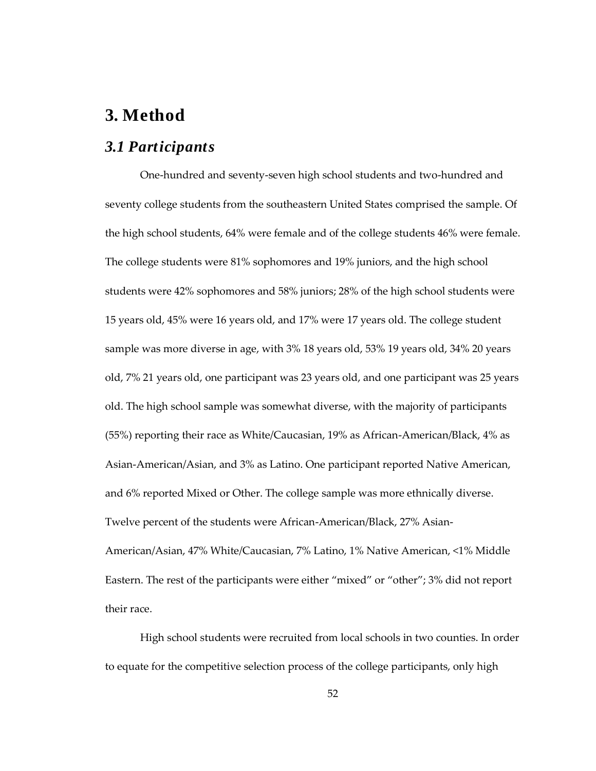# **3. Method**

# *3.1 Participants*

One-hundred and seventy-seven high school students and two-hundred and seventy college students from the southeastern United States comprised the sample. Of the high school students, 64% were female and of the college students 46% were female. The college students were 81% sophomores and 19% juniors, and the high school students were 42% sophomores and 58% juniors; 28% of the high school students were 15 years old, 45% were 16 years old, and 17% were 17 years old. The college student sample was more diverse in age, with 3% 18 years old, 53% 19 years old, 34% 20 years old, 7% 21 years old, one participant was 23 years old, and one participant was 25 years old. The high school sample was somewhat diverse, with the majority of participants (55%) reporting their race as White/Caucasian, 19% as African-American/Black, 4% as Asian-American/Asian, and 3% as Latino. One participant reported Native American, and 6% reported Mixed or Other. The college sample was more ethnically diverse. Twelve percent of the students were African-American/Black, 27% Asian-American/Asian, 47% White/Caucasian, 7% Latino, 1% Native American, <1% Middle Eastern. The rest of the participants were either "mixed" or "other"; 3% did not report their race.

High school students were recruited from local schools in two counties. In order to equate for the competitive selection process of the college participants, only high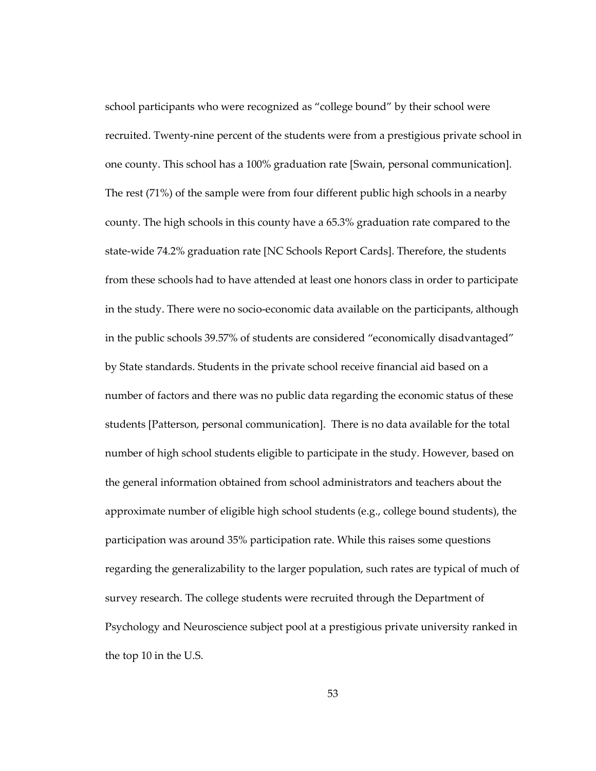school participants who were recognized as "college bound" by their school were recruited. Twenty-nine percent of the students were from a prestigious private school in one county. This school has a 100% graduation rate [Swain, personal communication]. The rest (71%) of the sample were from four different public high schools in a nearby county. The high schools in this county have a 65.3% graduation rate compared to the state-wide 74.2% graduation rate [NC Schools Report Cards]. Therefore, the students from these schools had to have attended at least one honors class in order to participate in the study. There were no socio-economic data available on the participants, although in the public schools 39.57% of students are considered "economically disadvantaged" by State standards. Students in the private school receive financial aid based on a number of factors and there was no public data regarding the economic status of these students [Patterson, personal communication]. There is no data available for the total number of high school students eligible to participate in the study. However, based on the general information obtained from school administrators and teachers about the approximate number of eligible high school students (e.g., college bound students), the participation was around 35% participation rate. While this raises some questions regarding the generalizability to the larger population, such rates are typical of much of survey research. The college students were recruited through the Department of Psychology and Neuroscience subject pool at a prestigious private university ranked in the top 10 in the U.S.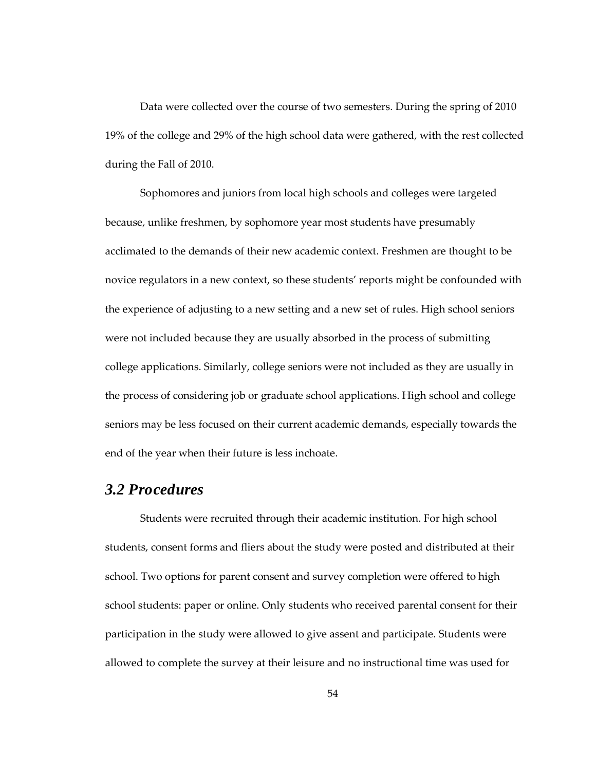Data were collected over the course of two semesters. During the spring of 2010 19% of the college and 29% of the high school data were gathered, with the rest collected during the Fall of 2010.

Sophomores and juniors from local high schools and colleges were targeted because, unlike freshmen, by sophomore year most students have presumably acclimated to the demands of their new academic context. Freshmen are thought to be novice regulators in a new context, so these students' reports might be confounded with the experience of adjusting to a new setting and a new set of rules. High school seniors were not included because they are usually absorbed in the process of submitting college applications. Similarly, college seniors were not included as they are usually in the process of considering job or graduate school applications. High school and college seniors may be less focused on their current academic demands, especially towards the end of the year when their future is less inchoate.

# *3.2 Procedures*

Students were recruited through their academic institution. For high school students, consent forms and fliers about the study were posted and distributed at their school. Two options for parent consent and survey completion were offered to high school students: paper or online. Only students who received parental consent for their participation in the study were allowed to give assent and participate. Students were allowed to complete the survey at their leisure and no instructional time was used for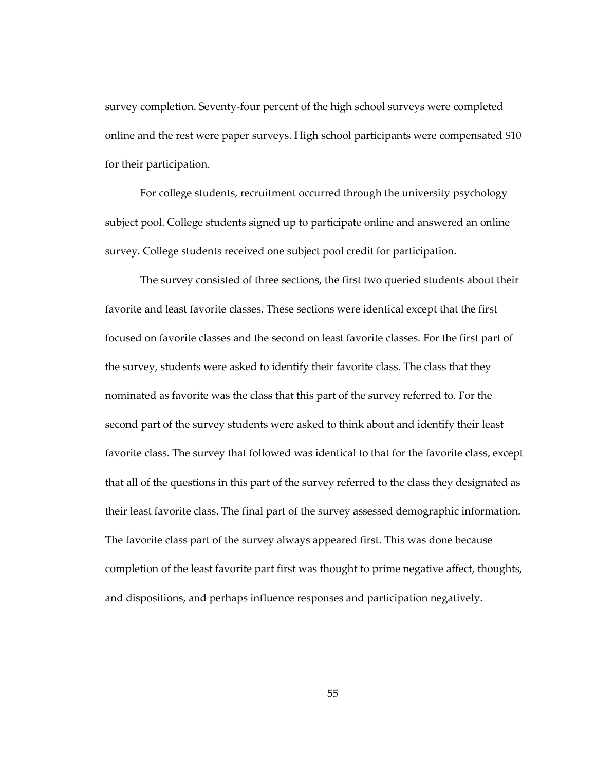survey completion. Seventy-four percent of the high school surveys were completed online and the rest were paper surveys. High school participants were compensated \$10 for their participation.

For college students, recruitment occurred through the university psychology subject pool. College students signed up to participate online and answered an online survey. College students received one subject pool credit for participation.

The survey consisted of three sections, the first two queried students about their favorite and least favorite classes. These sections were identical except that the first focused on favorite classes and the second on least favorite classes. For the first part of the survey, students were asked to identify their favorite class. The class that they nominated as favorite was the class that this part of the survey referred to. For the second part of the survey students were asked to think about and identify their least favorite class. The survey that followed was identical to that for the favorite class, except that all of the questions in this part of the survey referred to the class they designated as their least favorite class. The final part of the survey assessed demographic information. The favorite class part of the survey always appeared first. This was done because completion of the least favorite part first was thought to prime negative affect, thoughts, and dispositions, and perhaps influence responses and participation negatively.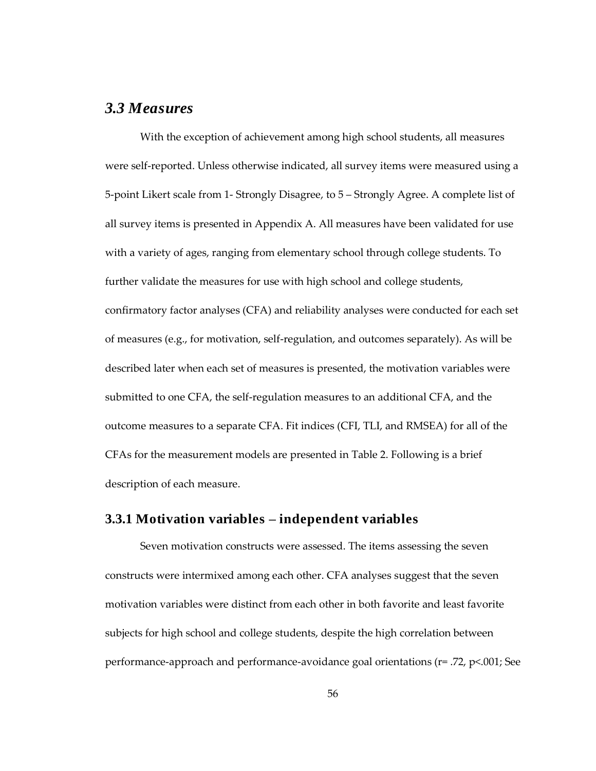# *3.3 Measures*

With the exception of achievement among high school students, all measures were self-reported. Unless otherwise indicated, all survey items were measured using a 5-point Likert scale from 1- Strongly Disagree, to 5 – Strongly Agree. A complete list of all survey items is presented in Appendix A. All measures have been validated for use with a variety of ages, ranging from elementary school through college students. To further validate the measures for use with high school and college students, confirmatory factor analyses (CFA) and reliability analyses were conducted for each set of measures (e.g., for motivation, self-regulation, and outcomes separately). As will be described later when each set of measures is presented, the motivation variables were submitted to one CFA, the self-regulation measures to an additional CFA, and the outcome measures to a separate CFA. Fit indices (CFI, TLI, and RMSEA) for all of the CFAs for the measurement models are presented in Table 2. Following is a brief description of each measure.

## **3.3.1 Motivation variables – independent variables**

Seven motivation constructs were assessed. The items assessing the seven constructs were intermixed among each other. CFA analyses suggest that the seven motivation variables were distinct from each other in both favorite and least favorite subjects for high school and college students, despite the high correlation between performance-approach and performance-avoidance goal orientations (r= .72, p<.001; See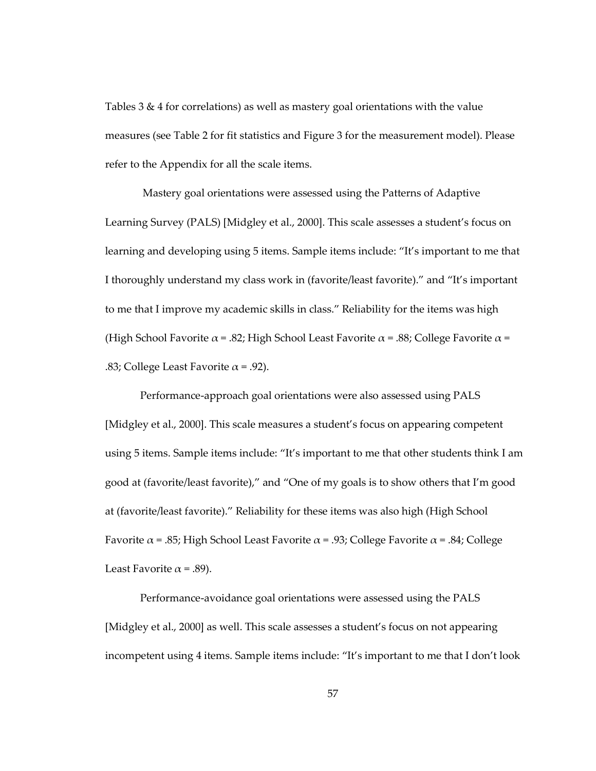Tables 3 & 4 for correlations) as well as mastery goal orientations with the value measures (see Table 2 for fit statistics and Figure 3 for the measurement model). Please refer to the Appendix for all the scale items.

Mastery goal orientations were assessed using the Patterns of Adaptive Learning Survey (PALS) [Midgley et al., 2000]. This scale assesses a student's focus on learning and developing using 5 items. Sample items include: "It's important to me that I thoroughly understand my class work in (favorite/least favorite)." and "It's important to me that I improve my academic skills in class." Reliability for the items was high (High School Favorite  $\alpha$  = .82; High School Least Favorite  $\alpha$  = .88; College Favorite  $\alpha$  = .83; College Least Favorite  $\alpha$  = .92).

Performance-approach goal orientations were also assessed using PALS [Midgley et al., 2000]. This scale measures a student's focus on appearing competent using 5 items. Sample items include: "It's important to me that other students think I am good at (favorite/least favorite)," and "One of my goals is to show others that I'm good at (favorite/least favorite)." Reliability for these items was also high (High School Favorite  $\alpha$  = .85; High School Least Favorite  $\alpha$  = .93; College Favorite  $\alpha$  = .84; College Least Favorite  $\alpha$  = .89).

Performance-avoidance goal orientations were assessed using the PALS [Midgley et al., 2000] as well. This scale assesses a student's focus on not appearing incompetent using 4 items. Sample items include: "It's important to me that I don't look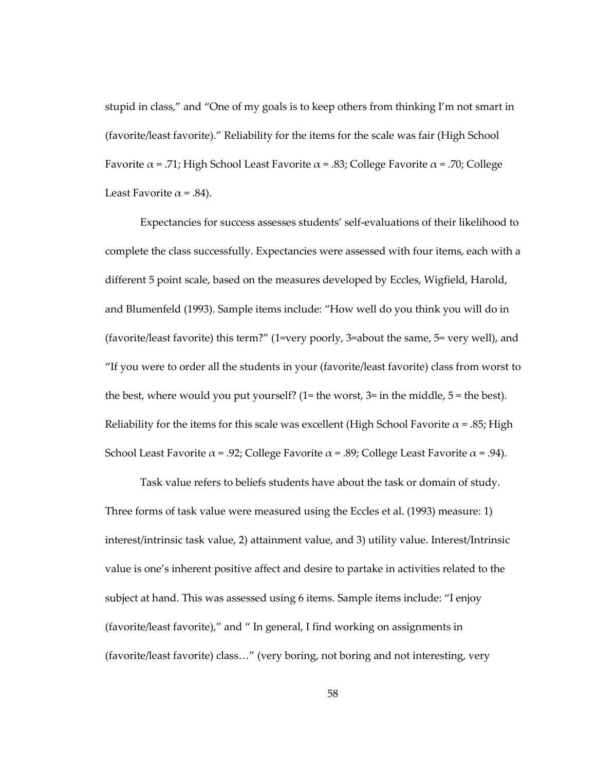stupid in class," and "One of my goals is to keep others from thinking I'm not smart in (favorite/least favorite)." Reliability for the items for the scale was fair (High School Favorite  $\alpha$  = .71; High School Least Favorite  $\alpha$  = .83; College Favorite  $\alpha$  = .70; College Least Favorite  $\alpha$  = .84).

Expectancies for success assesses students' self-evaluations of their likelihood to complete the class successfully. Expectancies were assessed with four items, each with a different 5 point scale, based on the measures developed by Eccles, Wigfield, Harold, and Blumenfeld (1993). Sample items include: "How well do you think you will do in (favorite/least favorite) this term?" (1=very poorly, 3=about the same, 5= very well), and "If you were to order all the students in your (favorite/least favorite) class from worst to the best, where would you put yourself? (1= the worst, 3= in the middle, 5 = the best). Reliability for the items for this scale was excellent (High School Favorite  $\alpha$  = .85; High School Least Favorite  $\alpha$  = .92; College Favorite  $\alpha$  = .89; College Least Favorite  $\alpha$  = .94).

Task value refers to beliefs students have about the task or domain of study. Three forms of task value were measured using the Eccles et al. (1993) measure: 1) interest/intrinsic task value, 2) attainment value, and 3) utility value. Interest/Intrinsic value is one's inherent positive affect and desire to partake in activities related to the subject at hand. This was assessed using 6 items. Sample items include: "I enjoy (favorite/least favorite)," and " In general, I find working on assignments in (favorite/least favorite) class..." (very boring, not boring and not interesting, very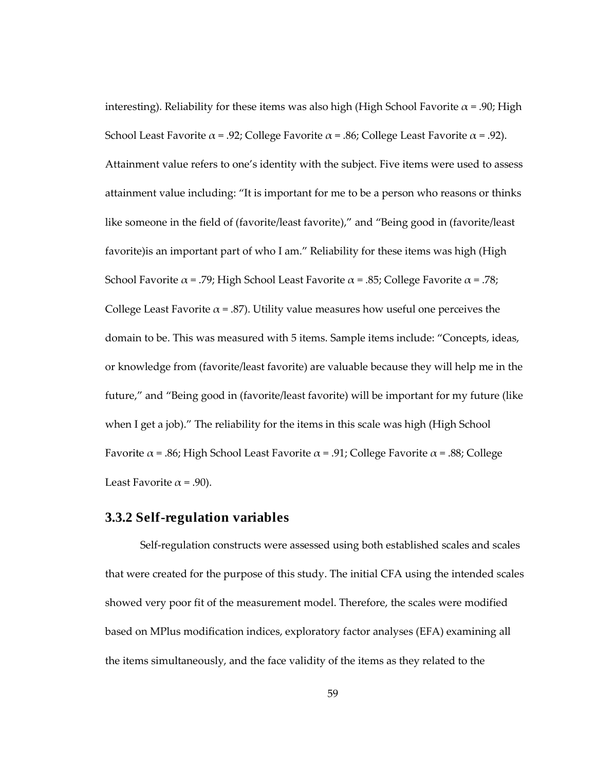interesting). Reliability for these items was also high (High School Favorite  $\alpha$  = .90; High School Least Favorite  $\alpha$  = .92; College Favorite  $\alpha$  = .86; College Least Favorite  $\alpha$  = .92). Attainment value refers to one's identity with the subject. Five items were used to assess attainment value including: "It is important for me to be a person who reasons or thinks like someone in the field of (favorite/least favorite)," and "Being good in (favorite/least favorite)is an important part of who I am." Reliability for these items was high (High School Favorite  $\alpha = .79$ ; High School Least Favorite  $\alpha = .85$ ; College Favorite  $\alpha = .78$ ; College Least Favorite  $\alpha$  = .87). Utility value measures how useful one perceives the domain to be. This was measured with 5 items. Sample items include: "Concepts, ideas, or knowledge from (favorite/least favorite) are valuable because they will help me in the future," and "Being good in (favorite/least favorite) will be important for my future (like when I get a job)." The reliability for the items in this scale was high (High School Favorite  $\alpha$  = .86; High School Least Favorite  $\alpha$  = .91; College Favorite  $\alpha$  = .88; College Least Favorite  $\alpha$  = .90).

#### **3.3.2 Self-regulation variables**

Self-regulation constructs were assessed using both established scales and scales that were created for the purpose of this study. The initial CFA using the intended scales showed very poor fit of the measurement model. Therefore, the scales were modified based on MPlus modification indices, exploratory factor analyses (EFA) examining all the items simultaneously, and the face validity of the items as they related to the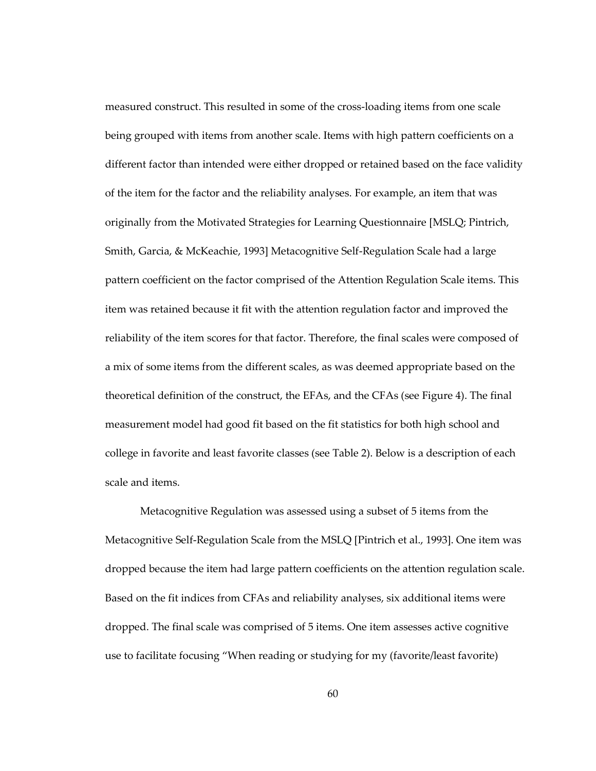measured construct. This resulted in some of the cross-loading items from one scale being grouped with items from another scale. Items with high pattern coefficients on a different factor than intended were either dropped or retained based on the face validity of the item for the factor and the reliability analyses. For example, an item that was originally from the Motivated Strategies for Learning Questionnaire [MSLQ; Pintrich, Smith, Garcia, & McKeachie, 1993] Metacognitive Self-Regulation Scale had a large pattern coefficient on the factor comprised of the Attention Regulation Scale items. This item was retained because it fit with the attention regulation factor and improved the reliability of the item scores for that factor. Therefore, the final scales were composed of a mix of some items from the different scales, as was deemed appropriate based on the theoretical definition of the construct, the EFAs, and the CFAs (see Figure 4). The final measurement model had good fit based on the fit statistics for both high school and college in favorite and least favorite classes (see Table 2). Below is a description of each scale and items.

Metacognitive Regulation was assessed using a subset of 5 items from the Metacognitive Self-Regulation Scale from the MSLQ [Pintrich et al., 1993]. One item was dropped because the item had large pattern coefficients on the attention regulation scale. Based on the fit indices from CFAs and reliability analyses, six additional items were dropped. The final scale was comprised of 5 items. One item assesses active cognitive use to facilitate focusing "When reading or studying for my (favorite/least favorite)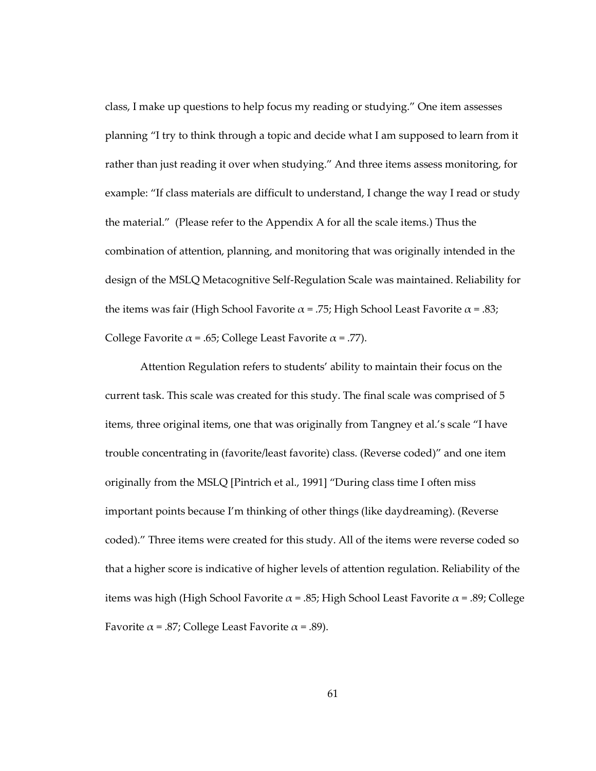class, I make up questions to help focus my reading or studying." One item assesses planning "I try to think through a topic and decide what I am supposed to learn from it rather than just reading it over when studying." And three items assess monitoring, for example: "If class materials are difficult to understand, I change the way I read or study the material." (Please refer to the Appendix A for all the scale items.) Thus the combination of attention, planning, and monitoring that was originally intended in the design of the MSLQ Metacognitive Self-Regulation Scale was maintained. Reliability for the items was fair (High School Favorite  $\alpha$  = .75; High School Least Favorite  $\alpha$  = .83; College Favorite  $\alpha$  = .65; College Least Favorite  $\alpha$  = .77).

Attention Regulation refers to students' ability to maintain their focus on the current task. This scale was created for this study. The final scale was comprised of 5 items, three original items, one that was originally from Tangney et al.'s scale "I have trouble concentrating in (favorite/least favorite) class. (Reverse coded)" and one item originally from the MSLQ [Pintrich et al., 1991] "During class time I often miss important points because I'm thinking of other things (like daydreaming). (Reverse coded)." Three items were created for this study. All of the items were reverse coded so that a higher score is indicative of higher levels of attention regulation. Reliability of the items was high (High School Favorite  $\alpha$  = .85; High School Least Favorite  $\alpha$  = .89; College Favorite  $\alpha$  = .87; College Least Favorite  $\alpha$  = .89).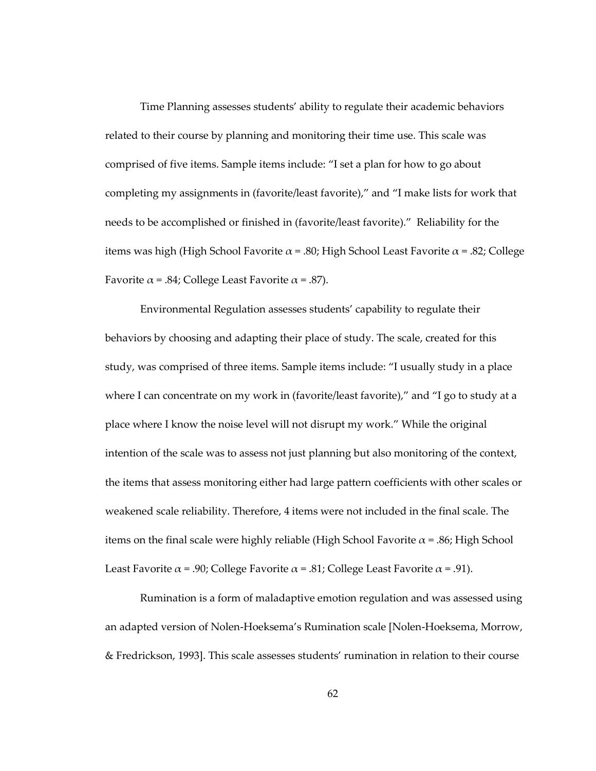Time Planning assesses students' ability to regulate their academic behaviors related to their course by planning and monitoring their time use. This scale was comprised of five items. Sample items include: "I set a plan for how to go about completing my assignments in (favorite/least favorite)," and "I make lists for work that needs to be accomplished or finished in (favorite/least favorite)." Reliability for the items was high (High School Favorite  $\alpha$  = .80; High School Least Favorite  $\alpha$  = .82; College Favorite  $\alpha$  = .84; College Least Favorite  $\alpha$  = .87).

Environmental Regulation assesses students' capability to regulate their behaviors by choosing and adapting their place of study. The scale, created for this study, was comprised of three items. Sample items include: "I usually study in a place where I can concentrate on my work in (favorite/least favorite)," and "I go to study at a place where I know the noise level will not disrupt my work." While the original intention of the scale was to assess not just planning but also monitoring of the context, the items that assess monitoring either had large pattern coefficients with other scales or weakened scale reliability. Therefore, 4 items were not included in the final scale. The items on the final scale were highly reliable (High School Favorite  $\alpha$  = .86; High School Least Favorite  $\alpha$  = .90; College Favorite  $\alpha$  = .81; College Least Favorite  $\alpha$  = .91).

Rumination is a form of maladaptive emotion regulation and was assessed using an adapted version of Nolen-Hoeksema's Rumination scale [Nolen-Hoeksema, Morrow, & Fredrickson, 1993]. This scale assesses students' rumination in relation to their course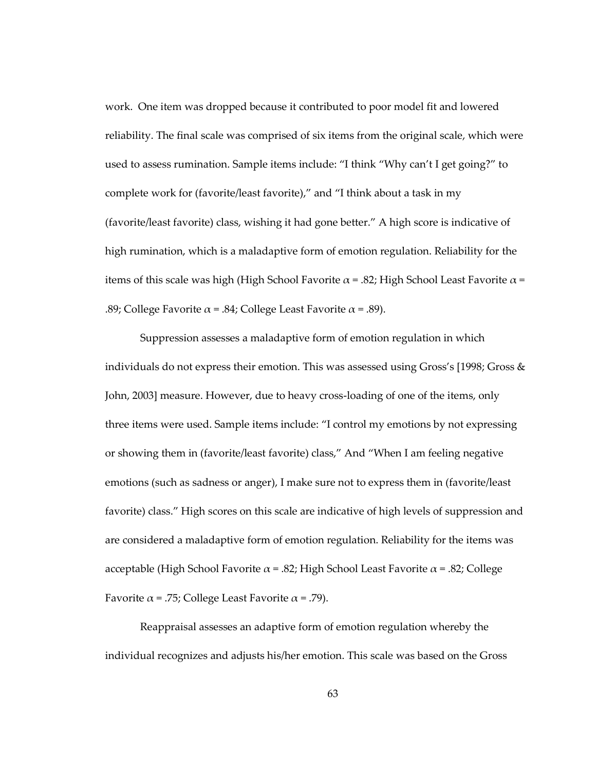work. One item was dropped because it contributed to poor model fit and lowered reliability. The final scale was comprised of six items from the original scale, which were used to assess rumination. Sample items include: "I think "Why can't I get going?" to complete work for (favorite/least favorite)," and "I think about a task in my (favorite/least favorite) class, wishing it had gone better." A high score is indicative of high rumination, which is a maladaptive form of emotion regulation. Reliability for the items of this scale was high (High School Favorite  $\alpha$  = .82; High School Least Favorite  $\alpha$  = .89; College Favorite  $\alpha$  = .84; College Least Favorite  $\alpha$  = .89).

Suppression assesses a maladaptive form of emotion regulation in which individuals do not express their emotion. This was assessed using Gross's  $[1998;$  Gross & John, 2003] measure. However, due to heavy cross-loading of one of the items, only three items were used. Sample items include: "I control my emotions by not expressing or showing them in (favorite/least favorite) class," And "When I am feeling negative emotions (such as sadness or anger), I make sure not to express them in (favorite/least favorite) class." High scores on this scale are indicative of high levels of suppression and are considered a maladaptive form of emotion regulation. Reliability for the items was acceptable (High School Favorite  $\alpha$  = .82; High School Least Favorite  $\alpha$  = .82; College Favorite  $\alpha$  = .75; College Least Favorite  $\alpha$  = .79).

Reappraisal assesses an adaptive form of emotion regulation whereby the individual recognizes and adjusts his/her emotion. This scale was based on the Gross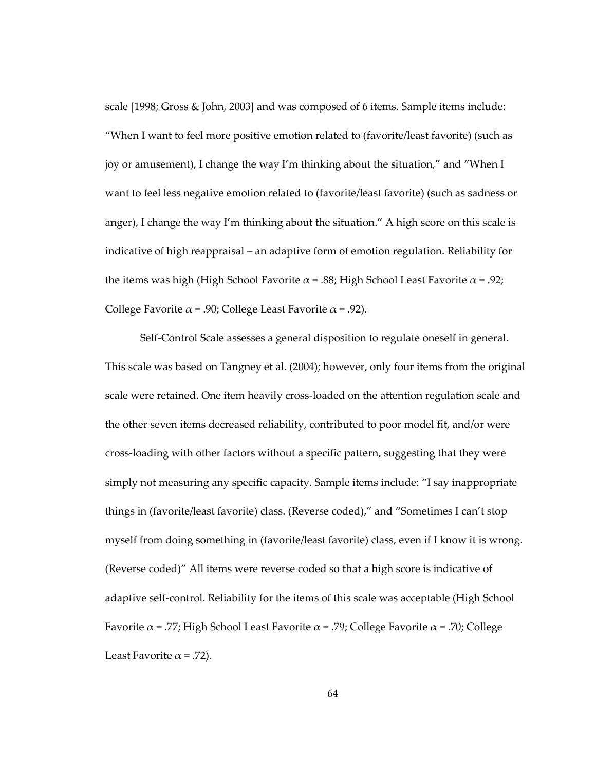scale [1998; Gross & John, 2003] and was composed of 6 items. Sample items include: "When I want to feel more positive emotion related to (favorite/least favorite) (such as joy or amusement), I change the way I'm thinking about the situation," and "When I want to feel less negative emotion related to (favorite/least favorite) (such as sadness or anger), I change the way I'm thinking about the situation." A high score on this scale is indicative of high reappraisal – an adaptive form of emotion regulation. Reliability for the items was high (High School Favorite  $\alpha = .88$ ; High School Least Favorite  $\alpha = .92$ ; College Favorite  $\alpha$  = .90; College Least Favorite  $\alpha$  = .92).

Self-Control Scale assesses a general disposition to regulate oneself in general. This scale was based on Tangney et al. (2004); however, only four items from the original scale were retained. One item heavily cross-loaded on the attention regulation scale and the other seven items decreased reliability, contributed to poor model fit, and/or were cross-loading with other factors without a specific pattern, suggesting that they were simply not measuring any specific capacity. Sample items include: "I say inappropriate things in (favorite/least favorite) class. (Reverse coded)," and "Sometimes I can't stop myself from doing something in (favorite/least favorite) class, even if I know it is wrong. (Reverse coded)" All items were reverse coded so that a high score is indicative of adaptive self-control. Reliability for the items of this scale was acceptable (High School Favorite  $\alpha$  = .77; High School Least Favorite  $\alpha$  = .79; College Favorite  $\alpha$  = .70; College Least Favorite  $\alpha$  = .72).

64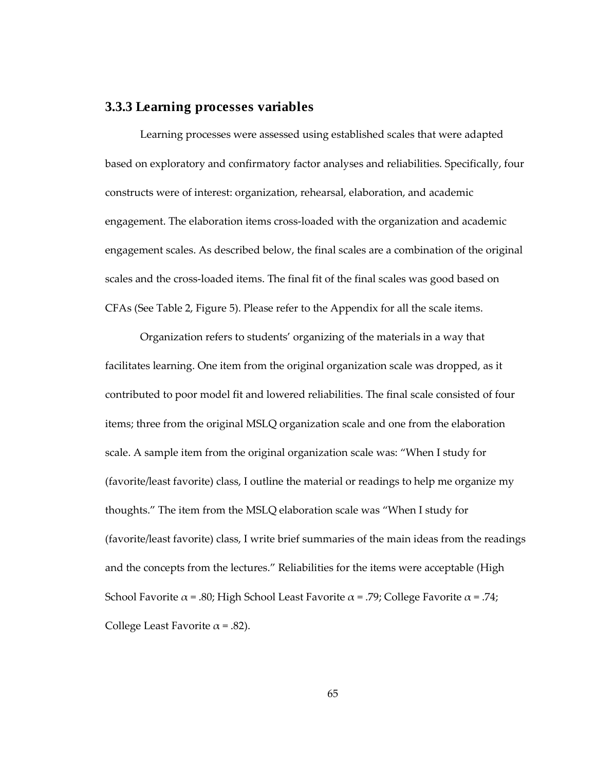## **3.3.3 Learning processes variables**

Learning processes were assessed using established scales that were adapted based on exploratory and confirmatory factor analyses and reliabilities. Specifically, four constructs were of interest: organization, rehearsal, elaboration, and academic engagement. The elaboration items cross-loaded with the organization and academic engagement scales. As described below, the final scales are a combination of the original scales and the cross-loaded items. The final fit of the final scales was good based on CFAs (See Table 2, Figure 5). Please refer to the Appendix for all the scale items.

Organization refers to students' organizing of the materials in a way that facilitates learning. One item from the original organization scale was dropped, as it contributed to poor model fit and lowered reliabilities. The final scale consisted of four items; three from the original MSLQ organization scale and one from the elaboration scale. A sample item from the original organization scale was: "When I study for (favorite/least favorite) class, I outline the material or readings to help me organize my thoughts." The item from the MSLQ elaboration scale was "When I study for (favorite/least favorite) class, I write brief summaries of the main ideas from the readings and the concepts from the lectures." Reliabilities for the items were acceptable (High School Favorite  $\alpha$  = .80; High School Least Favorite  $\alpha$  = .79; College Favorite  $\alpha$  = .74; College Least Favorite  $\alpha$  = .82).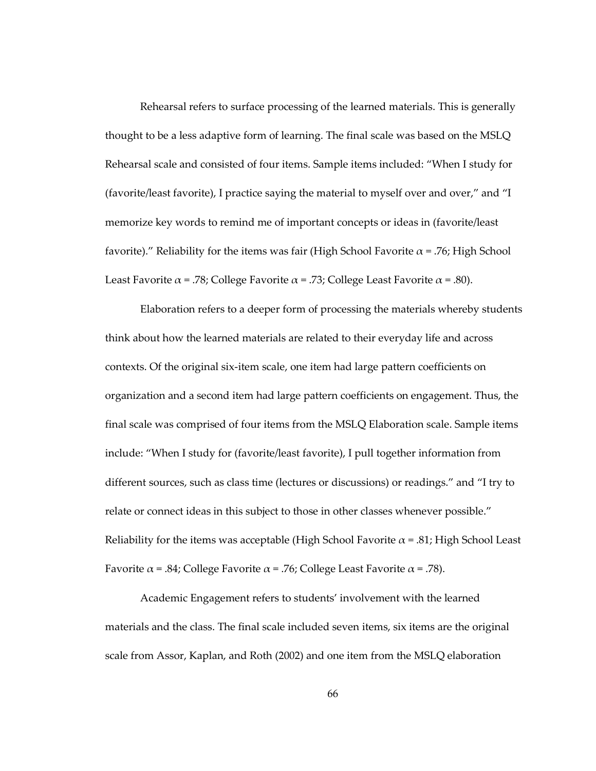Rehearsal refers to surface processing of the learned materials. This is generally thought to be a less adaptive form of learning. The final scale was based on the MSLQ Rehearsal scale and consisted of four items. Sample items included: "When I study for (favorite/least favorite), I practice saying the material to myself over and over," and "I memorize key words to remind me of important concepts or ideas in (favorite/least favorite)." Reliability for the items was fair (High School Favorite  $\alpha$  = .76; High School Least Favorite  $\alpha$  = .78; College Favorite  $\alpha$  = .73; College Least Favorite  $\alpha$  = .80).

Elaboration refers to a deeper form of processing the materials whereby students think about how the learned materials are related to their everyday life and across contexts. Of the original six-item scale, one item had large pattern coefficients on organization and a second item had large pattern coefficients on engagement. Thus, the final scale was comprised of four items from the MSLQ Elaboration scale. Sample items include: "When I study for (favorite/least favorite), I pull together information from different sources, such as class time (lectures or discussions) or readings." and "I try to relate or connect ideas in this subject to those in other classes whenever possible." Reliability for the items was acceptable (High School Favorite  $\alpha$  = .81; High School Least Favorite  $\alpha$  = .84; College Favorite  $\alpha$  = .76; College Least Favorite  $\alpha$  = .78).

Academic Engagement refers to students' involvement with the learned materials and the class. The final scale included seven items, six items are the original scale from Assor, Kaplan, and Roth (2002) and one item from the MSLQ elaboration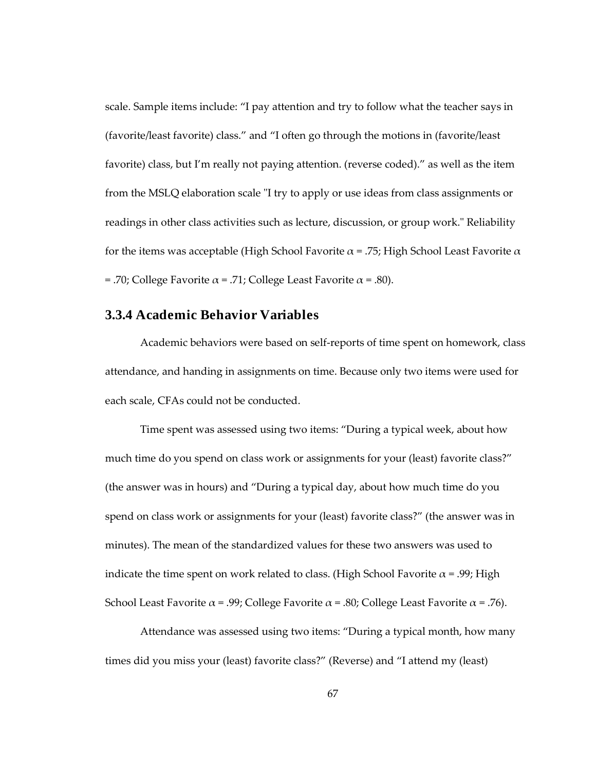scale. Sample items include: "I pay attention and try to follow what the teacher says in (favorite/least favorite) class." and "I often go through the motions in (favorite/least favorite) class, but I'm really not paying attention. (reverse coded)." as well as the item from the MSLQ elaboration scale "I try to apply or use ideas from class assignments or readings in other class activities such as lecture, discussion, or group work." Reliability for the items was acceptable (High School Favorite  $\alpha$  = .75; High School Least Favorite  $\alpha$ = .70; College Favorite  $\alpha$  = .71; College Least Favorite  $\alpha$  = .80).

# **3.3.4 Academic Behavior Variables**

Academic behaviors were based on self-reports of time spent on homework, class attendance, and handing in assignments on time. Because only two items were used for each scale, CFAs could not be conducted.

Time spent was assessed using two items: "During a typical week, about how much time do you spend on class work or assignments for your (least) favorite class?" (the answer was in hours) and "During a typical day, about how much time do you spend on class work or assignments for your (least) favorite class?" (the answer was in minutes). The mean of the standardized values for these two answers was used to indicate the time spent on work related to class. (High School Favorite  $\alpha = .99$ ; High School Least Favorite  $\alpha$  = .99; College Favorite  $\alpha$  = .80; College Least Favorite  $\alpha$  = .76).

Attendance was assessed using two items: "During a typical month, how many times did you miss your (least) favorite class?" (Reverse) and "I attend my (least)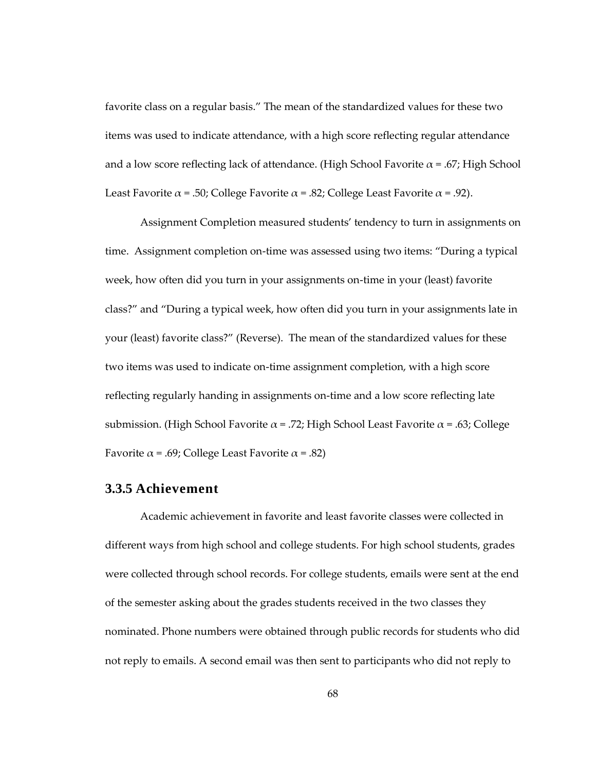favorite class on a regular basis." The mean of the standardized values for these two items was used to indicate attendance, with a high score reflecting regular attendance and a low score reflecting lack of attendance. (High School Favorite  $\alpha$  = .67; High School Least Favorite  $\alpha$  = .50; College Favorite  $\alpha$  = .82; College Least Favorite  $\alpha$  = .92).

Assignment Completion measured students' tendency to turn in assignments on time. Assignment completion on-time was assessed using two items: "During a typical week, how often did you turn in your assignments on-time in your (least) favorite class?" and "During a typical week, how often did you turn in your assignments late in your (least) favorite class?" (Reverse). The mean of the standardized values for these two items was used to indicate on-time assignment completion, with a high score reflecting regularly handing in assignments on-time and a low score reflecting late submission. (High School Favorite  $\alpha$  = .72; High School Least Favorite  $\alpha$  = .63; College Favorite  $\alpha$  = .69; College Least Favorite  $\alpha$  = .82)

# **3.3.5 Achievement**

Academic achievement in favorite and least favorite classes were collected in different ways from high school and college students. For high school students, grades were collected through school records. For college students, emails were sent at the end of the semester asking about the grades students received in the two classes they nominated. Phone numbers were obtained through public records for students who did not reply to emails. A second email was then sent to participants who did not reply to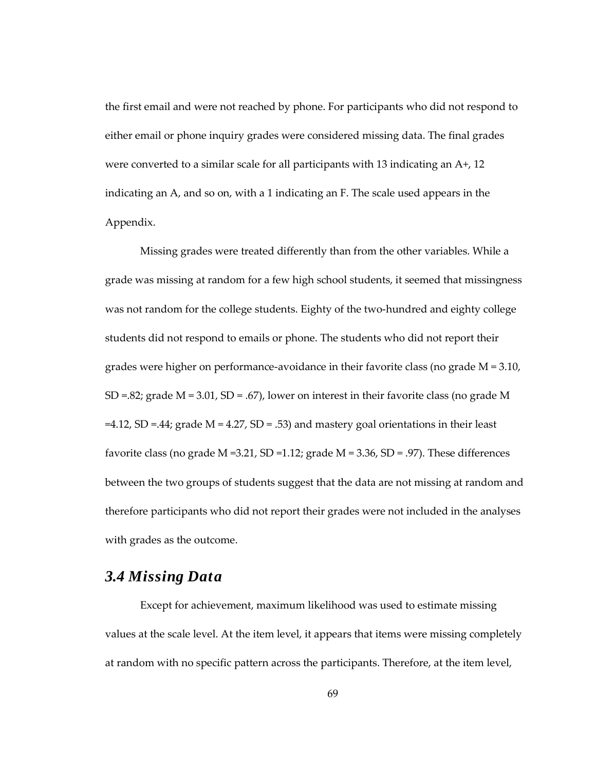the first email and were not reached by phone. For participants who did not respond to either email or phone inquiry grades were considered missing data. The final grades were converted to a similar scale for all participants with 13 indicating an A+, 12 indicating an A, and so on, with a 1 indicating an F. The scale used appears in the Appendix.

Missing grades were treated differently than from the other variables. While a grade was missing at random for a few high school students, it seemed that missingness was not random for the college students. Eighty of the two-hundred and eighty college students did not respond to emails or phone. The students who did not report their grades were higher on performance-avoidance in their favorite class (no grade  $M = 3.10$ , SD =.82; grade  $M = 3.01$ , SD = .67), lower on interest in their favorite class (no grade M  $=4.12$ , SD  $=$  44; grade M  $= 4.27$ , SD  $= .53$ ) and mastery goal orientations in their least favorite class (no grade  $M = 3.21$ , SD = 1.12; grade  $M = 3.36$ , SD = .97). These differences between the two groups of students suggest that the data are not missing at random and therefore participants who did not report their grades were not included in the analyses with grades as the outcome.

# *3.4 Missing Data*

Except for achievement, maximum likelihood was used to estimate missing values at the scale level. At the item level, it appears that items were missing completely at random with no specific pattern across the participants. Therefore, at the item level,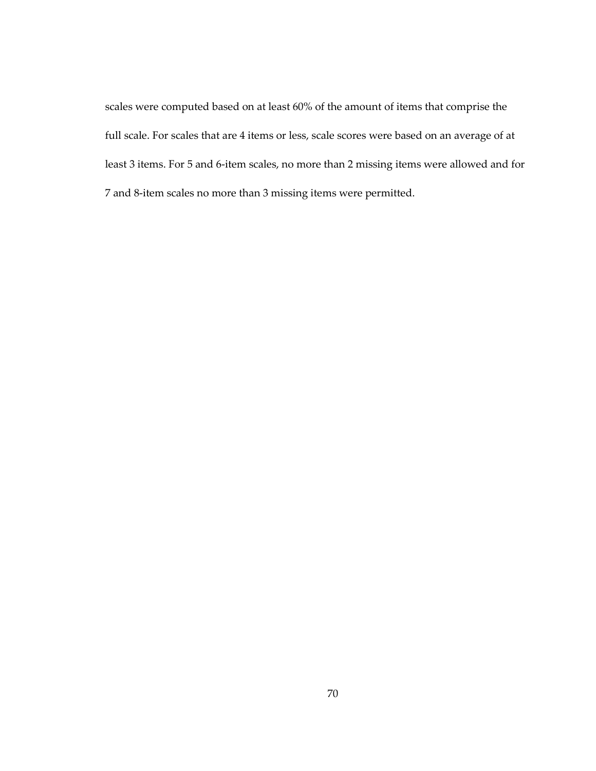scales were computed based on at least 60% of the amount of items that comprise the full scale. For scales that are 4 items or less, scale scores were based on an average of at least 3 items. For 5 and 6-item scales, no more than 2 missing items were allowed and for 7 and 8-item scales no more than 3 missing items were permitted.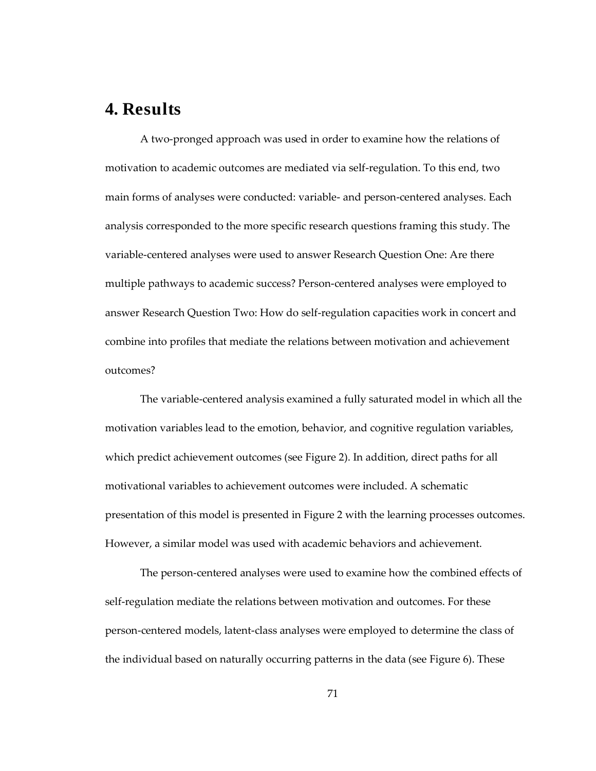# **4. Results**

A two-pronged approach was used in order to examine how the relations of motivation to academic outcomes are mediated via self-regulation. To this end, two main forms of analyses were conducted: variable- and person-centered analyses. Each analysis corresponded to the more specific research questions framing this study. The variable-centered analyses were used to answer Research Question One: Are there multiple pathways to academic success? Person-centered analyses were employed to answer Research Question Two: How do self-regulation capacities work in concert and combine into profiles that mediate the relations between motivation and achievement outcomes?

The variable-centered analysis examined a fully saturated model in which all the motivation variables lead to the emotion, behavior, and cognitive regulation variables, which predict achievement outcomes (see Figure 2). In addition, direct paths for all motivational variables to achievement outcomes were included. A schematic presentation of this model is presented in Figure 2 with the learning processes outcomes. However, a similar model was used with academic behaviors and achievement.

The person-centered analyses were used to examine how the combined effects of self-regulation mediate the relations between motivation and outcomes. For these person-centered models, latent-class analyses were employed to determine the class of the individual based on naturally occurring patterns in the data (see Figure 6). These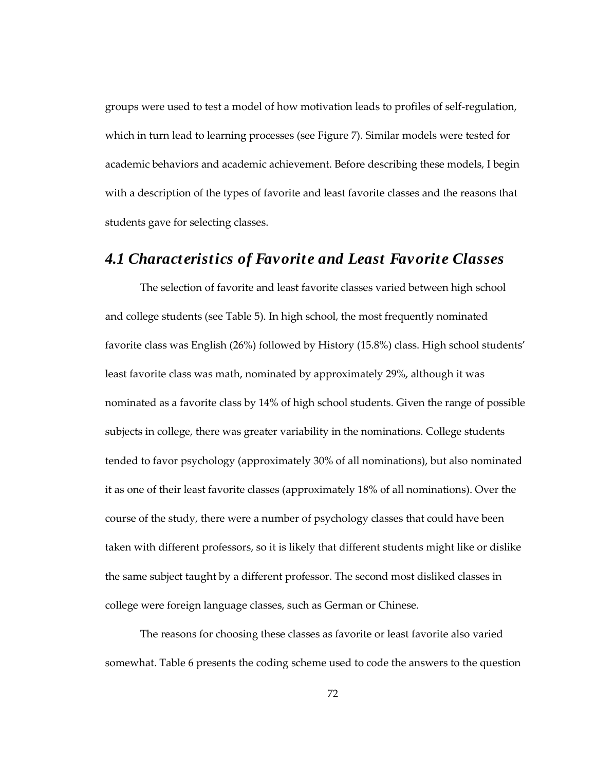groups were used to test a model of how motivation leads to profiles of self-regulation, which in turn lead to learning processes (see Figure 7). Similar models were tested for academic behaviors and academic achievement. Before describing these models, I begin with a description of the types of favorite and least favorite classes and the reasons that students gave for selecting classes.

# *4.1 Characteristics of Favorite and Least Favorite Classes*

The selection of favorite and least favorite classes varied between high school and college students (see Table 5). In high school, the most frequently nominated favorite class was English (26%) followed by History (15.8%) class. High school students' least favorite class was math, nominated by approximately 29%, although it was nominated as a favorite class by 14% of high school students. Given the range of possible subjects in college, there was greater variability in the nominations. College students tended to favor psychology (approximately 30% of all nominations), but also nominated it as one of their least favorite classes (approximately 18% of all nominations). Over the course of the study, there were a number of psychology classes that could have been taken with different professors, so it is likely that different students might like or dislike the same subject taught by a different professor. The second most disliked classes in college were foreign language classes, such as German or Chinese.

The reasons for choosing these classes as favorite or least favorite also varied somewhat. Table 6 presents the coding scheme used to code the answers to the question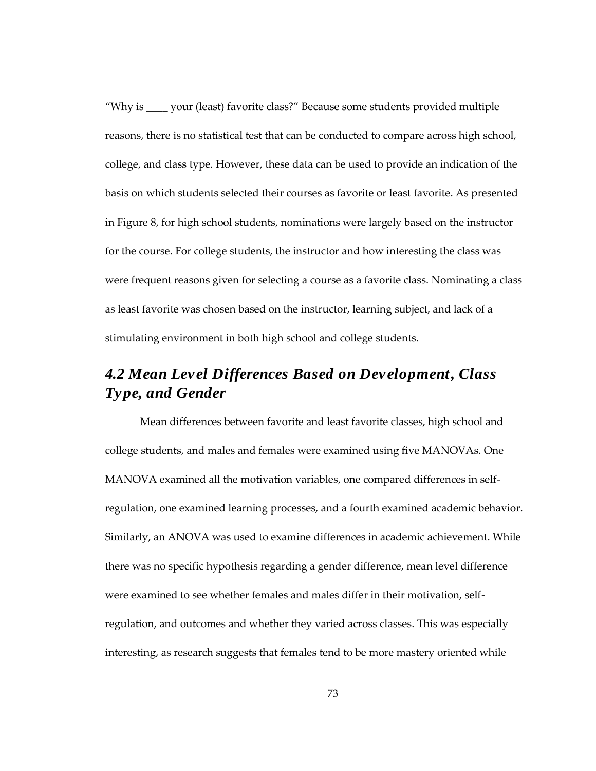"Why is \_\_\_\_ your (least) favorite class?" Because some students provided multiple reasons, there is no statistical test that can be conducted to compare across high school, college, and class type. However, these data can be used to provide an indication of the basis on which students selected their courses as favorite or least favorite. As presented in Figure 8, for high school students, nominations were largely based on the instructor for the course. For college students, the instructor and how interesting the class was were frequent reasons given for selecting a course as a favorite class. Nominating a class as least favorite was chosen based on the instructor, learning subject, and lack of a stimulating environment in both high school and college students.

# *4.2 Mean Level Differences Based on Development, Class Type, and Gender*

Mean differences between favorite and least favorite classes, high school and college students, and males and females were examined using five MANOVAs. One MANOVA examined all the motivation variables, one compared differences in selfregulation, one examined learning processes, and a fourth examined academic behavior. Similarly, an ANOVA was used to examine differences in academic achievement. While there was no specific hypothesis regarding a gender difference, mean level difference were examined to see whether females and males differ in their motivation, selfregulation, and outcomes and whether they varied across classes. This was especially interesting, as research suggests that females tend to be more mastery oriented while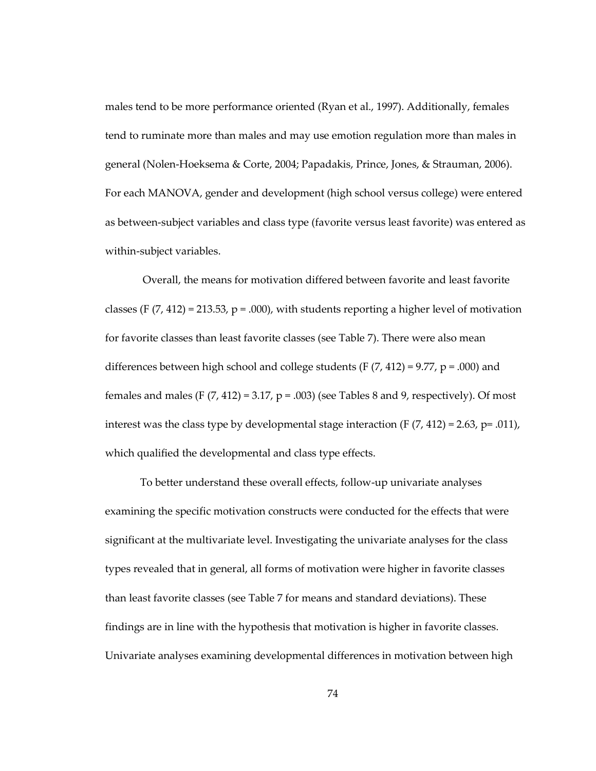males tend to be more performance oriented (Ryan et al., 1997). Additionally, females tend to ruminate more than males and may use emotion regulation more than males in general (Nolen-Hoeksema & Corte, 2004; Papadakis, Prince, Jones, & Strauman, 2006). For each MANOVA, gender and development (high school versus college) were entered as between-subject variables and class type (favorite versus least favorite) was entered as within-subject variables.

Overall, the means for motivation differed between favorite and least favorite classes (F  $(7, 412)$  = 213.53, p = .000), with students reporting a higher level of motivation for favorite classes than least favorite classes (see Table 7). There were also mean differences between high school and college students (F  $(7, 412) = 9.77$ ,  $p = .000$ ) and females and males (F  $(7, 412) = 3.17$ ,  $p = .003$ ) (see Tables 8 and 9, respectively). Of most interest was the class type by developmental stage interaction  $(F(7, 412) = 2.63, p = .011)$ , which qualified the developmental and class type effects.

To better understand these overall effects, follow-up univariate analyses examining the specific motivation constructs were conducted for the effects that were significant at the multivariate level. Investigating the univariate analyses for the class types revealed that in general, all forms of motivation were higher in favorite classes than least favorite classes (see Table 7 for means and standard deviations). These findings are in line with the hypothesis that motivation is higher in favorite classes. Univariate analyses examining developmental differences in motivation between high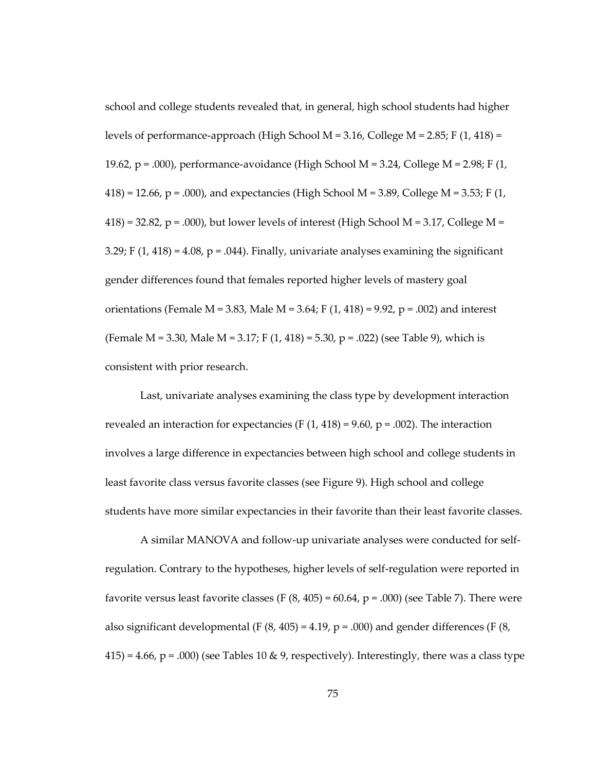school and college students revealed that, in general, high school students had higher levels of performance-approach (High School M = 3.16, College M = 2.85; F  $(1, 418)$  = 19.62,  $p = .000$ ), performance-avoidance (High School M = 3.24, College M = 2.98; F (1,  $418$ ) = 12.66, p = .000), and expectancies (High School M = 3.89, College M = 3.53; F (1,  $418$ ) = 32.82, p = .000), but lower levels of interest (High School M = 3.17, College M = 3.29; F  $(1, 418) = 4.08$ , p = .044). Finally, univariate analyses examining the significant gender differences found that females reported higher levels of mastery goal orientations (Female M = 3.83, Male M = 3.64; F  $(1, 418)$  = 9.92, p = .002) and interest (Female M = 3.30, Male M = 3.17; F  $(1, 418) = 5.30$ , p = .022) (see Table 9), which is consistent with prior research.

Last, univariate analyses examining the class type by development interaction revealed an interaction for expectancies (F  $(1, 418) = 9.60$ ,  $p = .002$ ). The interaction involves a large difference in expectancies between high school and college students in least favorite class versus favorite classes (see Figure 9). High school and college students have more similar expectancies in their favorite than their least favorite classes.

A similar MANOVA and follow-up univariate analyses were conducted for selfregulation. Contrary to the hypotheses, higher levels of self-regulation were reported in favorite versus least favorite classes (F  $(8, 405) = 60.64$ , p = .000) (see Table 7). There were also significant developmental (F  $(8, 405) = 4.19$ , p = .000) and gender differences (F  $(8, 405)$ )  $415$ ) = 4.66, p = .000) (see Tables 10 & 9, respectively). Interestingly, there was a class type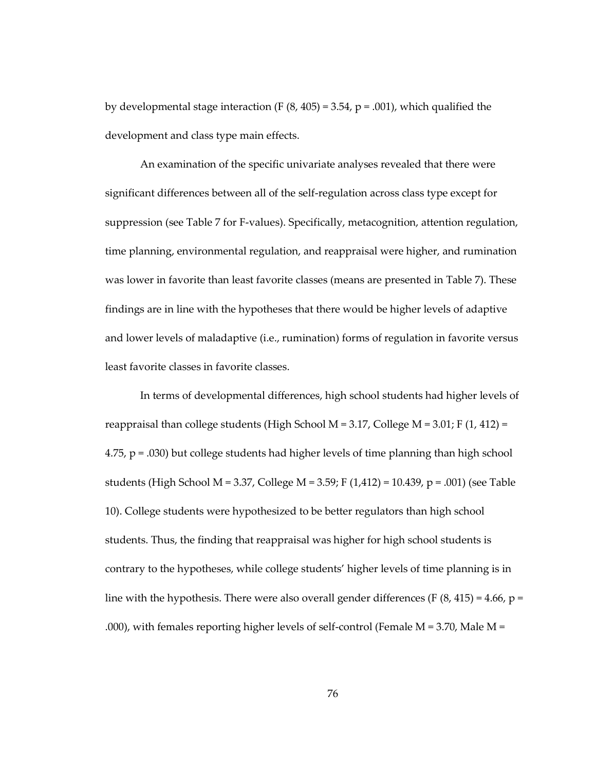by developmental stage interaction (F  $(8, 405) = 3.54$ , p = .001), which qualified the development and class type main effects.

An examination of the specific univariate analyses revealed that there were significant differences between all of the self-regulation across class type except for suppression (see Table 7 for F-values). Specifically, metacognition, attention regulation, time planning, environmental regulation, and reappraisal were higher, and rumination was lower in favorite than least favorite classes (means are presented in Table 7). These findings are in line with the hypotheses that there would be higher levels of adaptive and lower levels of maladaptive (i.e., rumination) forms of regulation in favorite versus least favorite classes in favorite classes.

In terms of developmental differences, high school students had higher levels of reappraisal than college students (High School M = 3.17, College M = 3.01; F  $(1, 412)$  = 4.75, p = .030) but college students had higher levels of time planning than high school students (High School M = 3.37, College M = 3.59; F (1,412) = 10.439, p = .001) (see Table 10). College students were hypothesized to be better regulators than high school students. Thus, the finding that reappraisal was higher for high school students is contrary to the hypotheses, while college students' higher levels of time planning is in line with the hypothesis. There were also overall gender differences (F  $(8, 415) = 4.66$ , p = .000), with females reporting higher levels of self-control (Female  $M = 3.70$ , Male  $M =$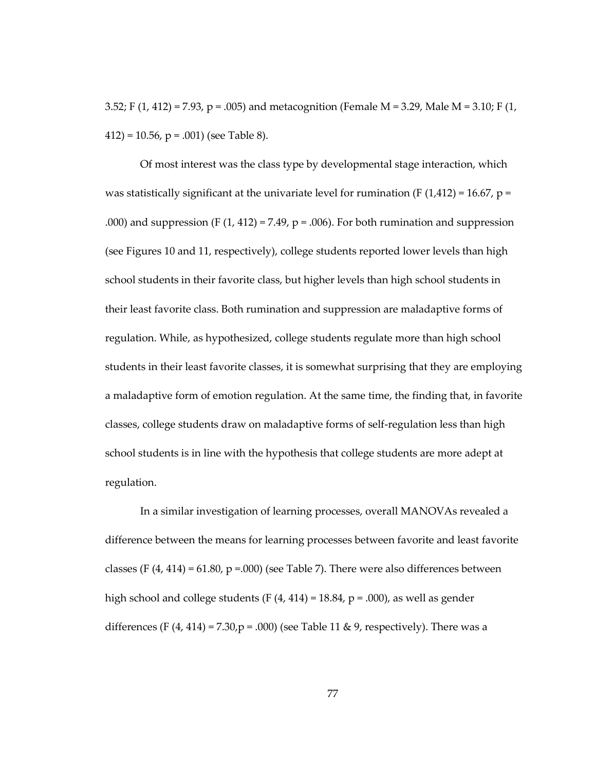3.52; F (1, 412) = 7.93, p = .005) and metacognition (Female M = 3.29, Male M = 3.10; F (1,  $412$ ) = 10.56, p = .001) (see Table 8).

Of most interest was the class type by developmental stage interaction, which was statistically significant at the univariate level for rumination (F  $(1,412) = 16.67$ , p = .000) and suppression (F  $(1, 412) = 7.49$ , p = .006). For both rumination and suppression (see Figures 10 and 11, respectively), college students reported lower levels than high school students in their favorite class, but higher levels than high school students in their least favorite class. Both rumination and suppression are maladaptive forms of regulation. While, as hypothesized, college students regulate more than high school students in their least favorite classes, it is somewhat surprising that they are employing a maladaptive form of emotion regulation. At the same time, the finding that, in favorite classes, college students draw on maladaptive forms of self-regulation less than high school students is in line with the hypothesis that college students are more adept at regulation.

In a similar investigation of learning processes, overall MANOVAs revealed a difference between the means for learning processes between favorite and least favorite classes (F  $(4, 414) = 61.80$ , p = 000) (see Table 7). There were also differences between high school and college students (F  $(4, 414) = 18.84$ , p = .000), as well as gender differences (F  $(4, 414) = 7.30$ ,  $p = .000$ ) (see Table 11 & 9, respectively). There was a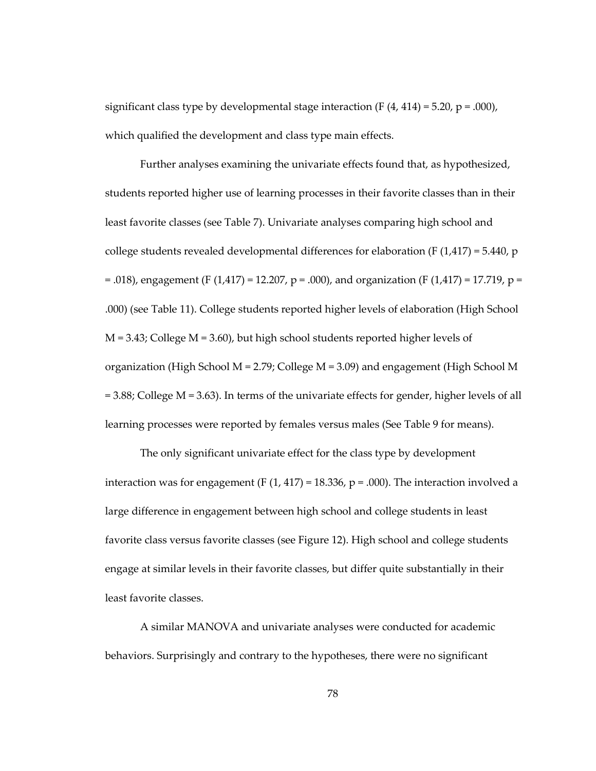significant class type by developmental stage interaction (F  $(4, 414) = 5.20$ , p = .000), which qualified the development and class type main effects.

Further analyses examining the univariate effects found that, as hypothesized, students reported higher use of learning processes in their favorite classes than in their least favorite classes (see Table 7). Univariate analyses comparing high school and college students revealed developmental differences for elaboration (F  $(1,417) = 5.440$ , p  $=$  .018), engagement (F (1,417) = 12.207, p = .000), and organization (F (1,417) = 17.719, p = .000) (see Table 11). College students reported higher levels of elaboration (High School  $M = 3.43$ ; College  $M = 3.60$ , but high school students reported higher levels of organization (High School  $M = 2.79$ ; College  $M = 3.09$ ) and engagement (High School M = 3.88; College M = 3.63). In terms of the univariate effects for gender, higher levels of all learning processes were reported by females versus males (See Table 9 for means).

The only significant univariate effect for the class type by development interaction was for engagement (F  $(1, 417) = 18.336$ , p = .000). The interaction involved a large difference in engagement between high school and college students in least favorite class versus favorite classes (see Figure 12). High school and college students engage at similar levels in their favorite classes, but differ quite substantially in their least favorite classes.

A similar MANOVA and univariate analyses were conducted for academic behaviors. Surprisingly and contrary to the hypotheses, there were no significant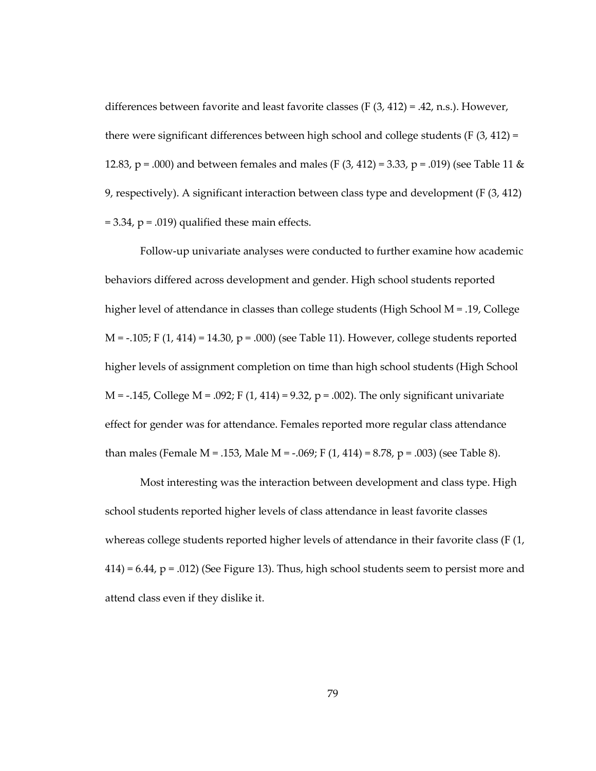differences between favorite and least favorite classes (F (3, 412) = .42, n.s.). However, there were significant differences between high school and college students ( $F(3, 412) =$ 12.83, p = .000) and between females and males (F  $(3, 412)$  = 3.33, p = .019) (see Table 11 & 9, respectively). A significant interaction between class type and development (F (3, 412)  $= 3.34$ ,  $p = .019$ ) qualified these main effects.

Follow-up univariate analyses were conducted to further examine how academic behaviors differed across development and gender. High school students reported higher level of attendance in classes than college students (High School M = .19, College  $M = -.105$ ; F (1, 414) = 14.30, p = .000) (see Table 11). However, college students reported higher levels of assignment completion on time than high school students (High School  $M = -0.145$ , College M = .092; F (1, 414) = 9.32, p = .002). The only significant univariate effect for gender was for attendance. Females reported more regular class attendance than males (Female M = .153, Male M =  $-.069$ ; F  $(1, 414)$  = 8.78, p = .003) (see Table 8).

Most interesting was the interaction between development and class type. High school students reported higher levels of class attendance in least favorite classes whereas college students reported higher levels of attendance in their favorite class (F (1,  $414$ ) = 6.44, p = .012) (See Figure 13). Thus, high school students seem to persist more and attend class even if they dislike it.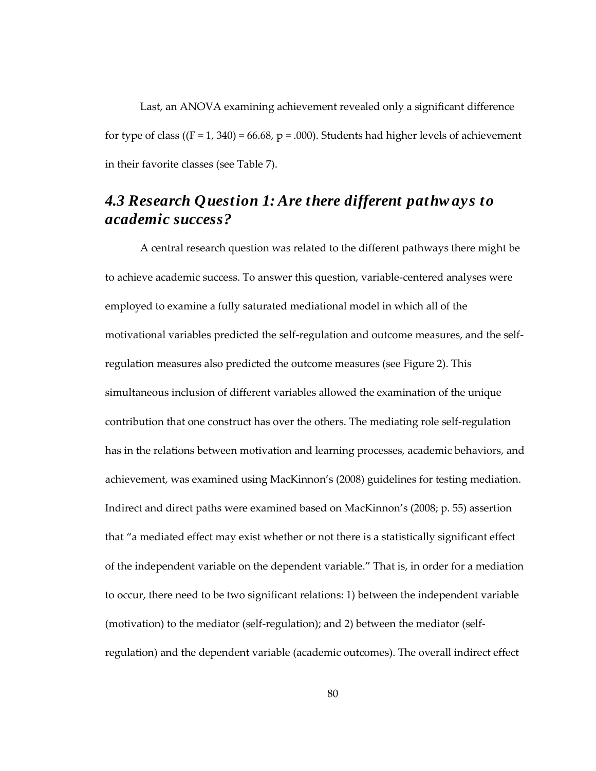Last, an ANOVA examining achievement revealed only a significant difference for type of class  $((F = 1, 340) = 66.68, p = .000)$ . Students had higher levels of achievement in their favorite classes (see Table 7).

# *4.3 Research Question 1: Are there different pathw ays to academic success?*

A central research question was related to the different pathways there might be to achieve academic success. To answer this question, variable-centered analyses were employed to examine a fully saturated mediational model in which all of the motivational variables predicted the self-regulation and outcome measures, and the selfregulation measures also predicted the outcome measures (see Figure 2). This simultaneous inclusion of different variables allowed the examination of the unique contribution that one construct has over the others. The mediating role self-regulation has in the relations between motivation and learning processes, academic behaviors, and achievement, was examined using MacKinnon's (2008) guidelines for testing mediation. Indirect and direct paths were examined based on MacKinnon's (2008; p. 55) assertion that "a mediated effect may exist whether or not there is a statistically significant effect of the independent variable on the dependent variable." That is, in order for a mediation to occur, there need to be two significant relations: 1) between the independent variable (motivation) to the mediator (self-regulation); and 2) between the mediator (selfregulation) and the dependent variable (academic outcomes). The overall indirect effect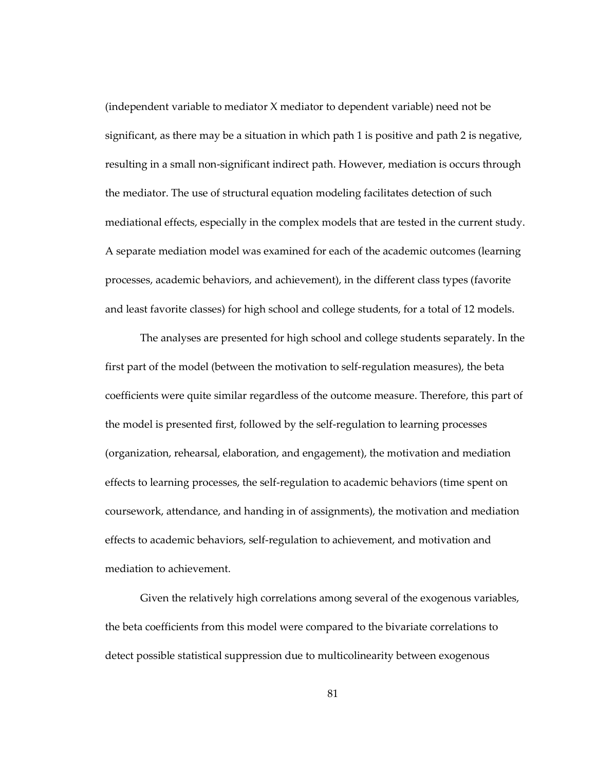(independent variable to mediator X mediator to dependent variable) need not be significant, as there may be a situation in which path 1 is positive and path 2 is negative, resulting in a small non-significant indirect path. However, mediation is occurs through the mediator. The use of structural equation modeling facilitates detection of such mediational effects, especially in the complex models that are tested in the current study. A separate mediation model was examined for each of the academic outcomes (learning processes, academic behaviors, and achievement), in the different class types (favorite and least favorite classes) for high school and college students, for a total of 12 models.

The analyses are presented for high school and college students separately. In the first part of the model (between the motivation to self-regulation measures), the beta coefficients were quite similar regardless of the outcome measure. Therefore, this part of the model is presented first, followed by the self-regulation to learning processes (organization, rehearsal, elaboration, and engagement), the motivation and mediation effects to learning processes, the self-regulation to academic behaviors (time spent on coursework, attendance, and handing in of assignments), the motivation and mediation effects to academic behaviors, self-regulation to achievement, and motivation and mediation to achievement.

Given the relatively high correlations among several of the exogenous variables, the beta coefficients from this model were compared to the bivariate correlations to detect possible statistical suppression due to multicolinearity between exogenous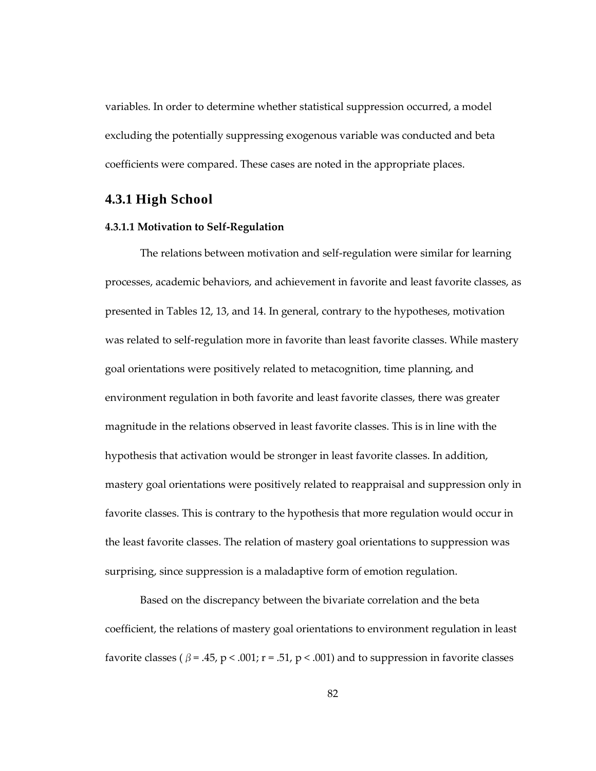variables. In order to determine whether statistical suppression occurred, a model excluding the potentially suppressing exogenous variable was conducted and beta coefficients were compared. These cases are noted in the appropriate places.

## **4.3.1 High School**

#### **4.3.1.1 Motivation to Self-Regulation**

The relations between motivation and self-regulation were similar for learning processes, academic behaviors, and achievement in favorite and least favorite classes, as presented in Tables 12, 13, and 14. In general, contrary to the hypotheses, motivation was related to self-regulation more in favorite than least favorite classes. While mastery goal orientations were positively related to metacognition, time planning, and environment regulation in both favorite and least favorite classes, there was greater magnitude in the relations observed in least favorite classes. This is in line with the hypothesis that activation would be stronger in least favorite classes. In addition, mastery goal orientations were positively related to reappraisal and suppression only in favorite classes. This is contrary to the hypothesis that more regulation would occur in the least favorite classes. The relation of mastery goal orientations to suppression was surprising, since suppression is a maladaptive form of emotion regulation.

Based on the discrepancy between the bivariate correlation and the beta coefficient, the relations of mastery goal orientations to environment regulation in least favorite classes ( $\beta$  = .45, p < .001; r = .51, p < .001) and to suppression in favorite classes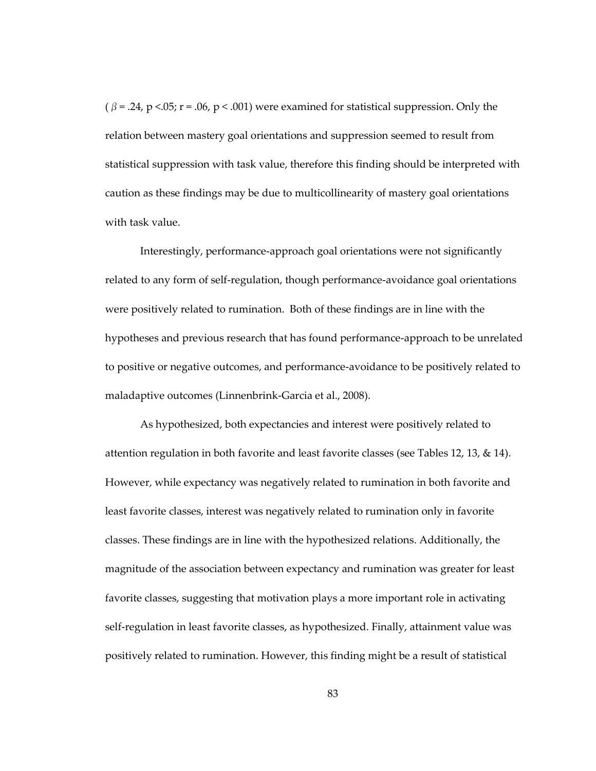$(\beta = .24, p < .05; r = .06, p < .001)$  were examined for statistical suppression. Only the relation between mastery goal orientations and suppression seemed to result from statistical suppression with task value, therefore this finding should be interpreted with caution as these findings may be due to multicollinearity of mastery goal orientations with task value.

Interestingly, performance-approach goal orientations were not significantly related to any form of self-regulation, though performance-avoidance goal orientations were positively related to rumination. Both of these findings are in line with the hypotheses and previous research that has found performance-approach to be unrelated to positive or negative outcomes, and performance-avoidance to be positively related to maladaptive outcomes (Linnenbrink-Garcia et al., 2008).

As hypothesized, both expectancies and interest were positively related to attention regulation in both favorite and least favorite classes (see Tables 12, 13, & 14). However, while expectancy was negatively related to rumination in both favorite and least favorite classes, interest was negatively related to rumination only in favorite classes. These findings are in line with the hypothesized relations. Additionally, the magnitude of the association between expectancy and rumination was greater for least favorite classes, suggesting that motivation plays a more important role in activating self-regulation in least favorite classes, as hypothesized. Finally, attainment value was positively related to rumination. However, this finding might be a result of statistical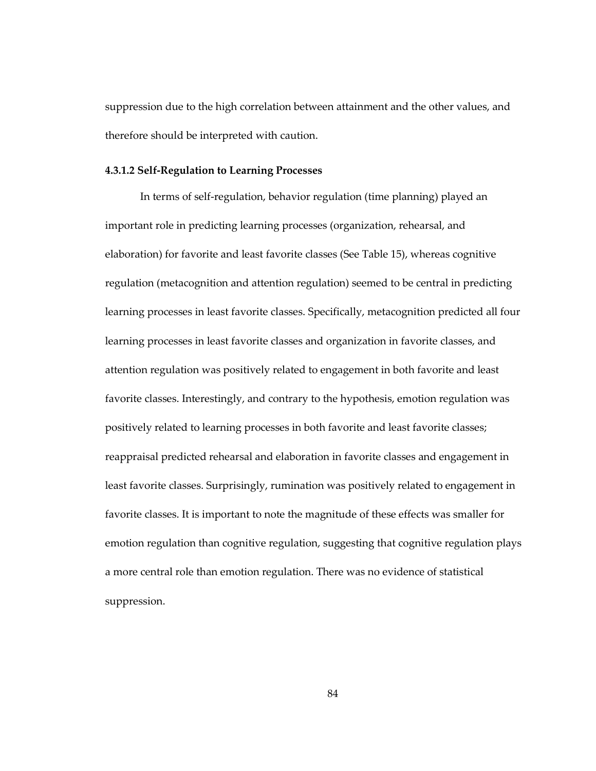suppression due to the high correlation between attainment and the other values, and therefore should be interpreted with caution.

#### **4.3.1.2 Self-Regulation to Learning Processes**

In terms of self-regulation, behavior regulation (time planning) played an important role in predicting learning processes (organization, rehearsal, and elaboration) for favorite and least favorite classes (See Table 15), whereas cognitive regulation (metacognition and attention regulation) seemed to be central in predicting learning processes in least favorite classes. Specifically, metacognition predicted all four learning processes in least favorite classes and organization in favorite classes, and attention regulation was positively related to engagement in both favorite and least favorite classes. Interestingly, and contrary to the hypothesis, emotion regulation was positively related to learning processes in both favorite and least favorite classes; reappraisal predicted rehearsal and elaboration in favorite classes and engagement in least favorite classes. Surprisingly, rumination was positively related to engagement in favorite classes. It is important to note the magnitude of these effects was smaller for emotion regulation than cognitive regulation, suggesting that cognitive regulation plays a more central role than emotion regulation. There was no evidence of statistical suppression.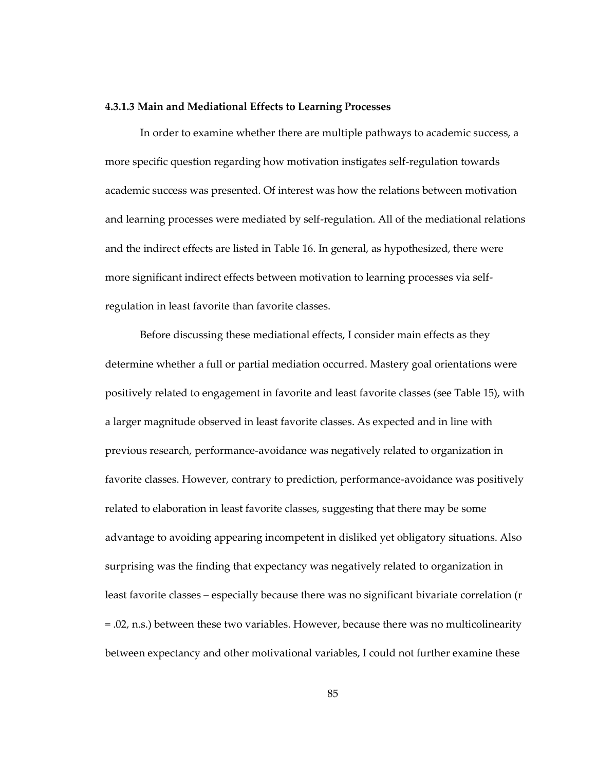#### **4.3.1.3 Main and Mediational Effects to Learning Processes**

In order to examine whether there are multiple pathways to academic success, a more specific question regarding how motivation instigates self-regulation towards academic success was presented. Of interest was how the relations between motivation and learning processes were mediated by self-regulation. All of the mediational relations and the indirect effects are listed in Table 16. In general, as hypothesized, there were more significant indirect effects between motivation to learning processes via selfregulation in least favorite than favorite classes.

Before discussing these mediational effects, I consider main effects as they determine whether a full or partial mediation occurred. Mastery goal orientations were positively related to engagement in favorite and least favorite classes (see Table 15), with a larger magnitude observed in least favorite classes. As expected and in line with previous research, performance-avoidance was negatively related to organization in favorite classes. However, contrary to prediction, performance-avoidance was positively related to elaboration in least favorite classes, suggesting that there may be some advantage to avoiding appearing incompetent in disliked yet obligatory situations. Also surprising was the finding that expectancy was negatively related to organization in least favorite classes – especially because there was no significant bivariate correlation (r = .02, n.s.) between these two variables. However, because there was no multicolinearity between expectancy and other motivational variables, I could not further examine these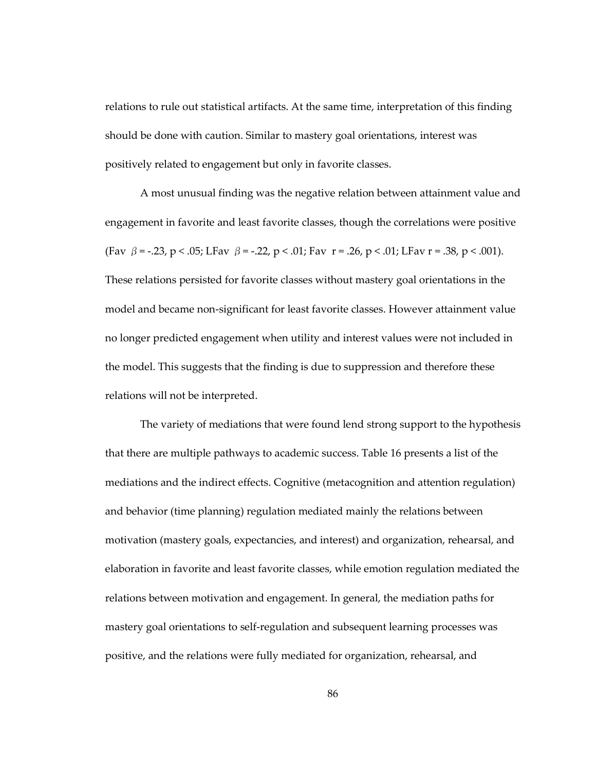relations to rule out statistical artifacts. At the same time, interpretation of this finding should be done with caution. Similar to mastery goal orientations, interest was positively related to engagement but only in favorite classes.

A most unusual finding was the negative relation between attainment value and engagement in favorite and least favorite classes, though the correlations were positive (Fav  $\beta$  = -.23, p < .05; LFav  $\beta$  = -.22, p < .01; Fav r = .26, p < .01; LFav r = .38, p < .001). These relations persisted for favorite classes without mastery goal orientations in the model and became non-significant for least favorite classes. However attainment value no longer predicted engagement when utility and interest values were not included in the model. This suggests that the finding is due to suppression and therefore these relations will not be interpreted.

The variety of mediations that were found lend strong support to the hypothesis that there are multiple pathways to academic success. Table 16 presents a list of the mediations and the indirect effects. Cognitive (metacognition and attention regulation) and behavior (time planning) regulation mediated mainly the relations between motivation (mastery goals, expectancies, and interest) and organization, rehearsal, and elaboration in favorite and least favorite classes, while emotion regulation mediated the relations between motivation and engagement. In general, the mediation paths for mastery goal orientations to self-regulation and subsequent learning processes was positive, and the relations were fully mediated for organization, rehearsal, and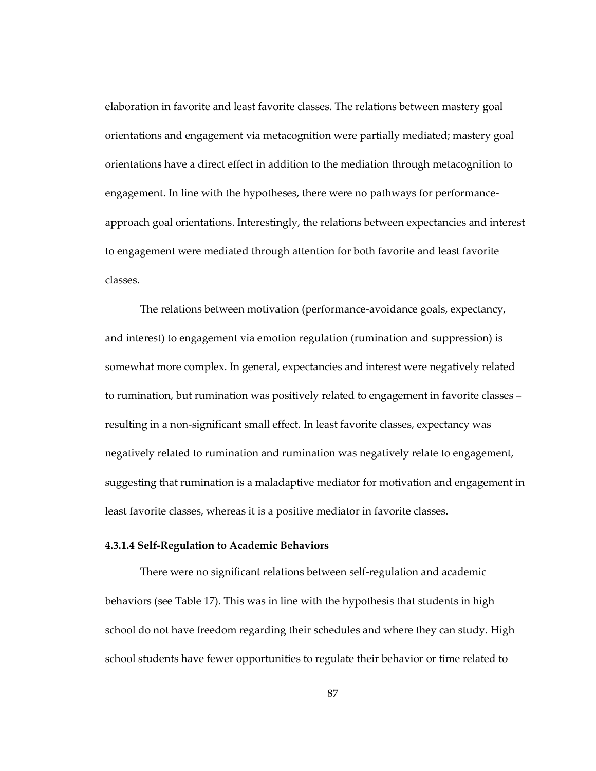elaboration in favorite and least favorite classes. The relations between mastery goal orientations and engagement via metacognition were partially mediated; mastery goal orientations have a direct effect in addition to the mediation through metacognition to engagement. In line with the hypotheses, there were no pathways for performanceapproach goal orientations. Interestingly, the relations between expectancies and interest to engagement were mediated through attention for both favorite and least favorite classes.

The relations between motivation (performance-avoidance goals, expectancy, and interest) to engagement via emotion regulation (rumination and suppression) is somewhat more complex. In general, expectancies and interest were negatively related to rumination, but rumination was positively related to engagement in favorite classes – resulting in a non-significant small effect. In least favorite classes, expectancy was negatively related to rumination and rumination was negatively relate to engagement, suggesting that rumination is a maladaptive mediator for motivation and engagement in least favorite classes, whereas it is a positive mediator in favorite classes.

### **4.3.1.4 Self-Regulation to Academic Behaviors**

There were no significant relations between self-regulation and academic behaviors (see Table 17). This was in line with the hypothesis that students in high school do not have freedom regarding their schedules and where they can study. High school students have fewer opportunities to regulate their behavior or time related to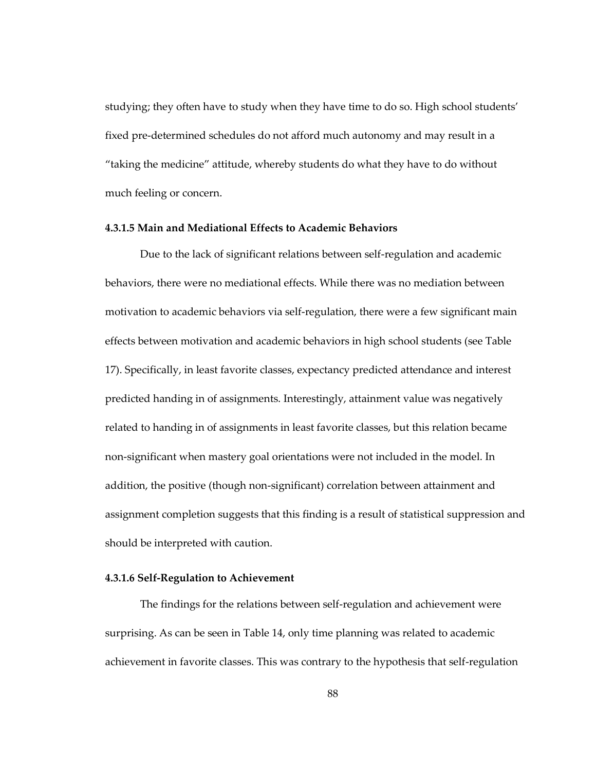studying; they often have to study when they have time to do so. High school students' fixed pre-determined schedules do not afford much autonomy and may result in a "taking the medicine" attitude, whereby students do what they have to do without much feeling or concern.

#### **4.3.1.5 Main and Mediational Effects to Academic Behaviors**

Due to the lack of significant relations between self-regulation and academic behaviors, there were no mediational effects. While there was no mediation between motivation to academic behaviors via self-regulation, there were a few significant main effects between motivation and academic behaviors in high school students (see Table 17). Specifically, in least favorite classes, expectancy predicted attendance and interest predicted handing in of assignments. Interestingly, attainment value was negatively related to handing in of assignments in least favorite classes, but this relation became non-significant when mastery goal orientations were not included in the model. In addition, the positive (though non-significant) correlation between attainment and assignment completion suggests that this finding is a result of statistical suppression and should be interpreted with caution.

#### **4.3.1.6 Self-Regulation to Achievement**

The findings for the relations between self-regulation and achievement were surprising. As can be seen in Table 14, only time planning was related to academic achievement in favorite classes. This was contrary to the hypothesis that self-regulation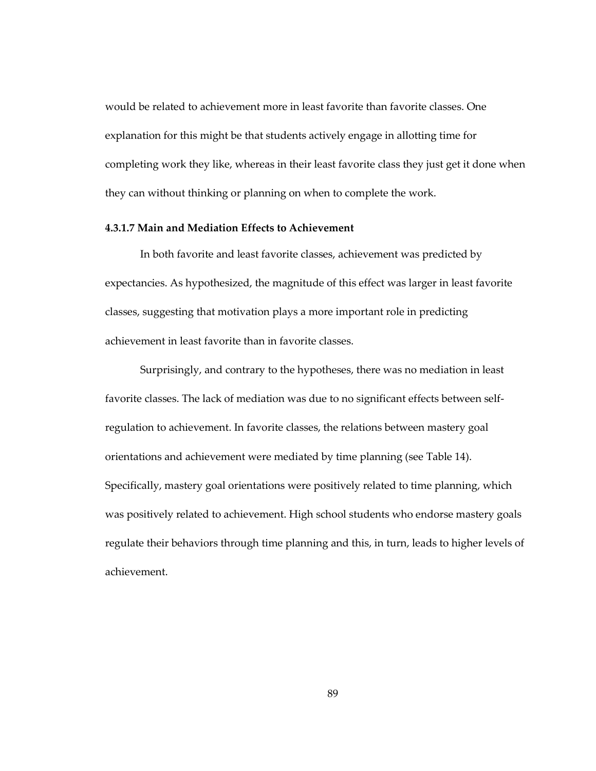would be related to achievement more in least favorite than favorite classes. One explanation for this might be that students actively engage in allotting time for completing work they like, whereas in their least favorite class they just get it done when they can without thinking or planning on when to complete the work.

#### **4.3.1.7 Main and Mediation Effects to Achievement**

In both favorite and least favorite classes, achievement was predicted by expectancies. As hypothesized, the magnitude of this effect was larger in least favorite classes, suggesting that motivation plays a more important role in predicting achievement in least favorite than in favorite classes.

Surprisingly, and contrary to the hypotheses, there was no mediation in least favorite classes. The lack of mediation was due to no significant effects between selfregulation to achievement. In favorite classes, the relations between mastery goal orientations and achievement were mediated by time planning (see Table 14). Specifically, mastery goal orientations were positively related to time planning, which was positively related to achievement. High school students who endorse mastery goals regulate their behaviors through time planning and this, in turn, leads to higher levels of achievement.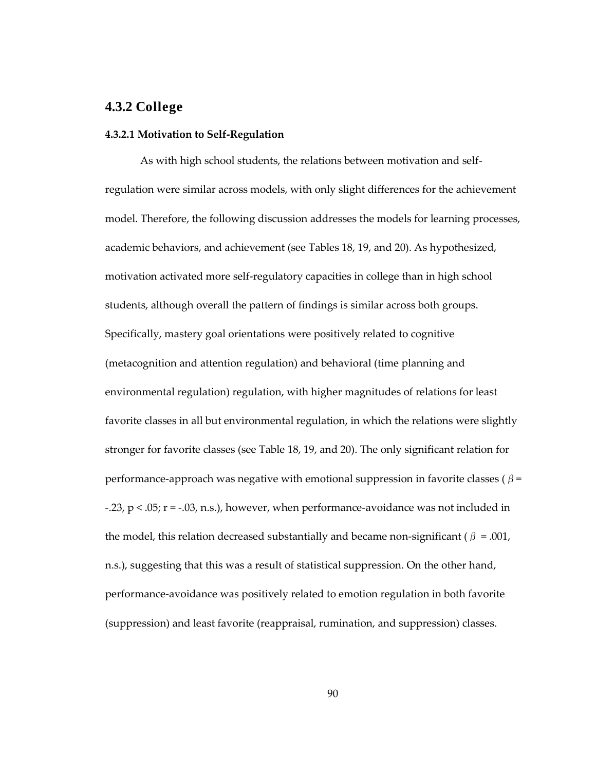### **4.3.2 College**

#### **4.3.2.1 Motivation to Self-Regulation**

As with high school students, the relations between motivation and selfregulation were similar across models, with only slight differences for the achievement model. Therefore, the following discussion addresses the models for learning processes, academic behaviors, and achievement (see Tables 18, 19, and 20). As hypothesized, motivation activated more self-regulatory capacities in college than in high school students, although overall the pattern of findings is similar across both groups. Specifically, mastery goal orientations were positively related to cognitive (metacognition and attention regulation) and behavioral (time planning and environmental regulation) regulation, with higher magnitudes of relations for least favorite classes in all but environmental regulation, in which the relations were slightly stronger for favorite classes (see Table 18, 19, and 20). The only significant relation for performance-approach was negative with emotional suppression in favorite classes ( $\beta$  = -.23,  $p < .05$ ;  $r = -.03$ , n.s.), however, when performance-avoidance was not included in the model, this relation decreased substantially and became non-significant ( $\beta = .001$ , n.s.), suggesting that this was a result of statistical suppression. On the other hand, performance-avoidance was positively related to emotion regulation in both favorite (suppression) and least favorite (reappraisal, rumination, and suppression) classes.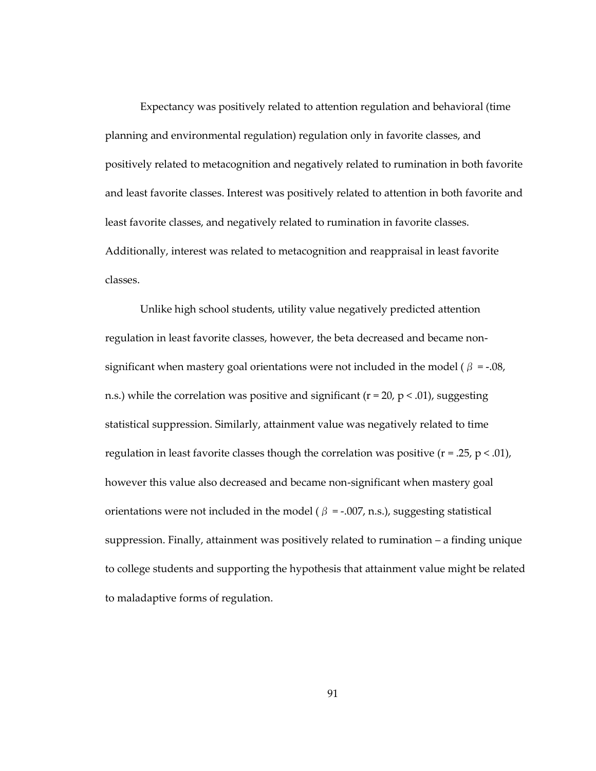Expectancy was positively related to attention regulation and behavioral (time planning and environmental regulation) regulation only in favorite classes, and positively related to metacognition and negatively related to rumination in both favorite and least favorite classes. Interest was positively related to attention in both favorite and least favorite classes, and negatively related to rumination in favorite classes. Additionally, interest was related to metacognition and reappraisal in least favorite classes.

Unlike high school students, utility value negatively predicted attention regulation in least favorite classes, however, the beta decreased and became nonsignificant when mastery goal orientations were not included in the model ( $\beta = -.08$ , n.s.) while the correlation was positive and significant ( $r = 20$ ,  $p < .01$ ), suggesting statistical suppression. Similarly, attainment value was negatively related to time regulation in least favorite classes though the correlation was positive  $(r = .25, p < .01)$ , however this value also decreased and became non-significant when mastery goal orientations were not included in the model ( $\beta$  = -.007, n.s.), suggesting statistical suppression. Finally, attainment was positively related to rumination – a finding unique to college students and supporting the hypothesis that attainment value might be related to maladaptive forms of regulation.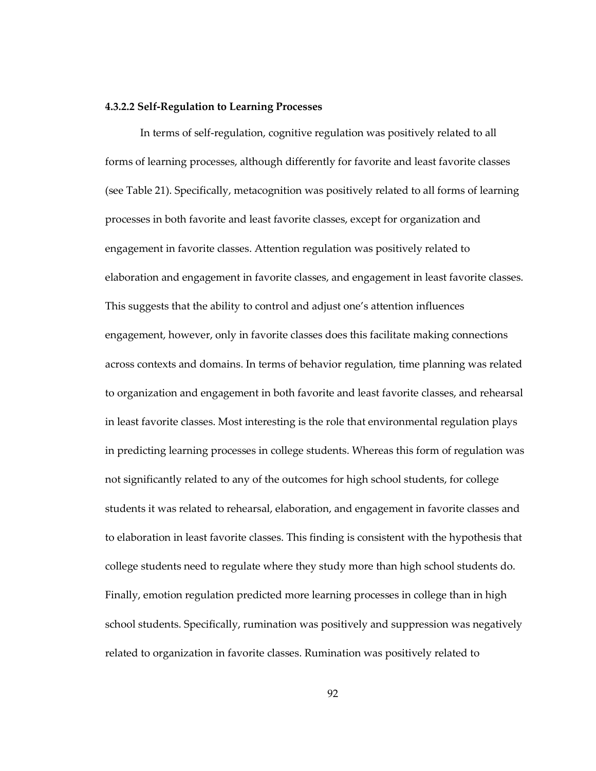## **4.3.2.2 Self-Regulation to Learning Processes**

In terms of self-regulation, cognitive regulation was positively related to all forms of learning processes, although differently for favorite and least favorite classes (see Table 21). Specifically, metacognition was positively related to all forms of learning processes in both favorite and least favorite classes, except for organization and engagement in favorite classes. Attention regulation was positively related to elaboration and engagement in favorite classes, and engagement in least favorite classes. This suggests that the ability to control and adjust one's attention influences engagement, however, only in favorite classes does this facilitate making connections across contexts and domains. In terms of behavior regulation, time planning was related to organization and engagement in both favorite and least favorite classes, and rehearsal in least favorite classes. Most interesting is the role that environmental regulation plays in predicting learning processes in college students. Whereas this form of regulation was not significantly related to any of the outcomes for high school students, for college students it was related to rehearsal, elaboration, and engagement in favorite classes and to elaboration in least favorite classes. This finding is consistent with the hypothesis that college students need to regulate where they study more than high school students do. Finally, emotion regulation predicted more learning processes in college than in high school students. Specifically, rumination was positively and suppression was negatively related to organization in favorite classes. Rumination was positively related to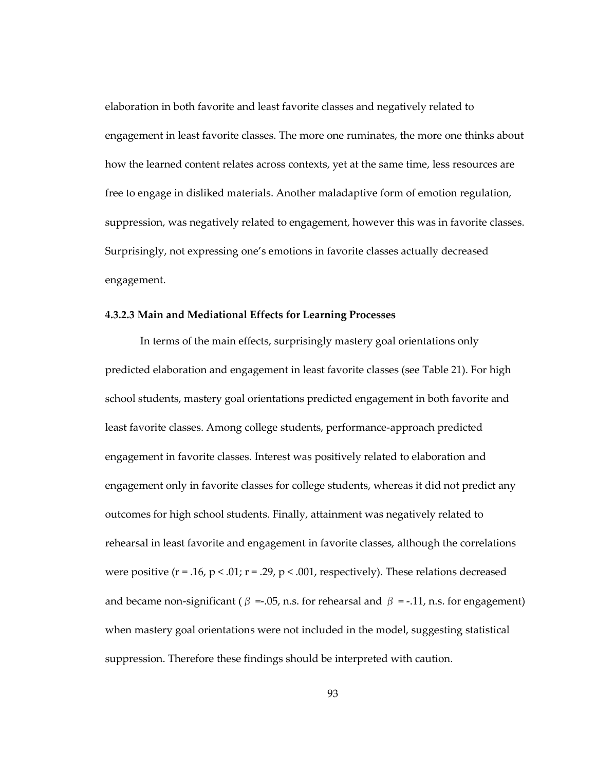elaboration in both favorite and least favorite classes and negatively related to engagement in least favorite classes. The more one ruminates, the more one thinks about how the learned content relates across contexts, yet at the same time, less resources are free to engage in disliked materials. Another maladaptive form of emotion regulation, suppression, was negatively related to engagement, however this was in favorite classes. Surprisingly, not expressing one's emotions in favorite classes actually decreased engagement.

#### **4.3.2.3 Main and Mediational Effects for Learning Processes**

In terms of the main effects, surprisingly mastery goal orientations only predicted elaboration and engagement in least favorite classes (see Table 21). For high school students, mastery goal orientations predicted engagement in both favorite and least favorite classes. Among college students, performance-approach predicted engagement in favorite classes. Interest was positively related to elaboration and engagement only in favorite classes for college students, whereas it did not predict any outcomes for high school students. Finally, attainment was negatively related to rehearsal in least favorite and engagement in favorite classes, although the correlations were positive ( $r = .16$ ,  $p < .01$ ;  $r = .29$ ,  $p < .001$ , respectively). These relations decreased and became non-significant ( $\beta = 0.05$ , n.s. for rehearsal and  $\beta = -0.11$ , n.s. for engagement) when mastery goal orientations were not included in the model, suggesting statistical suppression. Therefore these findings should be interpreted with caution.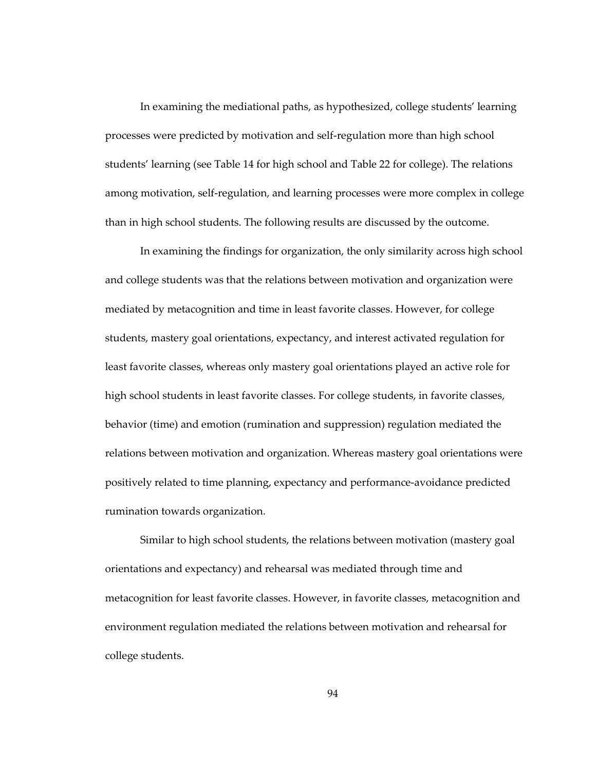In examining the mediational paths, as hypothesized, college students' learning processes were predicted by motivation and self-regulation more than high school students' learning (see Table 14 for high school and Table 22 for college). The relations among motivation, self-regulation, and learning processes were more complex in college than in high school students. The following results are discussed by the outcome.

In examining the findings for organization, the only similarity across high school and college students was that the relations between motivation and organization were mediated by metacognition and time in least favorite classes. However, for college students, mastery goal orientations, expectancy, and interest activated regulation for least favorite classes, whereas only mastery goal orientations played an active role for high school students in least favorite classes. For college students, in favorite classes, behavior (time) and emotion (rumination and suppression) regulation mediated the relations between motivation and organization. Whereas mastery goal orientations were positively related to time planning, expectancy and performance-avoidance predicted rumination towards organization.

Similar to high school students, the relations between motivation (mastery goal orientations and expectancy) and rehearsal was mediated through time and metacognition for least favorite classes. However, in favorite classes, metacognition and environment regulation mediated the relations between motivation and rehearsal for college students.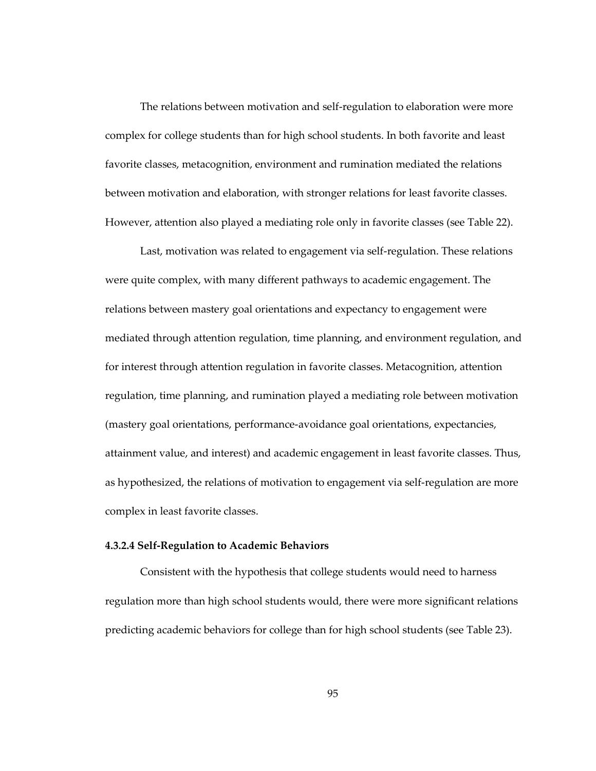The relations between motivation and self-regulation to elaboration were more complex for college students than for high school students. In both favorite and least favorite classes, metacognition, environment and rumination mediated the relations between motivation and elaboration, with stronger relations for least favorite classes. However, attention also played a mediating role only in favorite classes (see Table 22).

Last, motivation was related to engagement via self-regulation. These relations were quite complex, with many different pathways to academic engagement. The relations between mastery goal orientations and expectancy to engagement were mediated through attention regulation, time planning, and environment regulation, and for interest through attention regulation in favorite classes. Metacognition, attention regulation, time planning, and rumination played a mediating role between motivation (mastery goal orientations, performance-avoidance goal orientations, expectancies, attainment value, and interest) and academic engagement in least favorite classes. Thus, as hypothesized, the relations of motivation to engagement via self-regulation are more complex in least favorite classes.

## **4.3.2.4 Self-Regulation to Academic Behaviors**

Consistent with the hypothesis that college students would need to harness regulation more than high school students would, there were more significant relations predicting academic behaviors for college than for high school students (see Table 23).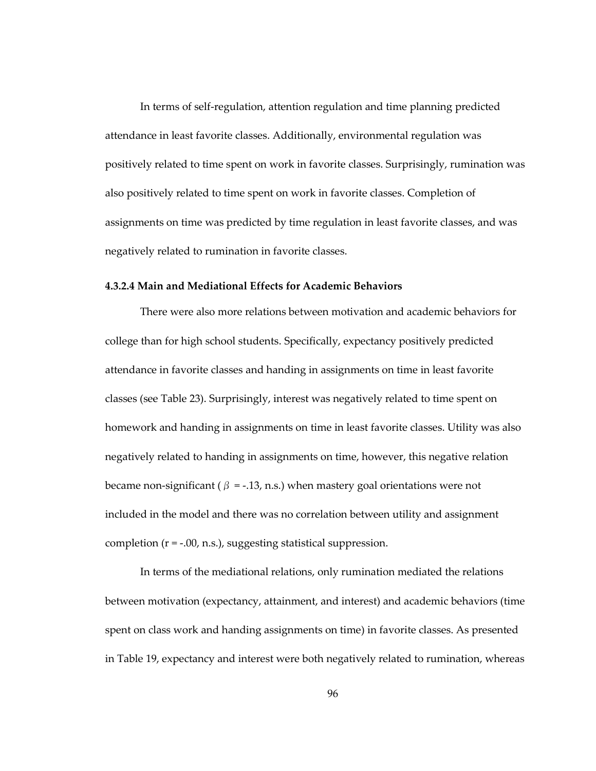In terms of self-regulation, attention regulation and time planning predicted attendance in least favorite classes. Additionally, environmental regulation was positively related to time spent on work in favorite classes. Surprisingly, rumination was also positively related to time spent on work in favorite classes. Completion of assignments on time was predicted by time regulation in least favorite classes, and was negatively related to rumination in favorite classes.

# **4.3.2.4 Main and Mediational Effects for Academic Behaviors**

There were also more relations between motivation and academic behaviors for college than for high school students. Specifically, expectancy positively predicted attendance in favorite classes and handing in assignments on time in least favorite classes (see Table 23). Surprisingly, interest was negatively related to time spent on homework and handing in assignments on time in least favorite classes. Utility was also negatively related to handing in assignments on time, however, this negative relation became non-significant ( $\beta$  = -.13, n.s.) when mastery goal orientations were not included in the model and there was no correlation between utility and assignment completion (r = -.00, n.s.), suggesting statistical suppression.

In terms of the mediational relations, only rumination mediated the relations between motivation (expectancy, attainment, and interest) and academic behaviors (time spent on class work and handing assignments on time) in favorite classes. As presented in Table 19, expectancy and interest were both negatively related to rumination, whereas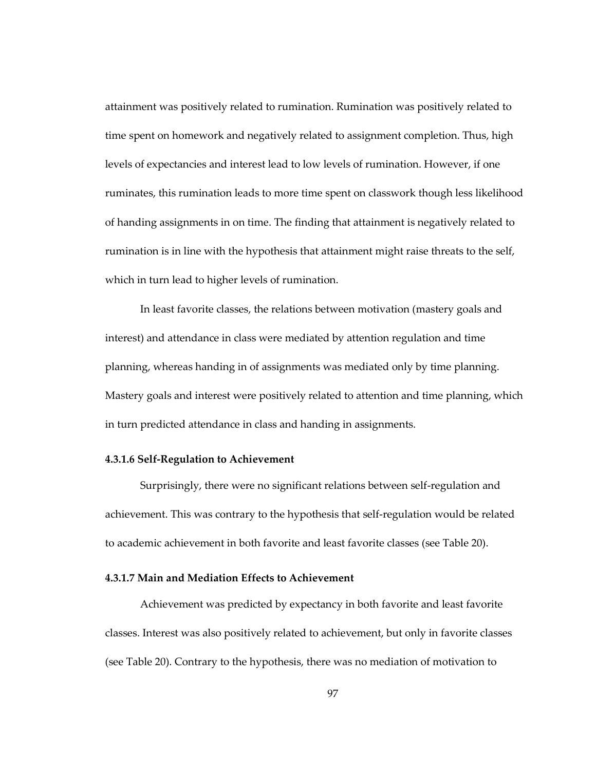attainment was positively related to rumination. Rumination was positively related to time spent on homework and negatively related to assignment completion. Thus, high levels of expectancies and interest lead to low levels of rumination. However, if one ruminates, this rumination leads to more time spent on classwork though less likelihood of handing assignments in on time. The finding that attainment is negatively related to rumination is in line with the hypothesis that attainment might raise threats to the self, which in turn lead to higher levels of rumination.

In least favorite classes, the relations between motivation (mastery goals and interest) and attendance in class were mediated by attention regulation and time planning, whereas handing in of assignments was mediated only by time planning. Mastery goals and interest were positively related to attention and time planning, which in turn predicted attendance in class and handing in assignments.

#### **4.3.1.6 Self-Regulation to Achievement**

Surprisingly, there were no significant relations between self-regulation and achievement. This was contrary to the hypothesis that self-regulation would be related to academic achievement in both favorite and least favorite classes (see Table 20).

# **4.3.1.7 Main and Mediation Effects to Achievement**

Achievement was predicted by expectancy in both favorite and least favorite classes. Interest was also positively related to achievement, but only in favorite classes (see Table 20). Contrary to the hypothesis, there was no mediation of motivation to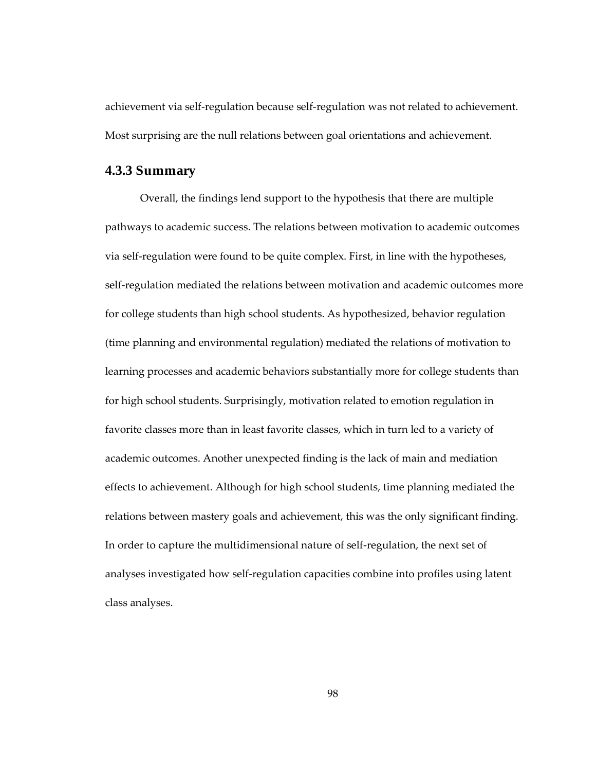achievement via self-regulation because self-regulation was not related to achievement. Most surprising are the null relations between goal orientations and achievement.

# **4.3.3 Summary**

Overall, the findings lend support to the hypothesis that there are multiple pathways to academic success. The relations between motivation to academic outcomes via self-regulation were found to be quite complex. First, in line with the hypotheses, self-regulation mediated the relations between motivation and academic outcomes more for college students than high school students. As hypothesized, behavior regulation (time planning and environmental regulation) mediated the relations of motivation to learning processes and academic behaviors substantially more for college students than for high school students. Surprisingly, motivation related to emotion regulation in favorite classes more than in least favorite classes, which in turn led to a variety of academic outcomes. Another unexpected finding is the lack of main and mediation effects to achievement. Although for high school students, time planning mediated the relations between mastery goals and achievement, this was the only significant finding. In order to capture the multidimensional nature of self-regulation, the next set of analyses investigated how self-regulation capacities combine into profiles using latent class analyses.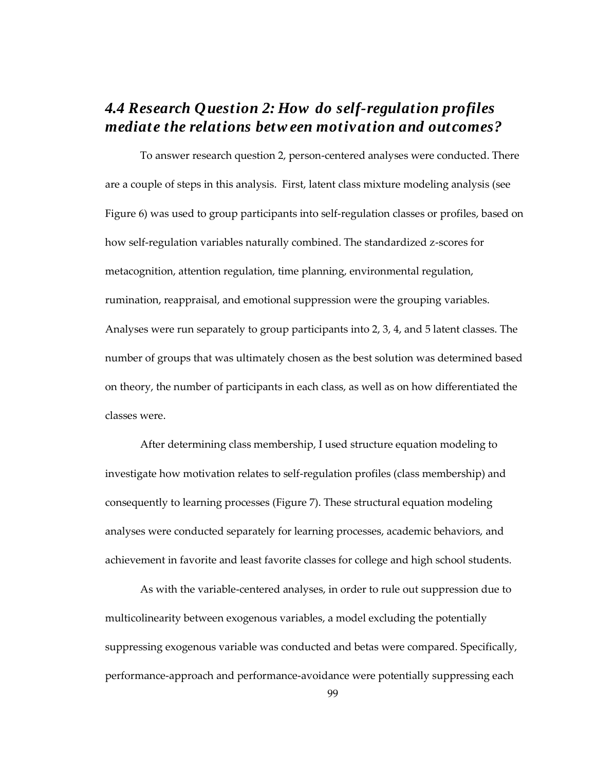# *4.4 Research Question 2: How do self-regulation profiles mediate the relations betw een motivation and outcomes?*

To answer research question 2, person-centered analyses were conducted. There are a couple of steps in this analysis. First, latent class mixture modeling analysis (see Figure 6) was used to group participants into self-regulation classes or profiles, based on how self-regulation variables naturally combined. The standardized z-scores for metacognition, attention regulation, time planning, environmental regulation, rumination, reappraisal, and emotional suppression were the grouping variables. Analyses were run separately to group participants into 2, 3, 4, and 5 latent classes. The number of groups that was ultimately chosen as the best solution was determined based on theory, the number of participants in each class, as well as on how differentiated the classes were.

After determining class membership, I used structure equation modeling to investigate how motivation relates to self-regulation profiles (class membership) and consequently to learning processes (Figure 7). These structural equation modeling analyses were conducted separately for learning processes, academic behaviors, and achievement in favorite and least favorite classes for college and high school students.

As with the variable-centered analyses, in order to rule out suppression due to multicolinearity between exogenous variables, a model excluding the potentially suppressing exogenous variable was conducted and betas were compared. Specifically, performance-approach and performance-avoidance were potentially suppressing each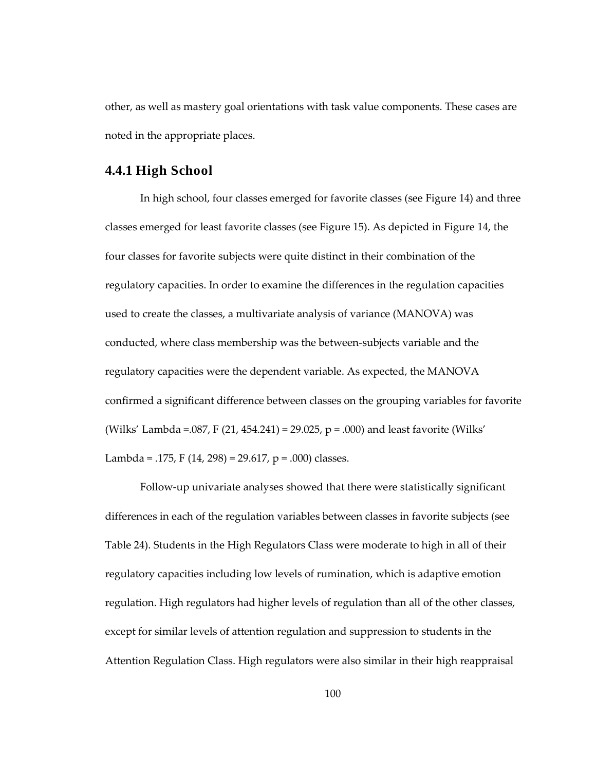other, as well as mastery goal orientations with task value components. These cases are noted in the appropriate places.

# **4.4.1 High School**

In high school, four classes emerged for favorite classes (see Figure 14) and three classes emerged for least favorite classes (see Figure 15). As depicted in Figure 14, the four classes for favorite subjects were quite distinct in their combination of the regulatory capacities. In order to examine the differences in the regulation capacities used to create the classes, a multivariate analysis of variance (MANOVA) was conducted, where class membership was the between-subjects variable and the regulatory capacities were the dependent variable. As expected, the MANOVA confirmed a significant difference between classes on the grouping variables for favorite (Wilks' Lambda =  $.087$ , F (21, 454.241) = 29.025, p =  $.000$ ) and least favorite (Wilks' Lambda = .175, F (14, 298) = 29.617, p = .000) classes.

Follow-up univariate analyses showed that there were statistically significant differences in each of the regulation variables between classes in favorite subjects (see Table 24). Students in the High Regulators Class were moderate to high in all of their regulatory capacities including low levels of rumination, which is adaptive emotion regulation. High regulators had higher levels of regulation than all of the other classes, except for similar levels of attention regulation and suppression to students in the Attention Regulation Class. High regulators were also similar in their high reappraisal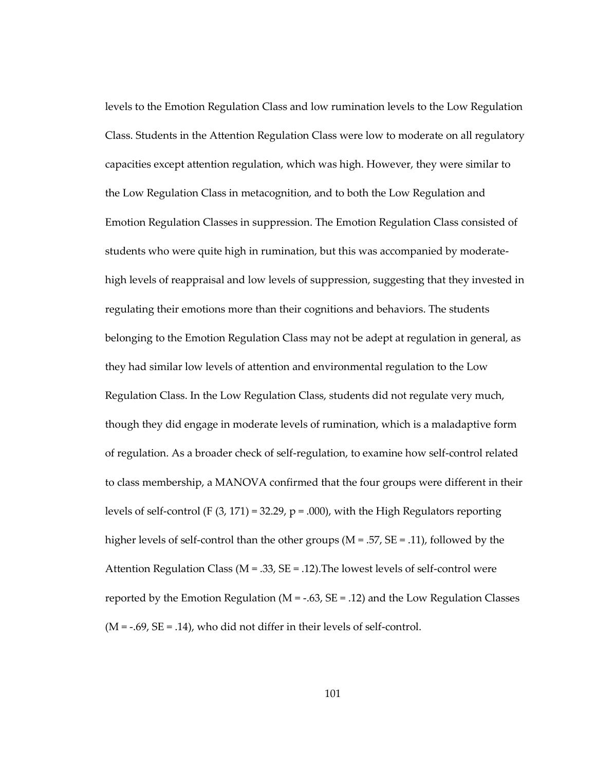levels to the Emotion Regulation Class and low rumination levels to the Low Regulation Class. Students in the Attention Regulation Class were low to moderate on all regulatory capacities except attention regulation, which was high. However, they were similar to the Low Regulation Class in metacognition, and to both the Low Regulation and Emotion Regulation Classes in suppression. The Emotion Regulation Class consisted of students who were quite high in rumination, but this was accompanied by moderatehigh levels of reappraisal and low levels of suppression, suggesting that they invested in regulating their emotions more than their cognitions and behaviors. The students belonging to the Emotion Regulation Class may not be adept at regulation in general, as they had similar low levels of attention and environmental regulation to the Low Regulation Class. In the Low Regulation Class, students did not regulate very much, though they did engage in moderate levels of rumination, which is a maladaptive form of regulation. As a broader check of self-regulation, to examine how self-control related to class membership, a MANOVA confirmed that the four groups were different in their levels of self-control (F  $(3, 171) = 32.29$ , p = .000), with the High Regulators reporting higher levels of self-control than the other groups ( $M = .57$ ,  $SE = .11$ ), followed by the Attention Regulation Class ( $M = 0.33$ ,  $SE = 0.12$ ). The lowest levels of self-control were reported by the Emotion Regulation ( $M = -.63$ ,  $SE = .12$ ) and the Low Regulation Classes  $(M = -0.69, SE = 0.14)$ , who did not differ in their levels of self-control.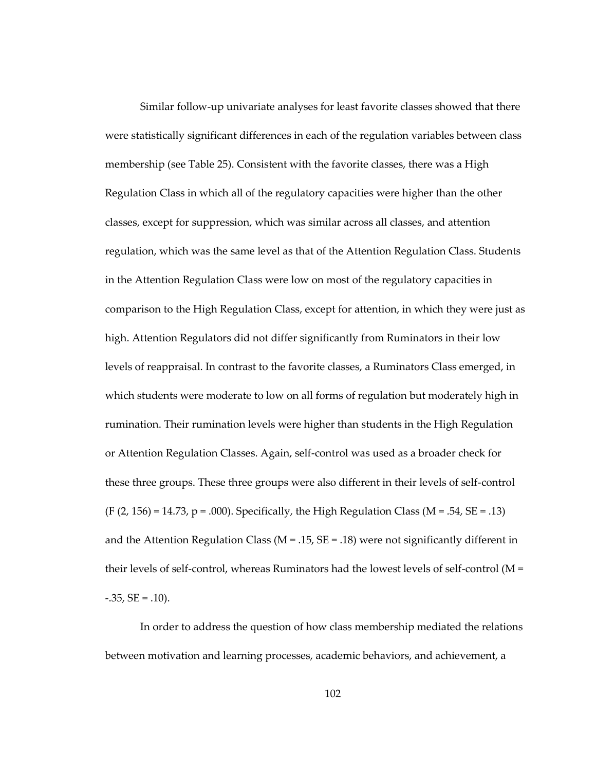Similar follow-up univariate analyses for least favorite classes showed that there were statistically significant differences in each of the regulation variables between class membership (see Table 25). Consistent with the favorite classes, there was a High Regulation Class in which all of the regulatory capacities were higher than the other classes, except for suppression, which was similar across all classes, and attention regulation, which was the same level as that of the Attention Regulation Class. Students in the Attention Regulation Class were low on most of the regulatory capacities in comparison to the High Regulation Class, except for attention, in which they were just as high. Attention Regulators did not differ significantly from Ruminators in their low levels of reappraisal. In contrast to the favorite classes, a Ruminators Class emerged, in which students were moderate to low on all forms of regulation but moderately high in rumination. Their rumination levels were higher than students in the High Regulation or Attention Regulation Classes. Again, self-control was used as a broader check for these three groups. These three groups were also different in their levels of self-control  $(F (2, 156) = 14.73, p = .000)$ . Specifically, the High Regulation Class (M = .54, SE = .13) and the Attention Regulation Class ( $M = .15$ ,  $SE = .18$ ) were not significantly different in their levels of self-control, whereas Ruminators had the lowest levels of self-control (M =  $-0.35$ , SE =  $0.10$ .

In order to address the question of how class membership mediated the relations between motivation and learning processes, academic behaviors, and achievement, a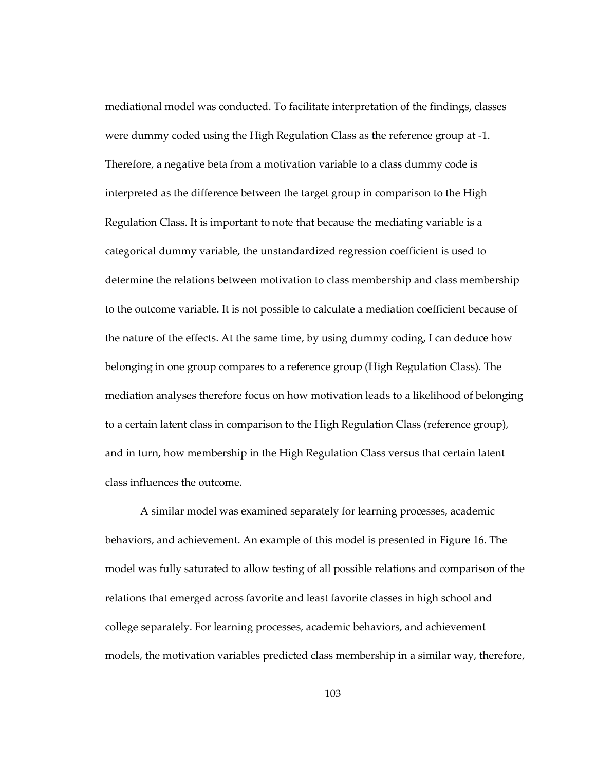mediational model was conducted. To facilitate interpretation of the findings, classes were dummy coded using the High Regulation Class as the reference group at -1. Therefore, a negative beta from a motivation variable to a class dummy code is interpreted as the difference between the target group in comparison to the High Regulation Class. It is important to note that because the mediating variable is a categorical dummy variable, the unstandardized regression coefficient is used to determine the relations between motivation to class membership and class membership to the outcome variable. It is not possible to calculate a mediation coefficient because of the nature of the effects. At the same time, by using dummy coding, I can deduce how belonging in one group compares to a reference group (High Regulation Class). The mediation analyses therefore focus on how motivation leads to a likelihood of belonging to a certain latent class in comparison to the High Regulation Class (reference group), and in turn, how membership in the High Regulation Class versus that certain latent class influences the outcome.

A similar model was examined separately for learning processes, academic behaviors, and achievement. An example of this model is presented in Figure 16. The model was fully saturated to allow testing of all possible relations and comparison of the relations that emerged across favorite and least favorite classes in high school and college separately. For learning processes, academic behaviors, and achievement models, the motivation variables predicted class membership in a similar way, therefore,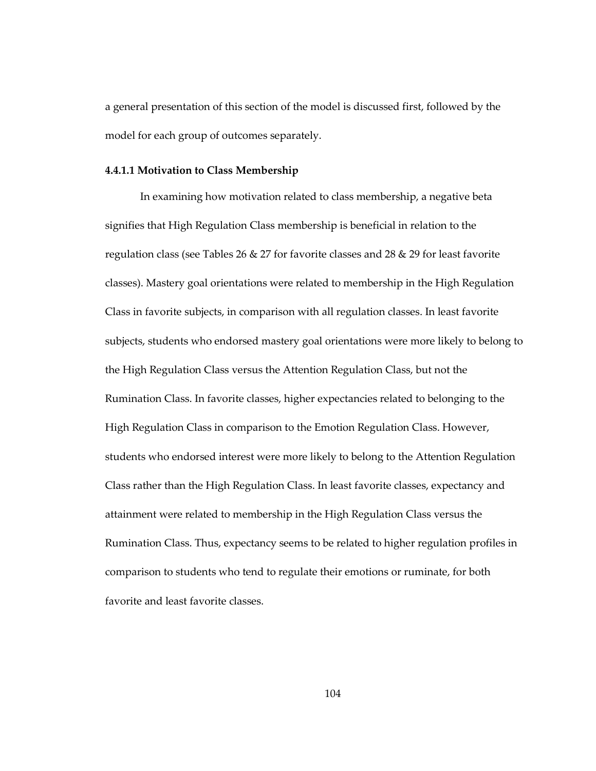a general presentation of this section of the model is discussed first, followed by the model for each group of outcomes separately.

#### **4.4.1.1 Motivation to Class Membership**

In examining how motivation related to class membership, a negative beta signifies that High Regulation Class membership is beneficial in relation to the regulation class (see Tables 26  $\&$  27 for favorite classes and 28  $\&$  29 for least favorite classes). Mastery goal orientations were related to membership in the High Regulation Class in favorite subjects, in comparison with all regulation classes. In least favorite subjects, students who endorsed mastery goal orientations were more likely to belong to the High Regulation Class versus the Attention Regulation Class, but not the Rumination Class. In favorite classes, higher expectancies related to belonging to the High Regulation Class in comparison to the Emotion Regulation Class. However, students who endorsed interest were more likely to belong to the Attention Regulation Class rather than the High Regulation Class. In least favorite classes, expectancy and attainment were related to membership in the High Regulation Class versus the Rumination Class. Thus, expectancy seems to be related to higher regulation profiles in comparison to students who tend to regulate their emotions or ruminate, for both favorite and least favorite classes.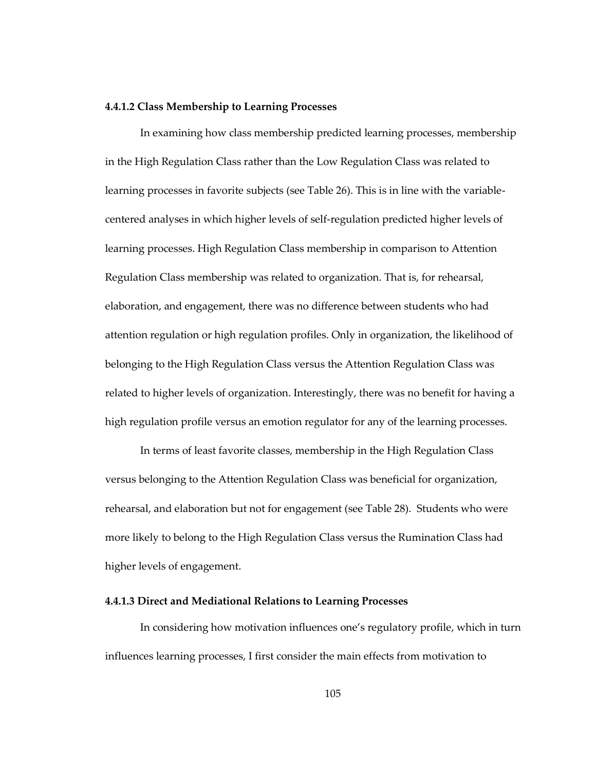#### **4.4.1.2 Class Membership to Learning Processes**

In examining how class membership predicted learning processes, membership in the High Regulation Class rather than the Low Regulation Class was related to learning processes in favorite subjects (see Table 26). This is in line with the variablecentered analyses in which higher levels of self-regulation predicted higher levels of learning processes. High Regulation Class membership in comparison to Attention Regulation Class membership was related to organization. That is, for rehearsal, elaboration, and engagement, there was no difference between students who had attention regulation or high regulation profiles. Only in organization, the likelihood of belonging to the High Regulation Class versus the Attention Regulation Class was related to higher levels of organization. Interestingly, there was no benefit for having a high regulation profile versus an emotion regulator for any of the learning processes.

In terms of least favorite classes, membership in the High Regulation Class versus belonging to the Attention Regulation Class was beneficial for organization, rehearsal, and elaboration but not for engagement (see Table 28). Students who were more likely to belong to the High Regulation Class versus the Rumination Class had higher levels of engagement.

#### **4.4.1.3 Direct and Mediational Relations to Learning Processes**

In considering how motivation influences one's regulatory profile, which in turn influences learning processes, I first consider the main effects from motivation to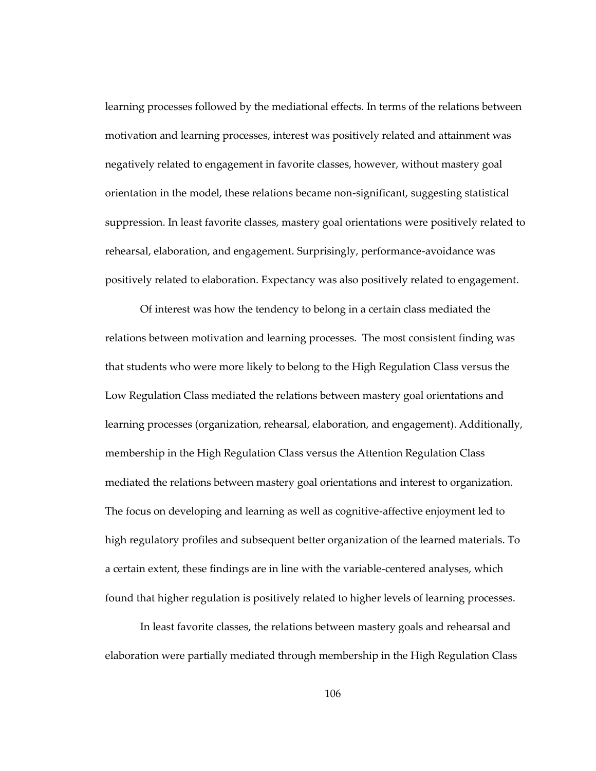learning processes followed by the mediational effects. In terms of the relations between motivation and learning processes, interest was positively related and attainment was negatively related to engagement in favorite classes, however, without mastery goal orientation in the model, these relations became non-significant, suggesting statistical suppression. In least favorite classes, mastery goal orientations were positively related to rehearsal, elaboration, and engagement. Surprisingly, performance-avoidance was positively related to elaboration. Expectancy was also positively related to engagement.

Of interest was how the tendency to belong in a certain class mediated the relations between motivation and learning processes. The most consistent finding was that students who were more likely to belong to the High Regulation Class versus the Low Regulation Class mediated the relations between mastery goal orientations and learning processes (organization, rehearsal, elaboration, and engagement). Additionally, membership in the High Regulation Class versus the Attention Regulation Class mediated the relations between mastery goal orientations and interest to organization. The focus on developing and learning as well as cognitive-affective enjoyment led to high regulatory profiles and subsequent better organization of the learned materials. To a certain extent, these findings are in line with the variable-centered analyses, which found that higher regulation is positively related to higher levels of learning processes.

In least favorite classes, the relations between mastery goals and rehearsal and elaboration were partially mediated through membership in the High Regulation Class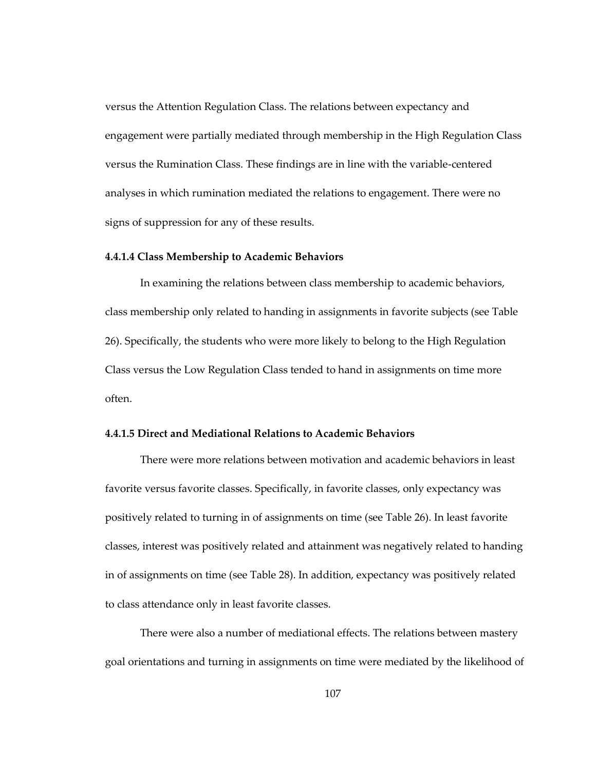versus the Attention Regulation Class. The relations between expectancy and engagement were partially mediated through membership in the High Regulation Class versus the Rumination Class. These findings are in line with the variable-centered analyses in which rumination mediated the relations to engagement. There were no signs of suppression for any of these results.

#### **4.4.1.4 Class Membership to Academic Behaviors**

In examining the relations between class membership to academic behaviors, class membership only related to handing in assignments in favorite subjects (see Table 26). Specifically, the students who were more likely to belong to the High Regulation Class versus the Low Regulation Class tended to hand in assignments on time more often.

## **4.4.1.5 Direct and Mediational Relations to Academic Behaviors**

There were more relations between motivation and academic behaviors in least favorite versus favorite classes. Specifically, in favorite classes, only expectancy was positively related to turning in of assignments on time (see Table 26). In least favorite classes, interest was positively related and attainment was negatively related to handing in of assignments on time (see Table 28). In addition, expectancy was positively related to class attendance only in least favorite classes.

There were also a number of mediational effects. The relations between mastery goal orientations and turning in assignments on time were mediated by the likelihood of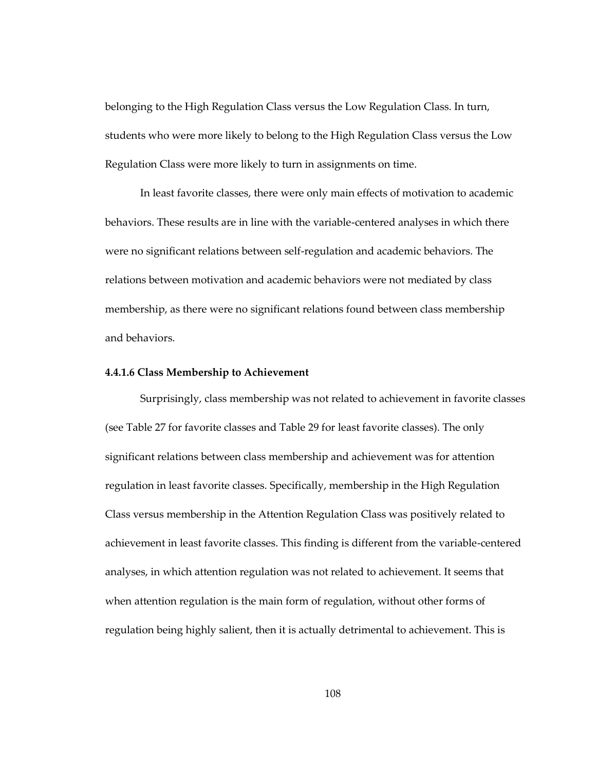belonging to the High Regulation Class versus the Low Regulation Class. In turn, students who were more likely to belong to the High Regulation Class versus the Low Regulation Class were more likely to turn in assignments on time.

In least favorite classes, there were only main effects of motivation to academic behaviors. These results are in line with the variable-centered analyses in which there were no significant relations between self-regulation and academic behaviors. The relations between motivation and academic behaviors were not mediated by class membership, as there were no significant relations found between class membership and behaviors.

#### **4.4.1.6 Class Membership to Achievement**

Surprisingly, class membership was not related to achievement in favorite classes (see Table 27 for favorite classes and Table 29 for least favorite classes). The only significant relations between class membership and achievement was for attention regulation in least favorite classes. Specifically, membership in the High Regulation Class versus membership in the Attention Regulation Class was positively related to achievement in least favorite classes. This finding is different from the variable-centered analyses, in which attention regulation was not related to achievement. It seems that when attention regulation is the main form of regulation, without other forms of regulation being highly salient, then it is actually detrimental to achievement. This is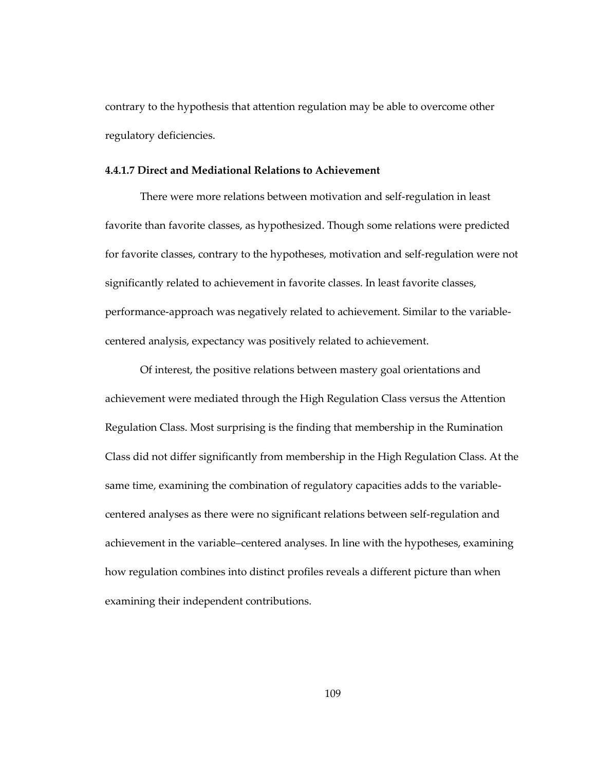contrary to the hypothesis that attention regulation may be able to overcome other regulatory deficiencies.

### **4.4.1.7 Direct and Mediational Relations to Achievement**

There were more relations between motivation and self-regulation in least favorite than favorite classes, as hypothesized. Though some relations were predicted for favorite classes, contrary to the hypotheses, motivation and self-regulation were not significantly related to achievement in favorite classes. In least favorite classes, performance-approach was negatively related to achievement. Similar to the variablecentered analysis, expectancy was positively related to achievement.

Of interest, the positive relations between mastery goal orientations and achievement were mediated through the High Regulation Class versus the Attention Regulation Class. Most surprising is the finding that membership in the Rumination Class did not differ significantly from membership in the High Regulation Class. At the same time, examining the combination of regulatory capacities adds to the variablecentered analyses as there were no significant relations between self-regulation and achievement in the variable–centered analyses. In line with the hypotheses, examining how regulation combines into distinct profiles reveals a different picture than when examining their independent contributions.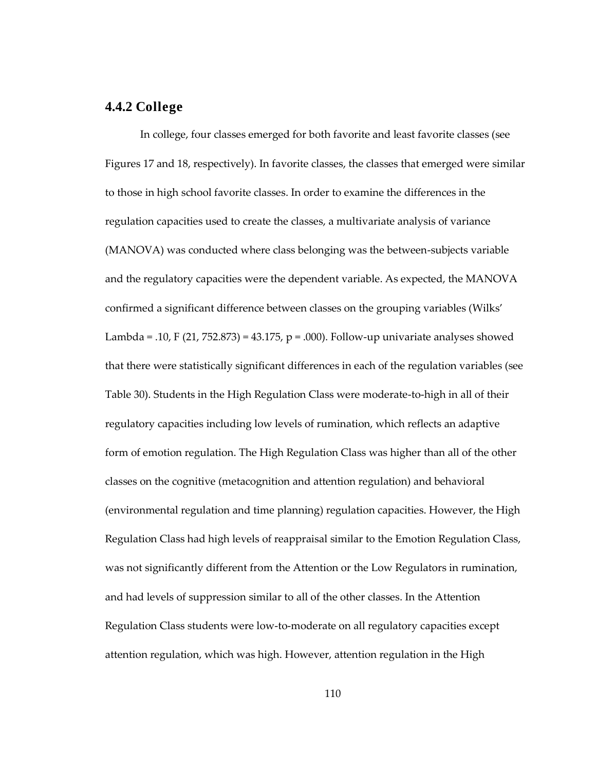# **4.4.2 College**

In college, four classes emerged for both favorite and least favorite classes (see Figures 17 and 18, respectively). In favorite classes, the classes that emerged were similar to those in high school favorite classes. In order to examine the differences in the regulation capacities used to create the classes, a multivariate analysis of variance (MANOVA) was conducted where class belonging was the between-subjects variable and the regulatory capacities were the dependent variable. As expected, the MANOVA confirmed a significant difference between classes on the grouping variables (Wilks' Lambda = .10, F (21, 752.873) = 43.175, p = .000). Follow-up univariate analyses showed that there were statistically significant differences in each of the regulation variables (see Table 30). Students in the High Regulation Class were moderate-to-high in all of their regulatory capacities including low levels of rumination, which reflects an adaptive form of emotion regulation. The High Regulation Class was higher than all of the other classes on the cognitive (metacognition and attention regulation) and behavioral (environmental regulation and time planning) regulation capacities. However, the High Regulation Class had high levels of reappraisal similar to the Emotion Regulation Class, was not significantly different from the Attention or the Low Regulators in rumination, and had levels of suppression similar to all of the other classes. In the Attention Regulation Class students were low-to-moderate on all regulatory capacities except attention regulation, which was high. However, attention regulation in the High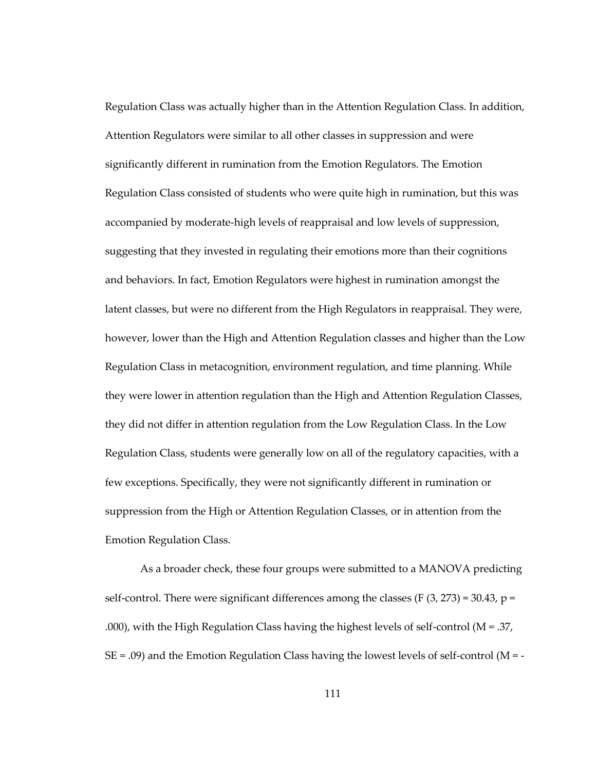Regulation Class was actually higher than in the Attention Regulation Class. In addition, Attention Regulators were similar to all other classes in suppression and were significantly different in rumination from the Emotion Regulators. The Emotion Regulation Class consisted of students who were quite high in rumination, but this was accompanied by moderate-high levels of reappraisal and low levels of suppression, suggesting that they invested in regulating their emotions more than their cognitions and behaviors. In fact, Emotion Regulators were highest in rumination amongst the latent classes, but were no different from the High Regulators in reappraisal. They were, however, lower than the High and Attention Regulation classes and higher than the Low Regulation Class in metacognition, environment regulation, and time planning. While they were lower in attention regulation than the High and Attention Regulation Classes, they did not differ in attention regulation from the Low Regulation Class. In the Low Regulation Class, students were generally low on all of the regulatory capacities, with a few exceptions. Specifically, they were not significantly different in rumination or suppression from the High or Attention Regulation Classes, or in attention from the Emotion Regulation Class.

As a broader check, these four groups were submitted to a MANOVA predicting self-control. There were significant differences among the classes (F  $(3, 273) = 30.43$ , p = .000), with the High Regulation Class having the highest levels of self-control ( $M = 0.37$ ,  $SE = .09$ ) and the Emotion Regulation Class having the lowest levels of self-control (M = -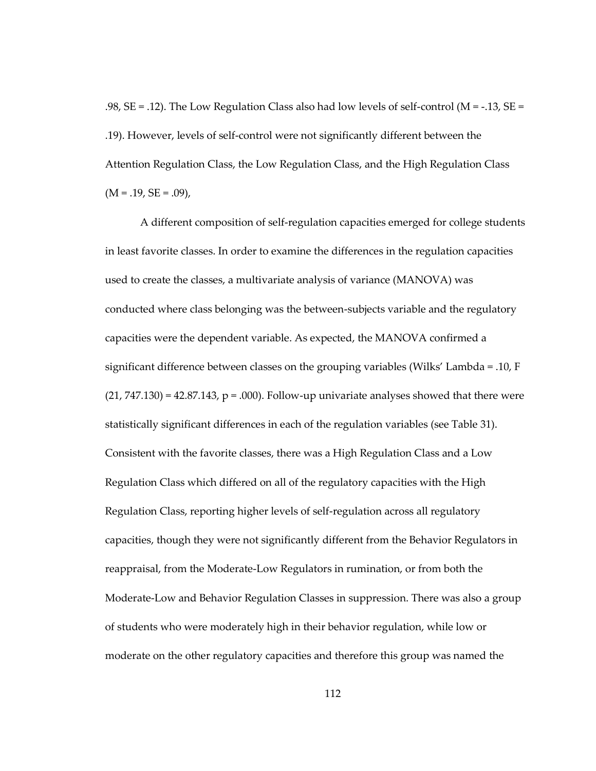.98,  $SE = .12$ ). The Low Regulation Class also had low levels of self-control ( $M = -.13$ ,  $SE =$ .19). However, levels of self-control were not significantly different between the Attention Regulation Class, the Low Regulation Class, and the High Regulation Class  $(M = .19, SE = .09)$ ,

A different composition of self-regulation capacities emerged for college students in least favorite classes. In order to examine the differences in the regulation capacities used to create the classes, a multivariate analysis of variance (MANOVA) was conducted where class belonging was the between-subjects variable and the regulatory capacities were the dependent variable. As expected, the MANOVA confirmed a significant difference between classes on the grouping variables (Wilks' Lambda = .10, F  $(21, 747.130) = 42.87.143$ ,  $p = .000$ ). Follow-up univariate analyses showed that there were statistically significant differences in each of the regulation variables (see Table 31). Consistent with the favorite classes, there was a High Regulation Class and a Low Regulation Class which differed on all of the regulatory capacities with the High Regulation Class, reporting higher levels of self-regulation across all regulatory capacities, though they were not significantly different from the Behavior Regulators in reappraisal, from the Moderate-Low Regulators in rumination, or from both the Moderate-Low and Behavior Regulation Classes in suppression. There was also a group of students who were moderately high in their behavior regulation, while low or moderate on the other regulatory capacities and therefore this group was named the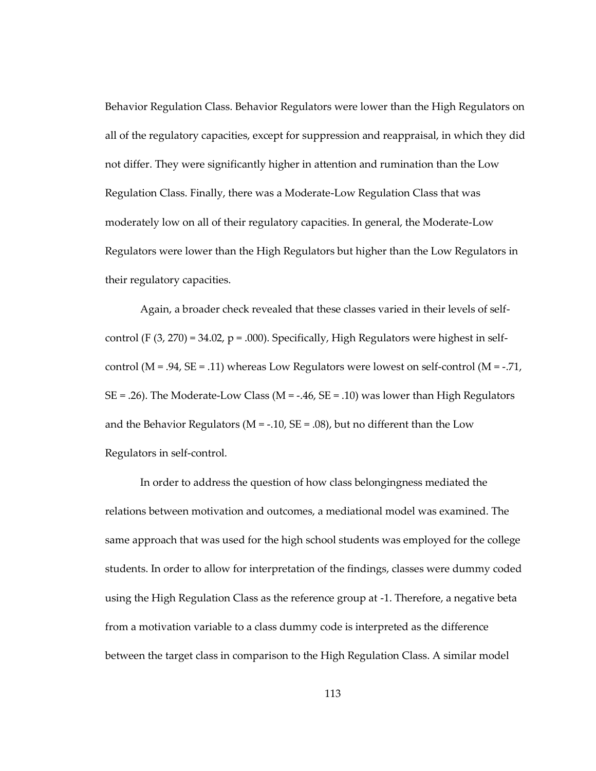Behavior Regulation Class. Behavior Regulators were lower than the High Regulators on all of the regulatory capacities, except for suppression and reappraisal, in which they did not differ. They were significantly higher in attention and rumination than the Low Regulation Class. Finally, there was a Moderate-Low Regulation Class that was moderately low on all of their regulatory capacities. In general, the Moderate-Low Regulators were lower than the High Regulators but higher than the Low Regulators in their regulatory capacities.

Again, a broader check revealed that these classes varied in their levels of selfcontrol (F  $(3, 270) = 34.02$ , p = .000). Specifically, High Regulators were highest in selfcontrol ( $M = .94$ ,  $SE = .11$ ) whereas Low Regulators were lowest on self-control ( $M = .71$ ,  $SE = .26$ . The Moderate-Low Class ( $M = -.46$ ,  $SE = .10$ ) was lower than High Regulators and the Behavior Regulators ( $M = -.10$ ,  $SE = .08$ ), but no different than the Low Regulators in self-control.

In order to address the question of how class belongingness mediated the relations between motivation and outcomes, a mediational model was examined. The same approach that was used for the high school students was employed for the college students. In order to allow for interpretation of the findings, classes were dummy coded using the High Regulation Class as the reference group at -1. Therefore, a negative beta from a motivation variable to a class dummy code is interpreted as the difference between the target class in comparison to the High Regulation Class. A similar model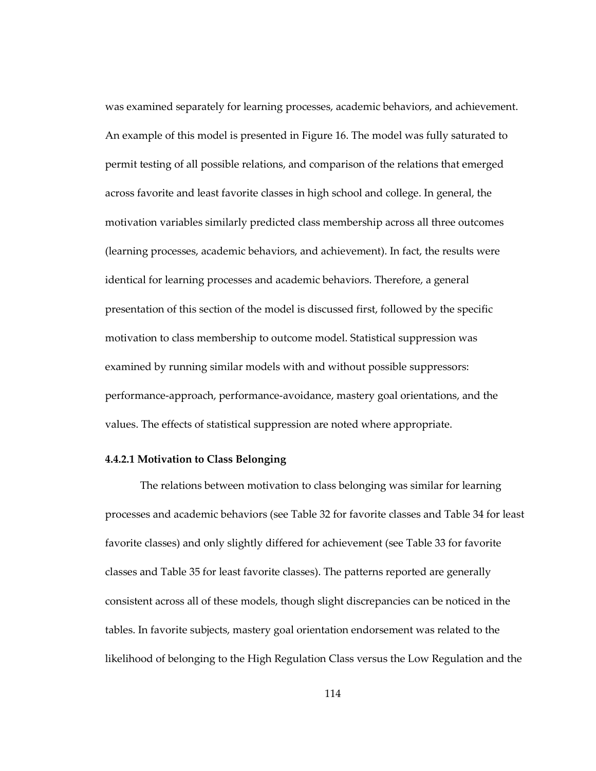was examined separately for learning processes, academic behaviors, and achievement. An example of this model is presented in Figure 16. The model was fully saturated to permit testing of all possible relations, and comparison of the relations that emerged across favorite and least favorite classes in high school and college. In general, the motivation variables similarly predicted class membership across all three outcomes (learning processes, academic behaviors, and achievement). In fact, the results were identical for learning processes and academic behaviors. Therefore, a general presentation of this section of the model is discussed first, followed by the specific motivation to class membership to outcome model. Statistical suppression was examined by running similar models with and without possible suppressors: performance-approach, performance-avoidance, mastery goal orientations, and the values. The effects of statistical suppression are noted where appropriate.

#### **4.4.2.1 Motivation to Class Belonging**

The relations between motivation to class belonging was similar for learning processes and academic behaviors (see Table 32 for favorite classes and Table 34 for least favorite classes) and only slightly differed for achievement (see Table 33 for favorite classes and Table 35 for least favorite classes). The patterns reported are generally consistent across all of these models, though slight discrepancies can be noticed in the tables. In favorite subjects, mastery goal orientation endorsement was related to the likelihood of belonging to the High Regulation Class versus the Low Regulation and the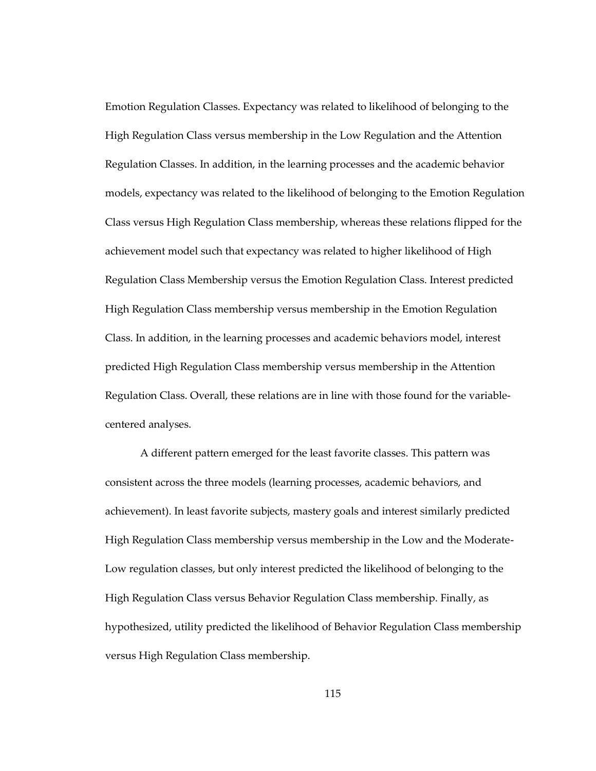Emotion Regulation Classes. Expectancy was related to likelihood of belonging to the High Regulation Class versus membership in the Low Regulation and the Attention Regulation Classes. In addition, in the learning processes and the academic behavior models, expectancy was related to the likelihood of belonging to the Emotion Regulation Class versus High Regulation Class membership, whereas these relations flipped for the achievement model such that expectancy was related to higher likelihood of High Regulation Class Membership versus the Emotion Regulation Class. Interest predicted High Regulation Class membership versus membership in the Emotion Regulation Class. In addition, in the learning processes and academic behaviors model, interest predicted High Regulation Class membership versus membership in the Attention Regulation Class. Overall, these relations are in line with those found for the variablecentered analyses.

A different pattern emerged for the least favorite classes. This pattern was consistent across the three models (learning processes, academic behaviors, and achievement). In least favorite subjects, mastery goals and interest similarly predicted High Regulation Class membership versus membership in the Low and the Moderate-Low regulation classes, but only interest predicted the likelihood of belonging to the High Regulation Class versus Behavior Regulation Class membership. Finally, as hypothesized, utility predicted the likelihood of Behavior Regulation Class membership versus High Regulation Class membership.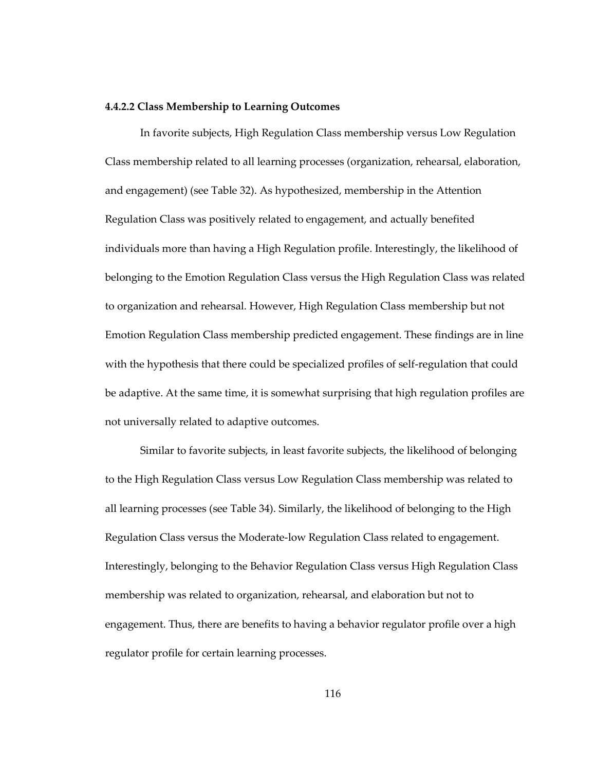#### **4.4.2.2 Class Membership to Learning Outcomes**

In favorite subjects, High Regulation Class membership versus Low Regulation Class membership related to all learning processes (organization, rehearsal, elaboration, and engagement) (see Table 32). As hypothesized, membership in the Attention Regulation Class was positively related to engagement, and actually benefited individuals more than having a High Regulation profile. Interestingly, the likelihood of belonging to the Emotion Regulation Class versus the High Regulation Class was related to organization and rehearsal. However, High Regulation Class membership but not Emotion Regulation Class membership predicted engagement. These findings are in line with the hypothesis that there could be specialized profiles of self-regulation that could be adaptive. At the same time, it is somewhat surprising that high regulation profiles are not universally related to adaptive outcomes.

Similar to favorite subjects, in least favorite subjects, the likelihood of belonging to the High Regulation Class versus Low Regulation Class membership was related to all learning processes (see Table 34). Similarly, the likelihood of belonging to the High Regulation Class versus the Moderate-low Regulation Class related to engagement. Interestingly, belonging to the Behavior Regulation Class versus High Regulation Class membership was related to organization, rehearsal, and elaboration but not to engagement. Thus, there are benefits to having a behavior regulator profile over a high regulator profile for certain learning processes.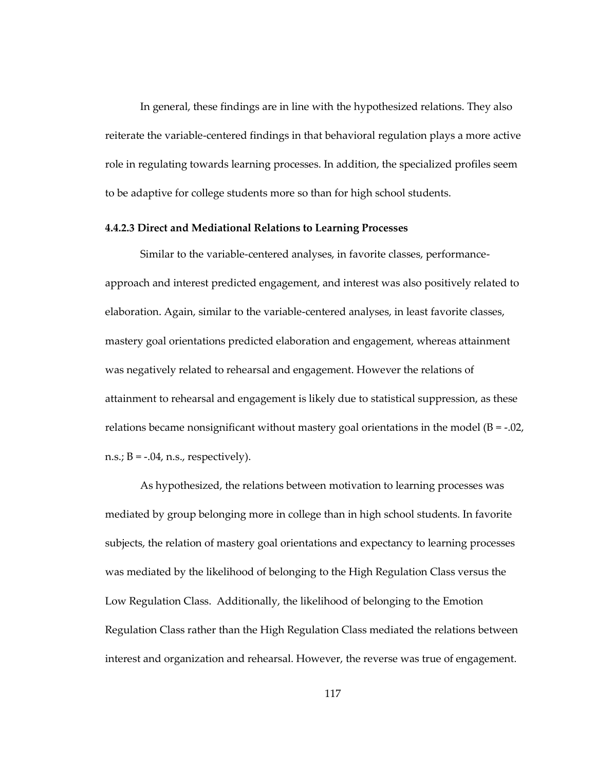In general, these findings are in line with the hypothesized relations. They also reiterate the variable-centered findings in that behavioral regulation plays a more active role in regulating towards learning processes. In addition, the specialized profiles seem to be adaptive for college students more so than for high school students.

#### **4.4.2.3 Direct and Mediational Relations to Learning Processes**

Similar to the variable-centered analyses, in favorite classes, performanceapproach and interest predicted engagement, and interest was also positively related to elaboration. Again, similar to the variable-centered analyses, in least favorite classes, mastery goal orientations predicted elaboration and engagement, whereas attainment was negatively related to rehearsal and engagement. However the relations of attainment to rehearsal and engagement is likely due to statistical suppression, as these relations became nonsignificant without mastery goal orientations in the model  $(B = -0.02)$ , n.s.;  $B = -0.04$ , n.s., respectively).

As hypothesized, the relations between motivation to learning processes was mediated by group belonging more in college than in high school students. In favorite subjects, the relation of mastery goal orientations and expectancy to learning processes was mediated by the likelihood of belonging to the High Regulation Class versus the Low Regulation Class. Additionally, the likelihood of belonging to the Emotion Regulation Class rather than the High Regulation Class mediated the relations between interest and organization and rehearsal. However, the reverse was true of engagement.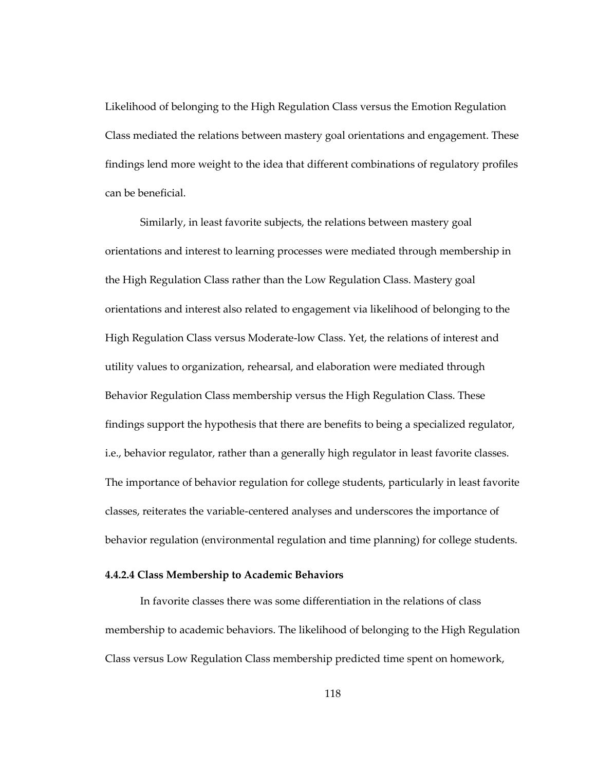Likelihood of belonging to the High Regulation Class versus the Emotion Regulation Class mediated the relations between mastery goal orientations and engagement. These findings lend more weight to the idea that different combinations of regulatory profiles can be beneficial.

Similarly, in least favorite subjects, the relations between mastery goal orientations and interest to learning processes were mediated through membership in the High Regulation Class rather than the Low Regulation Class. Mastery goal orientations and interest also related to engagement via likelihood of belonging to the High Regulation Class versus Moderate-low Class. Yet, the relations of interest and utility values to organization, rehearsal, and elaboration were mediated through Behavior Regulation Class membership versus the High Regulation Class. These findings support the hypothesis that there are benefits to being a specialized regulator, i.e., behavior regulator, rather than a generally high regulator in least favorite classes. The importance of behavior regulation for college students, particularly in least favorite classes, reiterates the variable-centered analyses and underscores the importance of behavior regulation (environmental regulation and time planning) for college students.

## **4.4.2.4 Class Membership to Academic Behaviors**

In favorite classes there was some differentiation in the relations of class membership to academic behaviors. The likelihood of belonging to the High Regulation Class versus Low Regulation Class membership predicted time spent on homework,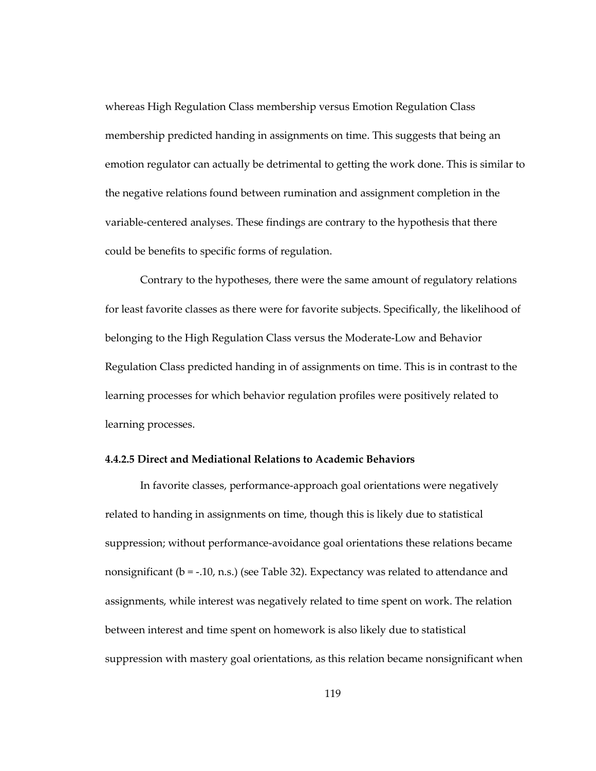whereas High Regulation Class membership versus Emotion Regulation Class membership predicted handing in assignments on time. This suggests that being an emotion regulator can actually be detrimental to getting the work done. This is similar to the negative relations found between rumination and assignment completion in the variable-centered analyses. These findings are contrary to the hypothesis that there could be benefits to specific forms of regulation.

Contrary to the hypotheses, there were the same amount of regulatory relations for least favorite classes as there were for favorite subjects. Specifically, the likelihood of belonging to the High Regulation Class versus the Moderate-Low and Behavior Regulation Class predicted handing in of assignments on time. This is in contrast to the learning processes for which behavior regulation profiles were positively related to learning processes.

## **4.4.2.5 Direct and Mediational Relations to Academic Behaviors**

In favorite classes, performance-approach goal orientations were negatively related to handing in assignments on time, though this is likely due to statistical suppression; without performance-avoidance goal orientations these relations became nonsignificant (b = -.10, n.s.) (see Table 32). Expectancy was related to attendance and assignments, while interest was negatively related to time spent on work. The relation between interest and time spent on homework is also likely due to statistical suppression with mastery goal orientations, as this relation became nonsignificant when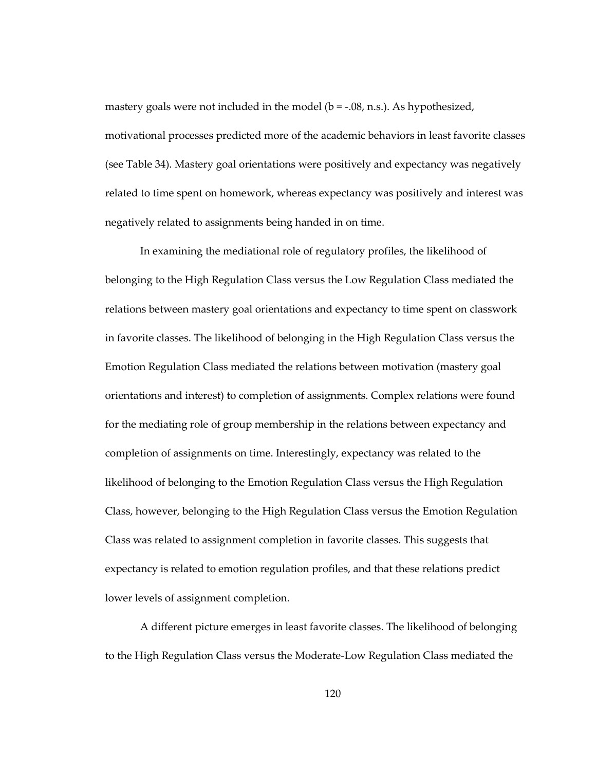mastery goals were not included in the model (b = -.08, n.s.). As hypothesized, motivational processes predicted more of the academic behaviors in least favorite classes (see Table 34). Mastery goal orientations were positively and expectancy was negatively related to time spent on homework, whereas expectancy was positively and interest was negatively related to assignments being handed in on time.

In examining the mediational role of regulatory profiles, the likelihood of belonging to the High Regulation Class versus the Low Regulation Class mediated the relations between mastery goal orientations and expectancy to time spent on classwork in favorite classes. The likelihood of belonging in the High Regulation Class versus the Emotion Regulation Class mediated the relations between motivation (mastery goal orientations and interest) to completion of assignments. Complex relations were found for the mediating role of group membership in the relations between expectancy and completion of assignments on time. Interestingly, expectancy was related to the likelihood of belonging to the Emotion Regulation Class versus the High Regulation Class, however, belonging to the High Regulation Class versus the Emotion Regulation Class was related to assignment completion in favorite classes. This suggests that expectancy is related to emotion regulation profiles, and that these relations predict lower levels of assignment completion.

A different picture emerges in least favorite classes. The likelihood of belonging to the High Regulation Class versus the Moderate-Low Regulation Class mediated the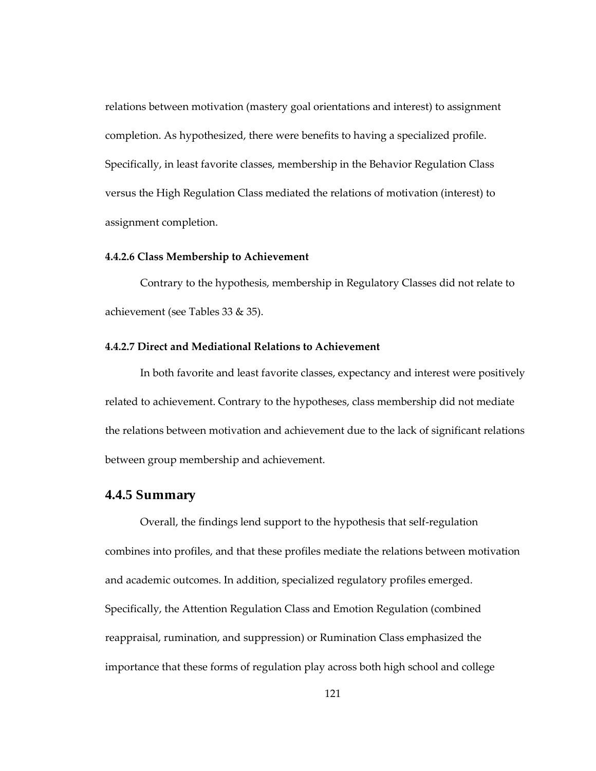relations between motivation (mastery goal orientations and interest) to assignment completion. As hypothesized, there were benefits to having a specialized profile. Specifically, in least favorite classes, membership in the Behavior Regulation Class versus the High Regulation Class mediated the relations of motivation (interest) to assignment completion.

### **4.4.2.6 Class Membership to Achievement**

Contrary to the hypothesis, membership in Regulatory Classes did not relate to achievement (see Tables 33 & 35).

#### **4.4.2.7 Direct and Mediational Relations to Achievement**

In both favorite and least favorite classes, expectancy and interest were positively related to achievement. Contrary to the hypotheses, class membership did not mediate the relations between motivation and achievement due to the lack of significant relations between group membership and achievement.

## **4.4.5 Summary**

Overall, the findings lend support to the hypothesis that self-regulation combines into profiles, and that these profiles mediate the relations between motivation and academic outcomes. In addition, specialized regulatory profiles emerged. Specifically, the Attention Regulation Class and Emotion Regulation (combined reappraisal, rumination, and suppression) or Rumination Class emphasized the importance that these forms of regulation play across both high school and college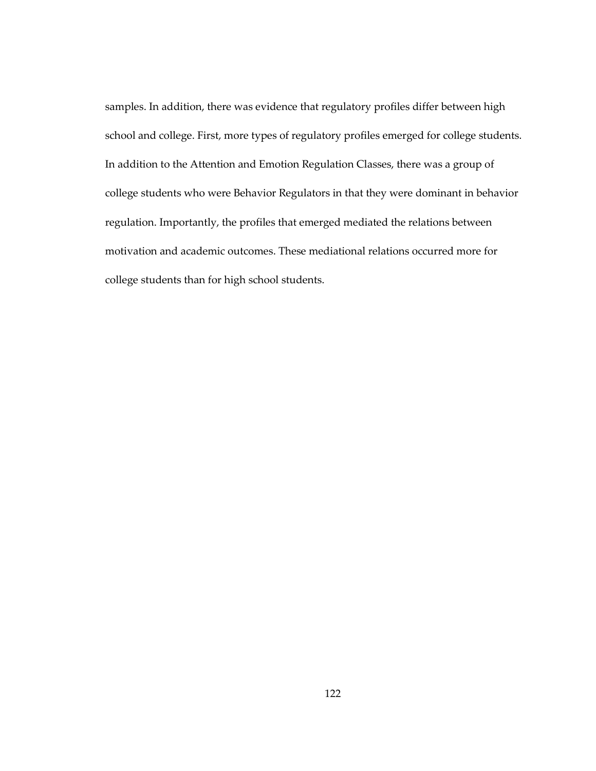samples. In addition, there was evidence that regulatory profiles differ between high school and college. First, more types of regulatory profiles emerged for college students. In addition to the Attention and Emotion Regulation Classes, there was a group of college students who were Behavior Regulators in that they were dominant in behavior regulation. Importantly, the profiles that emerged mediated the relations between motivation and academic outcomes. These mediational relations occurred more for college students than for high school students.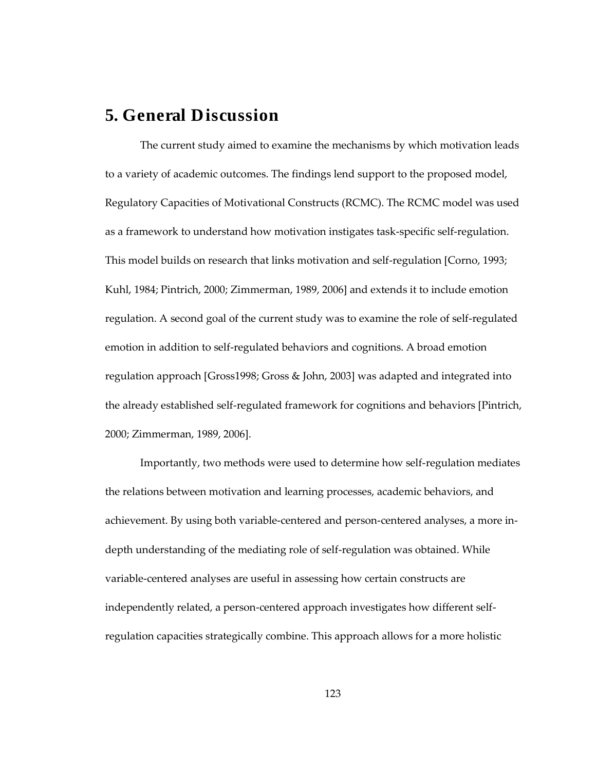# **5. General Discussion**

The current study aimed to examine the mechanisms by which motivation leads to a variety of academic outcomes. The findings lend support to the proposed model, Regulatory Capacities of Motivational Constructs (RCMC). The RCMC model was used as a framework to understand how motivation instigates task-specific self-regulation. This model builds on research that links motivation and self-regulation [Corno, 1993; Kuhl, 1984; Pintrich, 2000; Zimmerman, 1989, 2006] and extends it to include emotion regulation. A second goal of the current study was to examine the role of self-regulated emotion in addition to self-regulated behaviors and cognitions. A broad emotion regulation approach [Gross1998; Gross & John, 2003] was adapted and integrated into the already established self-regulated framework for cognitions and behaviors [Pintrich, 2000; Zimmerman, 1989, 2006].

Importantly, two methods were used to determine how self-regulation mediates the relations between motivation and learning processes, academic behaviors, and achievement. By using both variable-centered and person-centered analyses, a more indepth understanding of the mediating role of self-regulation was obtained. While variable-centered analyses are useful in assessing how certain constructs are independently related, a person-centered approach investigates how different selfregulation capacities strategically combine. This approach allows for a more holistic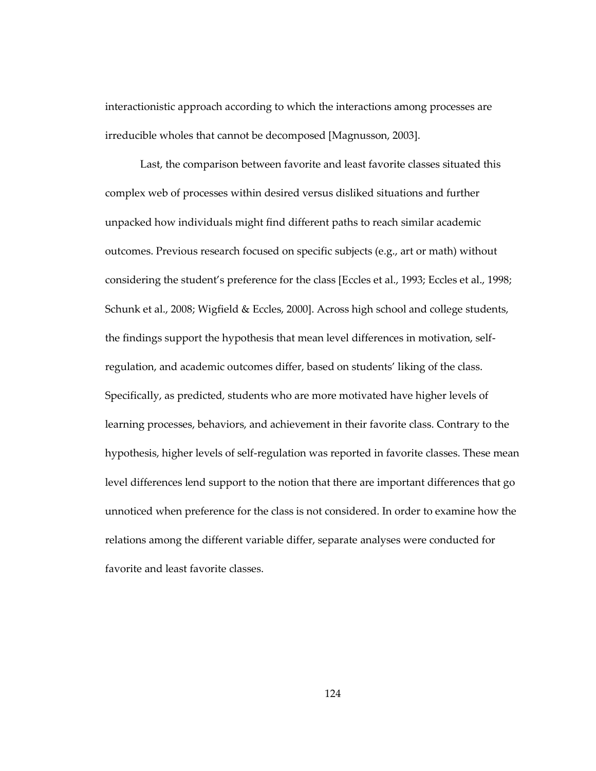interactionistic approach according to which the interactions among processes are irreducible wholes that cannot be decomposed [Magnusson, 2003].

Last, the comparison between favorite and least favorite classes situated this complex web of processes within desired versus disliked situations and further unpacked how individuals might find different paths to reach similar academic outcomes. Previous research focused on specific subjects (e.g., art or math) without considering the student's preference for the class [Eccles et al., 1993; Eccles et al., 1998; Schunk et al., 2008; Wigfield & Eccles, 2000]. Across high school and college students, the findings support the hypothesis that mean level differences in motivation, selfregulation, and academic outcomes differ, based on students' liking of the class. Specifically, as predicted, students who are more motivated have higher levels of learning processes, behaviors, and achievement in their favorite class. Contrary to the hypothesis, higher levels of self-regulation was reported in favorite classes. These mean level differences lend support to the notion that there are important differences that go unnoticed when preference for the class is not considered. In order to examine how the relations among the different variable differ, separate analyses were conducted for favorite and least favorite classes.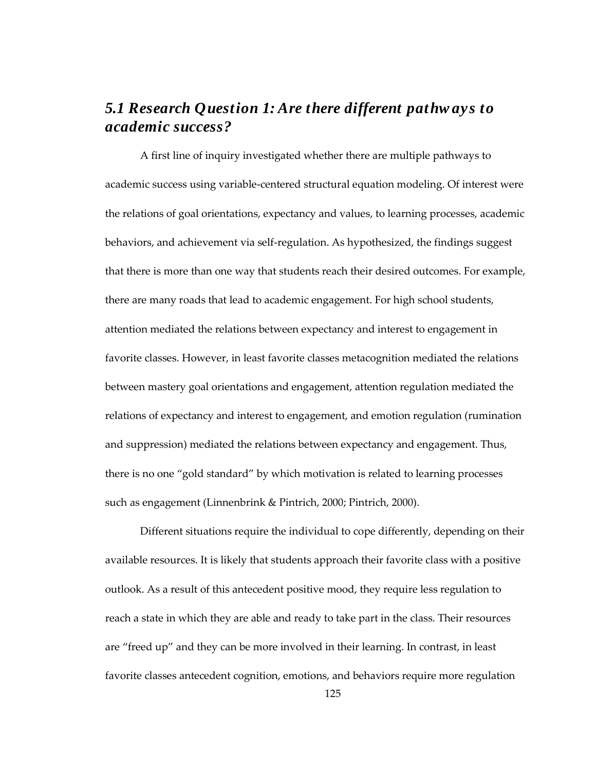# *5.1 Research Question 1: Are there different pathw ays to academic success?*

A first line of inquiry investigated whether there are multiple pathways to academic success using variable-centered structural equation modeling. Of interest were the relations of goal orientations, expectancy and values, to learning processes, academic behaviors, and achievement via self-regulation. As hypothesized, the findings suggest that there is more than one way that students reach their desired outcomes. For example, there are many roads that lead to academic engagement. For high school students, attention mediated the relations between expectancy and interest to engagement in favorite classes. However, in least favorite classes metacognition mediated the relations between mastery goal orientations and engagement, attention regulation mediated the relations of expectancy and interest to engagement, and emotion regulation (rumination and suppression) mediated the relations between expectancy and engagement. Thus, there is no one "gold standard" by which motivation is related to learning processes such as engagement (Linnenbrink & Pintrich, 2000; Pintrich, 2000).

Different situations require the individual to cope differently, depending on their available resources. It is likely that students approach their favorite class with a positive outlook. As a result of this antecedent positive mood, they require less regulation to reach a state in which they are able and ready to take part in the class. Their resources are "freed up" and they can be more involved in their learning. In contrast, in least favorite classes antecedent cognition, emotions, and behaviors require more regulation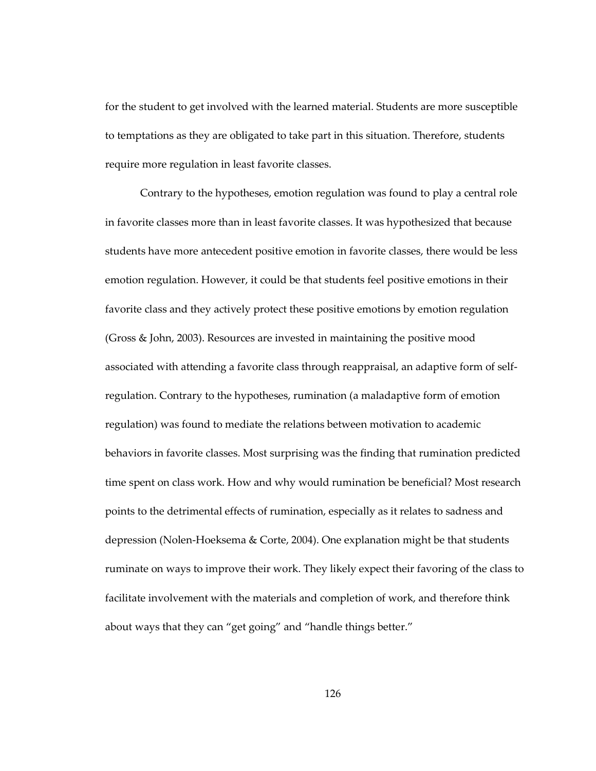for the student to get involved with the learned material. Students are more susceptible to temptations as they are obligated to take part in this situation. Therefore, students require more regulation in least favorite classes.

Contrary to the hypotheses, emotion regulation was found to play a central role in favorite classes more than in least favorite classes. It was hypothesized that because students have more antecedent positive emotion in favorite classes, there would be less emotion regulation. However, it could be that students feel positive emotions in their favorite class and they actively protect these positive emotions by emotion regulation (Gross & John, 2003). Resources are invested in maintaining the positive mood associated with attending a favorite class through reappraisal, an adaptive form of selfregulation. Contrary to the hypotheses, rumination (a maladaptive form of emotion regulation) was found to mediate the relations between motivation to academic behaviors in favorite classes. Most surprising was the finding that rumination predicted time spent on class work. How and why would rumination be beneficial? Most research points to the detrimental effects of rumination, especially as it relates to sadness and depression (Nolen-Hoeksema & Corte, 2004). One explanation might be that students ruminate on ways to improve their work. They likely expect their favoring of the class to facilitate involvement with the materials and completion of work, and therefore think about ways that they can "get going" and "handle things better."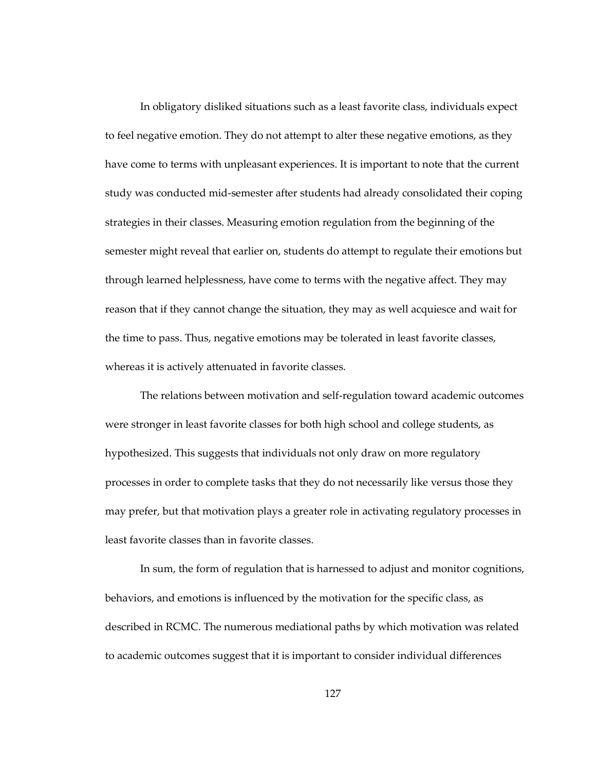In obligatory disliked situations such as a least favorite class, individuals expect to feel negative emotion. They do not attempt to alter these negative emotions, as they have come to terms with unpleasant experiences. It is important to note that the current study was conducted mid-semester after students had already consolidated their coping strategies in their classes. Measuring emotion regulation from the beginning of the semester might reveal that earlier on, students do attempt to regulate their emotions but through learned helplessness, have come to terms with the negative affect. They may reason that if they cannot change the situation, they may as well acquiesce and wait for the time to pass. Thus, negative emotions may be tolerated in least favorite classes, whereas it is actively attenuated in favorite classes.

The relations between motivation and self-regulation toward academic outcomes were stronger in least favorite classes for both high school and college students, as hypothesized. This suggests that individuals not only draw on more regulatory processes in order to complete tasks that they do not necessarily like versus those they may prefer, but that motivation plays a greater role in activating regulatory processes in least favorite classes than in favorite classes.

In sum, the form of regulation that is harnessed to adjust and monitor cognitions, behaviors, and emotions is influenced by the motivation for the specific class, as described in RCMC. The numerous mediational paths by which motivation was related to academic outcomes suggest that it is important to consider individual differences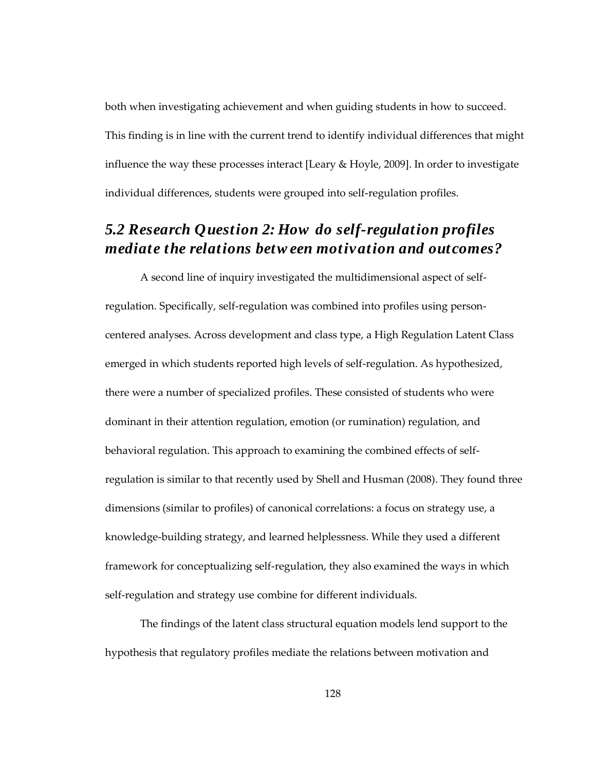both when investigating achievement and when guiding students in how to succeed. This finding is in line with the current trend to identify individual differences that might influence the way these processes interact [Leary & Hoyle, 2009]. In order to investigate individual differences, students were grouped into self-regulation profiles.

## *5.2 Research Question 2: How do self-regulation profiles mediate the relations betw een motivation and outcomes?*

A second line of inquiry investigated the multidimensional aspect of selfregulation. Specifically, self-regulation was combined into profiles using personcentered analyses. Across development and class type, a High Regulation Latent Class emerged in which students reported high levels of self-regulation. As hypothesized, there were a number of specialized profiles. These consisted of students who were dominant in their attention regulation, emotion (or rumination) regulation, and behavioral regulation. This approach to examining the combined effects of selfregulation is similar to that recently used by Shell and Husman (2008). They found three dimensions (similar to profiles) of canonical correlations: a focus on strategy use, a knowledge-building strategy, and learned helplessness. While they used a different framework for conceptualizing self-regulation, they also examined the ways in which self-regulation and strategy use combine for different individuals.

The findings of the latent class structural equation models lend support to the hypothesis that regulatory profiles mediate the relations between motivation and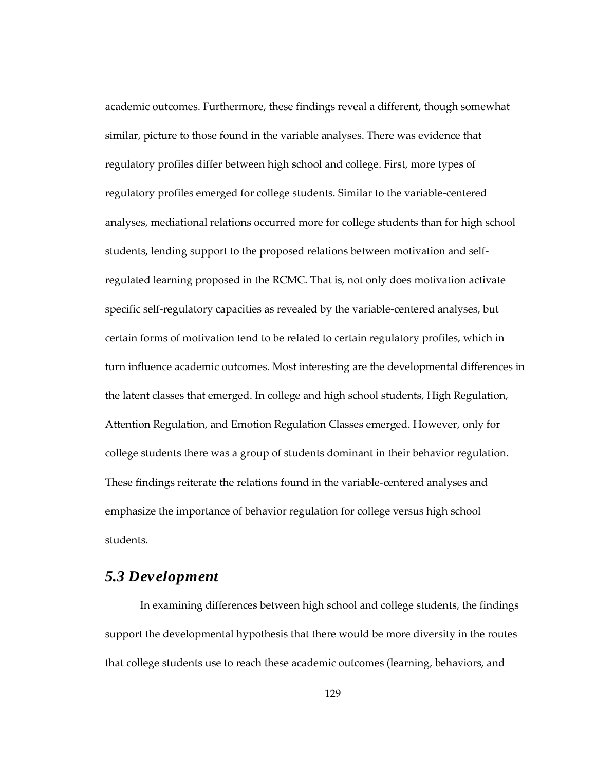academic outcomes. Furthermore, these findings reveal a different, though somewhat similar, picture to those found in the variable analyses. There was evidence that regulatory profiles differ between high school and college. First, more types of regulatory profiles emerged for college students. Similar to the variable-centered analyses, mediational relations occurred more for college students than for high school students, lending support to the proposed relations between motivation and selfregulated learning proposed in the RCMC. That is, not only does motivation activate specific self-regulatory capacities as revealed by the variable-centered analyses, but certain forms of motivation tend to be related to certain regulatory profiles, which in turn influence academic outcomes. Most interesting are the developmental differences in the latent classes that emerged. In college and high school students, High Regulation, Attention Regulation, and Emotion Regulation Classes emerged. However, only for college students there was a group of students dominant in their behavior regulation. These findings reiterate the relations found in the variable-centered analyses and emphasize the importance of behavior regulation for college versus high school students.

#### *5.3 Development*

In examining differences between high school and college students, the findings support the developmental hypothesis that there would be more diversity in the routes that college students use to reach these academic outcomes (learning, behaviors, and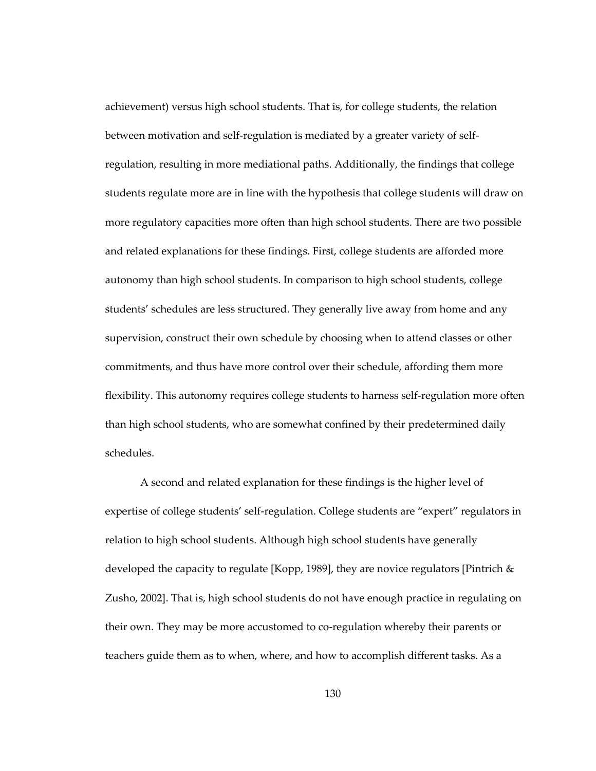achievement) versus high school students. That is, for college students, the relation between motivation and self-regulation is mediated by a greater variety of selfregulation, resulting in more mediational paths. Additionally, the findings that college students regulate more are in line with the hypothesis that college students will draw on more regulatory capacities more often than high school students. There are two possible and related explanations for these findings. First, college students are afforded more autonomy than high school students. In comparison to high school students, college students' schedules are less structured. They generally live away from home and any supervision, construct their own schedule by choosing when to attend classes or other commitments, and thus have more control over their schedule, affording them more flexibility. This autonomy requires college students to harness self-regulation more often than high school students, who are somewhat confined by their predetermined daily schedules.

A second and related explanation for these findings is the higher level of expertise of college students' self-regulation. College students are "expert" regulators in relation to high school students. Although high school students have generally developed the capacity to regulate [Kopp, 1989], they are novice regulators [Pintrich  $\&$ Zusho, 2002]. That is, high school students do not have enough practice in regulating on their own. They may be more accustomed to co-regulation whereby their parents or teachers guide them as to when, where, and how to accomplish different tasks. As a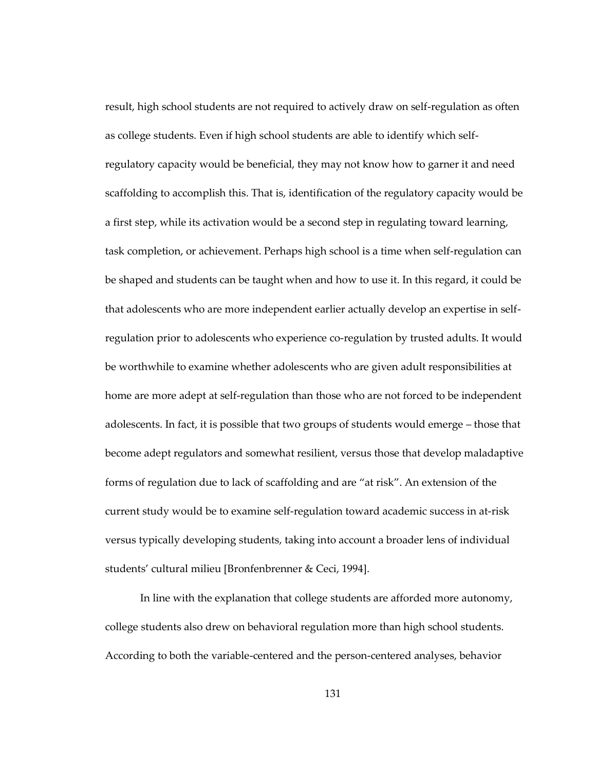result, high school students are not required to actively draw on self-regulation as often as college students. Even if high school students are able to identify which selfregulatory capacity would be beneficial, they may not know how to garner it and need scaffolding to accomplish this. That is, identification of the regulatory capacity would be a first step, while its activation would be a second step in regulating toward learning, task completion, or achievement. Perhaps high school is a time when self-regulation can be shaped and students can be taught when and how to use it. In this regard, it could be that adolescents who are more independent earlier actually develop an expertise in selfregulation prior to adolescents who experience co-regulation by trusted adults. It would be worthwhile to examine whether adolescents who are given adult responsibilities at home are more adept at self-regulation than those who are not forced to be independent adolescents. In fact, it is possible that two groups of students would emerge – those that become adept regulators and somewhat resilient, versus those that develop maladaptive forms of regulation due to lack of scaffolding and are "at risk". An extension of the current study would be to examine self-regulation toward academic success in at-risk versus typically developing students, taking into account a broader lens of individual students' cultural milieu [Bronfenbrenner & Ceci, 1994].

In line with the explanation that college students are afforded more autonomy, college students also drew on behavioral regulation more than high school students. According to both the variable-centered and the person-centered analyses, behavior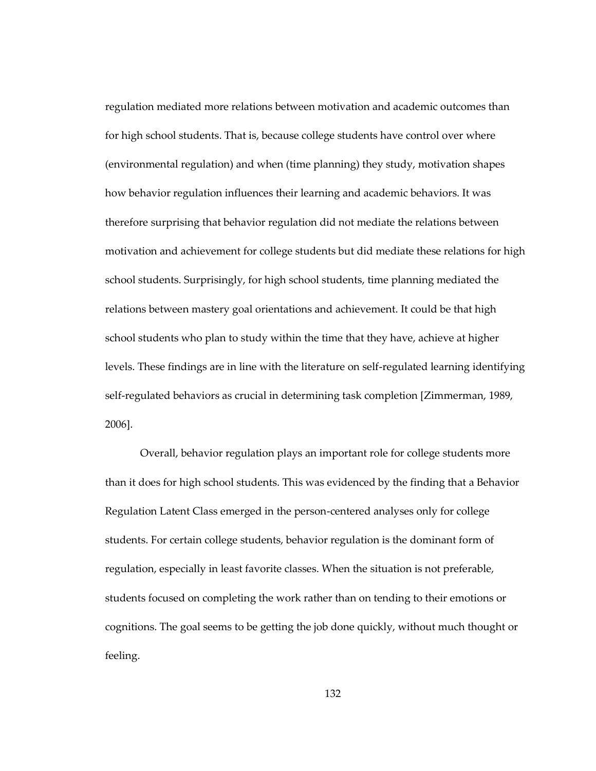regulation mediated more relations between motivation and academic outcomes than for high school students. That is, because college students have control over where (environmental regulation) and when (time planning) they study, motivation shapes how behavior regulation influences their learning and academic behaviors. It was therefore surprising that behavior regulation did not mediate the relations between motivation and achievement for college students but did mediate these relations for high school students. Surprisingly, for high school students, time planning mediated the relations between mastery goal orientations and achievement. It could be that high school students who plan to study within the time that they have, achieve at higher levels. These findings are in line with the literature on self-regulated learning identifying self-regulated behaviors as crucial in determining task completion [Zimmerman, 1989, 2006].

Overall, behavior regulation plays an important role for college students more than it does for high school students. This was evidenced by the finding that a Behavior Regulation Latent Class emerged in the person-centered analyses only for college students. For certain college students, behavior regulation is the dominant form of regulation, especially in least favorite classes. When the situation is not preferable, students focused on completing the work rather than on tending to their emotions or cognitions. The goal seems to be getting the job done quickly, without much thought or feeling.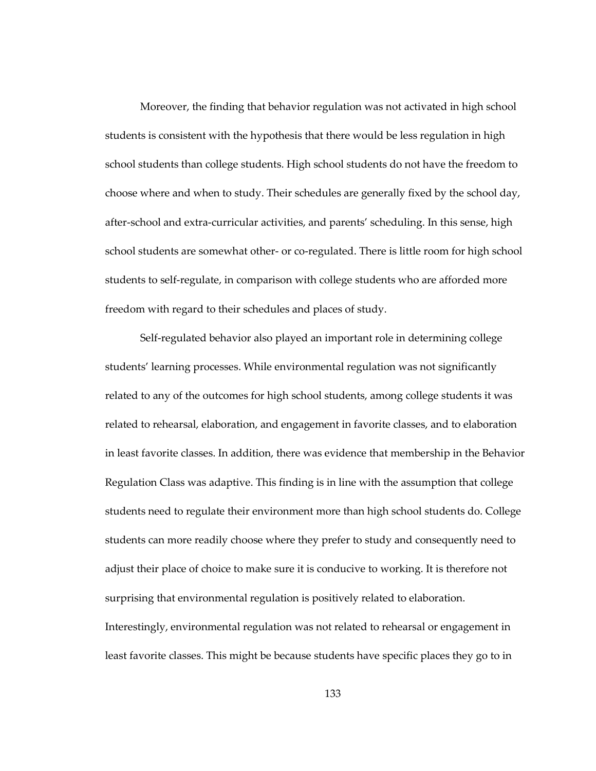Moreover, the finding that behavior regulation was not activated in high school students is consistent with the hypothesis that there would be less regulation in high school students than college students. High school students do not have the freedom to choose where and when to study. Their schedules are generally fixed by the school day, after-school and extra-curricular activities, and parents' scheduling. In this sense, high school students are somewhat other- or co-regulated. There is little room for high school students to self-regulate, in comparison with college students who are afforded more freedom with regard to their schedules and places of study.

Self-regulated behavior also played an important role in determining college students' learning processes. While environmental regulation was not significantly related to any of the outcomes for high school students, among college students it was related to rehearsal, elaboration, and engagement in favorite classes, and to elaboration in least favorite classes. In addition, there was evidence that membership in the Behavior Regulation Class was adaptive. This finding is in line with the assumption that college students need to regulate their environment more than high school students do. College students can more readily choose where they prefer to study and consequently need to adjust their place of choice to make sure it is conducive to working. It is therefore not surprising that environmental regulation is positively related to elaboration. Interestingly, environmental regulation was not related to rehearsal or engagement in least favorite classes. This might be because students have specific places they go to in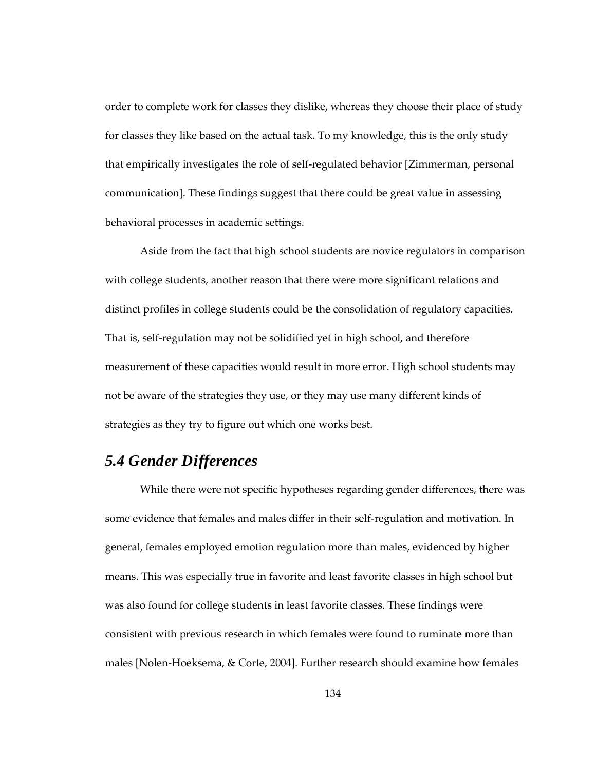order to complete work for classes they dislike, whereas they choose their place of study for classes they like based on the actual task. To my knowledge, this is the only study that empirically investigates the role of self-regulated behavior [Zimmerman, personal communication]. These findings suggest that there could be great value in assessing behavioral processes in academic settings.

Aside from the fact that high school students are novice regulators in comparison with college students, another reason that there were more significant relations and distinct profiles in college students could be the consolidation of regulatory capacities. That is, self-regulation may not be solidified yet in high school, and therefore measurement of these capacities would result in more error. High school students may not be aware of the strategies they use, or they may use many different kinds of strategies as they try to figure out which one works best.

### *5.4 Gender Differences*

While there were not specific hypotheses regarding gender differences, there was some evidence that females and males differ in their self-regulation and motivation. In general, females employed emotion regulation more than males, evidenced by higher means. This was especially true in favorite and least favorite classes in high school but was also found for college students in least favorite classes. These findings were consistent with previous research in which females were found to ruminate more than males [Nolen-Hoeksema, & Corte, 2004]. Further research should examine how females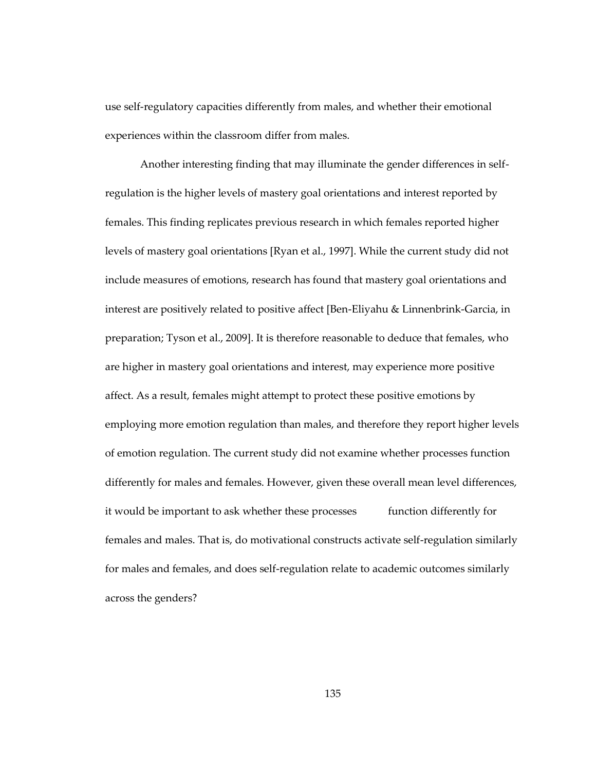use self-regulatory capacities differently from males, and whether their emotional experiences within the classroom differ from males.

Another interesting finding that may illuminate the gender differences in selfregulation is the higher levels of mastery goal orientations and interest reported by females. This finding replicates previous research in which females reported higher levels of mastery goal orientations [Ryan et al., 1997]. While the current study did not include measures of emotions, research has found that mastery goal orientations and interest are positively related to positive affect [Ben-Eliyahu & Linnenbrink-Garcia, in preparation; Tyson et al., 2009]. It is therefore reasonable to deduce that females, who are higher in mastery goal orientations and interest, may experience more positive affect. As a result, females might attempt to protect these positive emotions by employing more emotion regulation than males, and therefore they report higher levels of emotion regulation. The current study did not examine whether processes function differently for males and females. However, given these overall mean level differences, it would be important to ask whether these processes function differently for females and males. That is, do motivational constructs activate self-regulation similarly for males and females, and does self-regulation relate to academic outcomes similarly across the genders?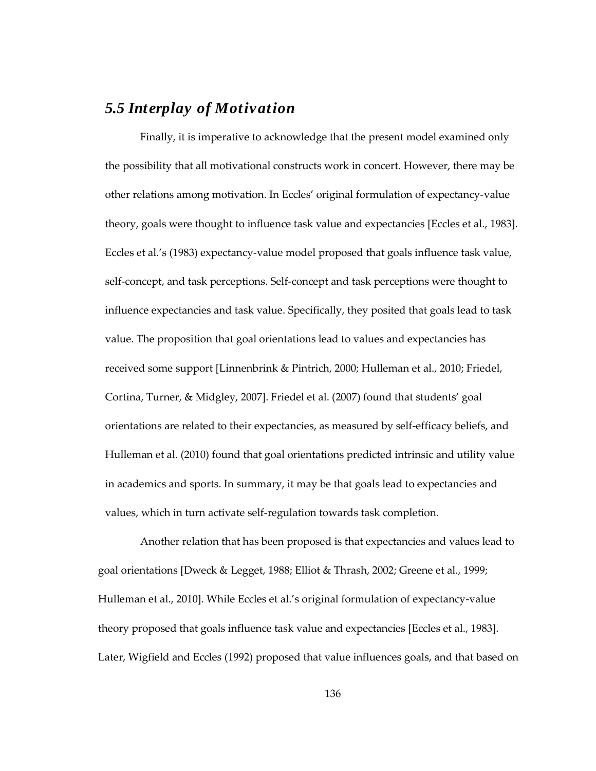## *5.5 Interplay of Motivation*

Finally, it is imperative to acknowledge that the present model examined only the possibility that all motivational constructs work in concert. However, there may be other relations among motivation. In Eccles' original formulation of expectancy-value theory, goals were thought to influence task value and expectancies [Eccles et al., 1983]. Eccles et al.'s (1983) expectancy-value model proposed that goals influence task value, self-concept, and task perceptions. Self-concept and task perceptions were thought to influence expectancies and task value. Specifically, they posited that goals lead to task value. The proposition that goal orientations lead to values and expectancies has received some support [Linnenbrink & Pintrich, 2000; Hulleman et al., 2010; Friedel, Cortina, Turner, & Midgley, 2007]. Friedel et al. (2007) found that students' goal orientations are related to their expectancies, as measured by self-efficacy beliefs, and Hulleman et al. (2010) found that goal orientations predicted intrinsic and utility value in academics and sports. In summary, it may be that goals lead to expectancies and values, which in turn activate self-regulation towards task completion.

Another relation that has been proposed is that expectancies and values lead to goal orientations [Dweck & Legget, 1988; Elliot & Thrash, 2002; Greene et al., 1999; Hulleman et al., 2010]. While Eccles et al.'s original formulation of expectancy-value theory proposed that goals influence task value and expectancies [Eccles et al., 1983]. Later, Wigfield and Eccles (1992) proposed that value influences goals, and that based on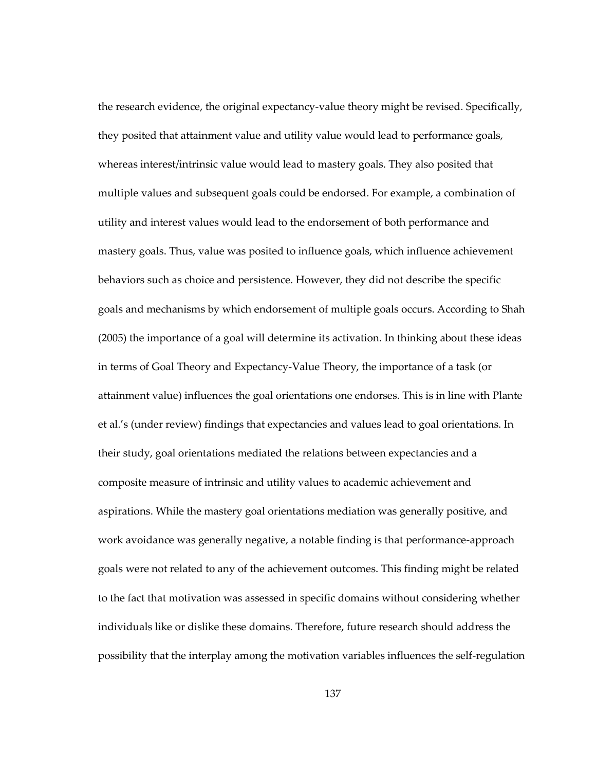the research evidence, the original expectancy-value theory might be revised. Specifically, they posited that attainment value and utility value would lead to performance goals, whereas interest/intrinsic value would lead to mastery goals. They also posited that multiple values and subsequent goals could be endorsed. For example, a combination of utility and interest values would lead to the endorsement of both performance and mastery goals. Thus, value was posited to influence goals, which influence achievement behaviors such as choice and persistence. However, they did not describe the specific goals and mechanisms by which endorsement of multiple goals occurs. According to Shah (2005) the importance of a goal will determine its activation. In thinking about these ideas in terms of Goal Theory and Expectancy-Value Theory, the importance of a task (or attainment value) influences the goal orientations one endorses. This is in line with Plante et al.'s (under review) findings that expectancies and values lead to goal orientations. In their study, goal orientations mediated the relations between expectancies and a composite measure of intrinsic and utility values to academic achievement and aspirations. While the mastery goal orientations mediation was generally positive, and work avoidance was generally negative, a notable finding is that performance-approach goals were not related to any of the achievement outcomes. This finding might be related to the fact that motivation was assessed in specific domains without considering whether individuals like or dislike these domains. Therefore, future research should address the possibility that the interplay among the motivation variables influences the self-regulation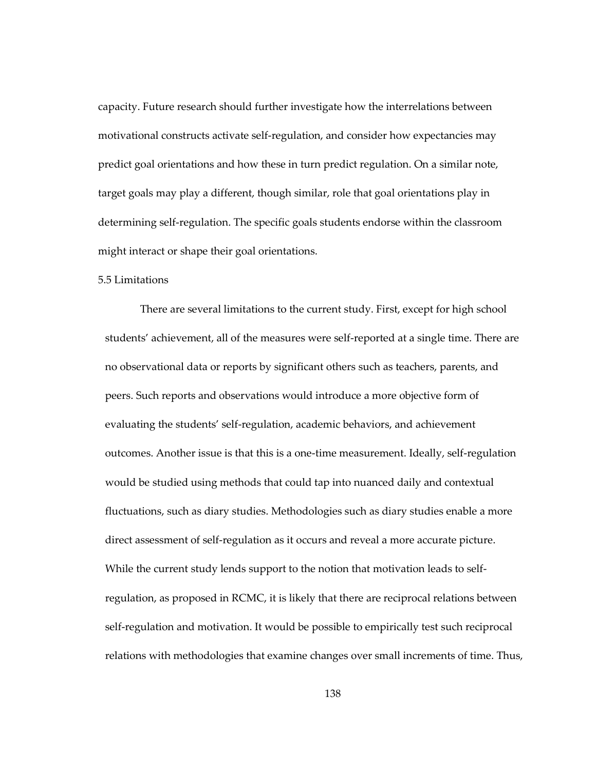capacity. Future research should further investigate how the interrelations between motivational constructs activate self-regulation, and consider how expectancies may predict goal orientations and how these in turn predict regulation. On a similar note, target goals may play a different, though similar, role that goal orientations play in determining self-regulation. The specific goals students endorse within the classroom might interact or shape their goal orientations.

#### 5.5 Limitations

There are several limitations to the current study. First, except for high school students' achievement, all of the measures were self-reported at a single time. There are no observational data or reports by significant others such as teachers, parents, and peers. Such reports and observations would introduce a more objective form of evaluating the students' self-regulation, academic behaviors, and achievement outcomes. Another issue is that this is a one-time measurement. Ideally, self-regulation would be studied using methods that could tap into nuanced daily and contextual fluctuations, such as diary studies. Methodologies such as diary studies enable a more direct assessment of self-regulation as it occurs and reveal a more accurate picture. While the current study lends support to the notion that motivation leads to selfregulation, as proposed in RCMC, it is likely that there are reciprocal relations between self-regulation and motivation. It would be possible to empirically test such reciprocal relations with methodologies that examine changes over small increments of time. Thus,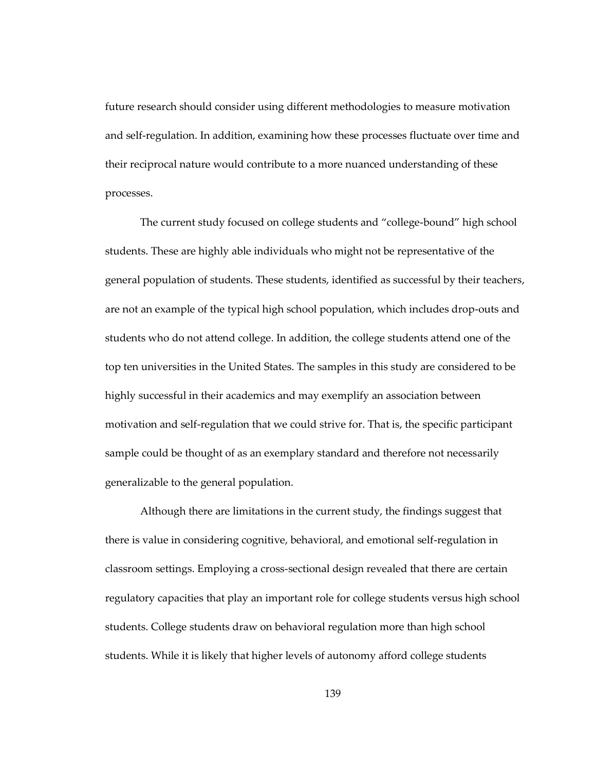future research should consider using different methodologies to measure motivation and self-regulation. In addition, examining how these processes fluctuate over time and their reciprocal nature would contribute to a more nuanced understanding of these processes.

The current study focused on college students and "college-bound" high school students. These are highly able individuals who might not be representative of the general population of students. These students, identified as successful by their teachers, are not an example of the typical high school population, which includes drop-outs and students who do not attend college. In addition, the college students attend one of the top ten universities in the United States. The samples in this study are considered to be highly successful in their academics and may exemplify an association between motivation and self-regulation that we could strive for. That is, the specific participant sample could be thought of as an exemplary standard and therefore not necessarily generalizable to the general population.

Although there are limitations in the current study, the findings suggest that there is value in considering cognitive, behavioral, and emotional self-regulation in classroom settings. Employing a cross-sectional design revealed that there are certain regulatory capacities that play an important role for college students versus high school students. College students draw on behavioral regulation more than high school students. While it is likely that higher levels of autonomy afford college students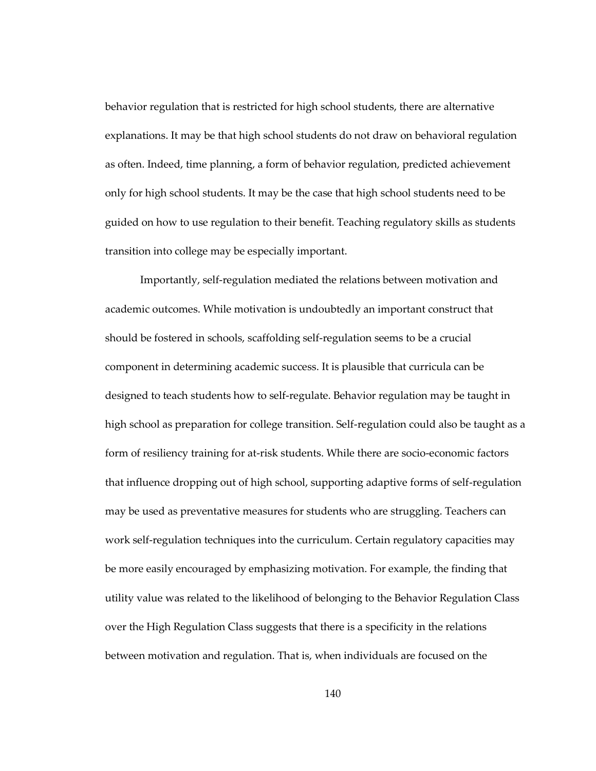behavior regulation that is restricted for high school students, there are alternative explanations. It may be that high school students do not draw on behavioral regulation as often. Indeed, time planning, a form of behavior regulation, predicted achievement only for high school students. It may be the case that high school students need to be guided on how to use regulation to their benefit. Teaching regulatory skills as students transition into college may be especially important.

Importantly, self-regulation mediated the relations between motivation and academic outcomes. While motivation is undoubtedly an important construct that should be fostered in schools, scaffolding self-regulation seems to be a crucial component in determining academic success. It is plausible that curricula can be designed to teach students how to self-regulate. Behavior regulation may be taught in high school as preparation for college transition. Self-regulation could also be taught as a form of resiliency training for at-risk students. While there are socio-economic factors that influence dropping out of high school, supporting adaptive forms of self-regulation may be used as preventative measures for students who are struggling. Teachers can work self-regulation techniques into the curriculum. Certain regulatory capacities may be more easily encouraged by emphasizing motivation. For example, the finding that utility value was related to the likelihood of belonging to the Behavior Regulation Class over the High Regulation Class suggests that there is a specificity in the relations between motivation and regulation. That is, when individuals are focused on the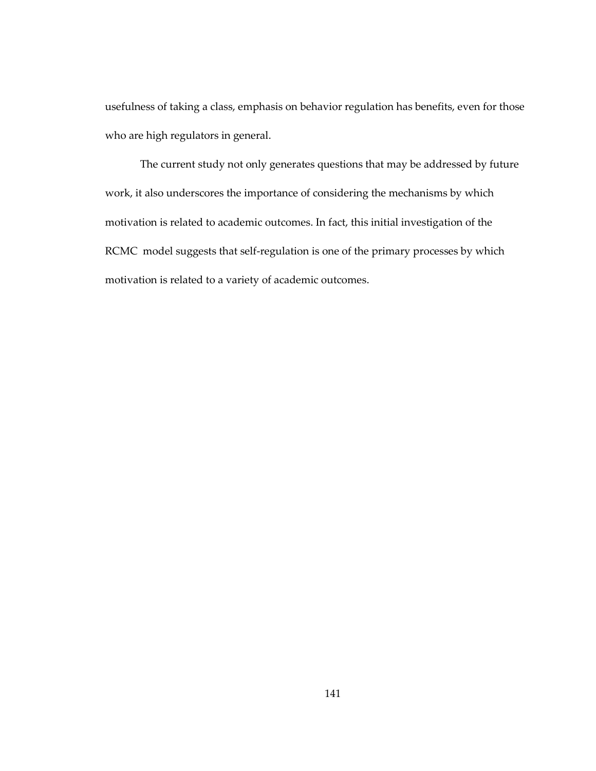usefulness of taking a class, emphasis on behavior regulation has benefits, even for those who are high regulators in general.

The current study not only generates questions that may be addressed by future work, it also underscores the importance of considering the mechanisms by which motivation is related to academic outcomes. In fact, this initial investigation of the RCMC model suggests that self-regulation is one of the primary processes by which motivation is related to a variety of academic outcomes.